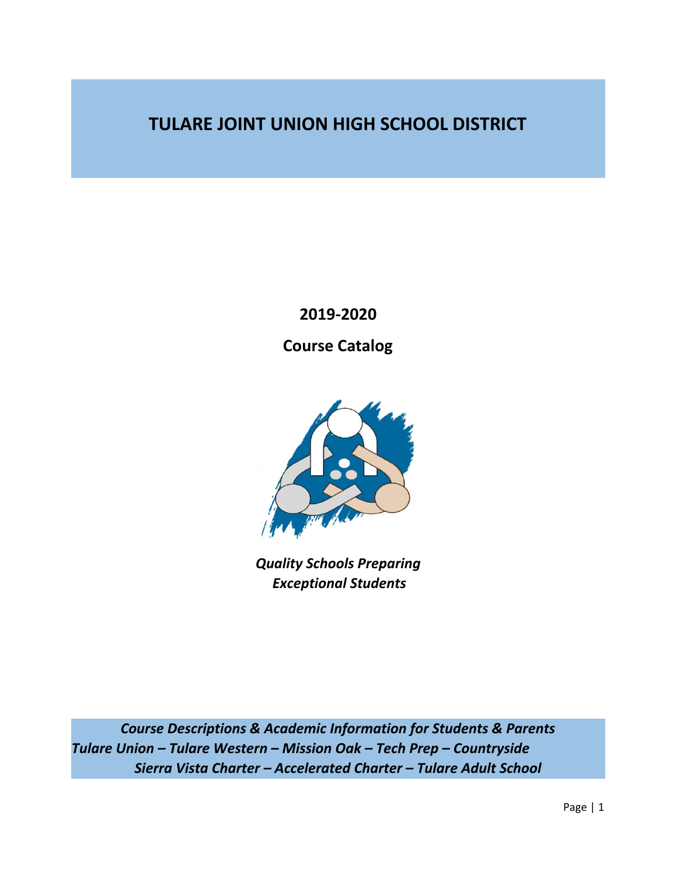## **TULARE JOINT UNION HIGH SCHOOL DISTRICT**

**2019-2020**

**Course Catalog**



*Quality Schools Preparing Exceptional Students*

*Course Descriptions & Academic Information for Students & Parents Tulare Union – Tulare Western – Mission Oak – Tech Prep – Countryside Sierra Vista Charter – Accelerated Charter – Tulare Adult School*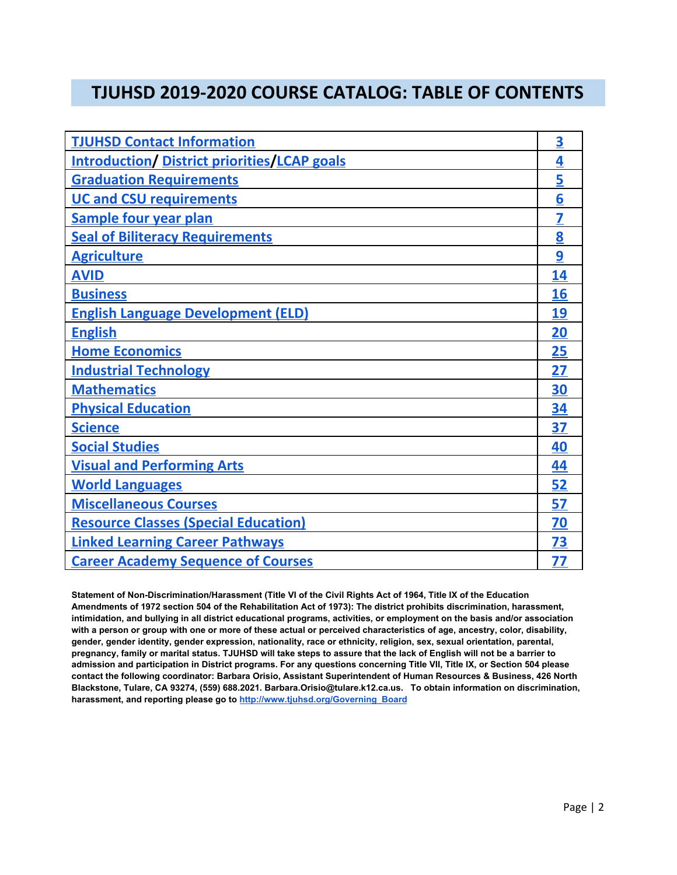## **TJUHSD 2019-2020 COURSE CATALOG: TABLE OF CONTENTS**

| <b>TJUHSD Contact Information</b>                   | $\overline{\mathbf{3}}$ |
|-----------------------------------------------------|-------------------------|
| <b>Introduction/ District priorities/LCAP goals</b> | 4                       |
| <b>Graduation Requirements</b>                      | 5                       |
| <b>UC and CSU requirements</b>                      | 6                       |
| <b>Sample four year plan</b>                        | 7                       |
| <b>Seal of Biliteracy Requirements</b>              | 8                       |
| <b>Agriculture</b>                                  | 9                       |
| <b>AVID</b>                                         | 14                      |
| <b>Business</b>                                     | 16                      |
| <b>English Language Development (ELD)</b>           | 19                      |
| <b>English</b>                                      | <b>20</b>               |
| <b>Home Economics</b>                               | <b>25</b>               |
| <b>Industrial Technology</b>                        | 27                      |
| <b>Mathematics</b>                                  | 30                      |
| <b>Physical Education</b>                           | 34                      |
| <b>Science</b>                                      | 37                      |
| <b>Social Studies</b>                               | 40                      |
| <b>Visual and Performing Arts</b>                   | 44                      |
| <b>World Languages</b>                              | 52                      |
| <b>Miscellaneous Courses</b>                        | 57                      |
| <b>Resource Classes (Special Education)</b>         | 70                      |
| <b>Linked Learning Career Pathways</b>              | <b>73</b>               |
| <b>Career Academy Sequence of Courses</b>           | 77                      |

Statement of Non-Discrimination/Harassment (Title VI of the Civil Rights Act of 1964, Title IX of the Education Amendments of 1972 section 504 of the Rehabilitation Act of 1973): The district prohibits discrimination, harassment, intimidation, and bullying in all district educational programs, activities, or employment on the basis and/or association with a person or group with one or more of these actual or perceived characteristics of age, ancestry, color, disability, **gender, gender identity, gender expression, nationality, race or ethnicity, religion, sex, sexual orientation, parental,** pregnancy, family or marital status. TJUHSD will take steps to assure that the lack of English will not be a barrier to admission and participation in District programs. For any questions concerning Title VII, Title IX, or Section 504 please **contact the following coordinator: Barbara Orisio, Assistant Superintendent of Human Resources & Business, 426 North Blackstone, Tulare, CA 93274, (559) 688.2021. Barbara.Orisio@tulare.k12.ca.us. To obtain information on discrimination, harassment, and reporting please go to [http://www.tjuhsd.org/Governing\\_Board](http://www.tjuhsd.org/Governing_Board)**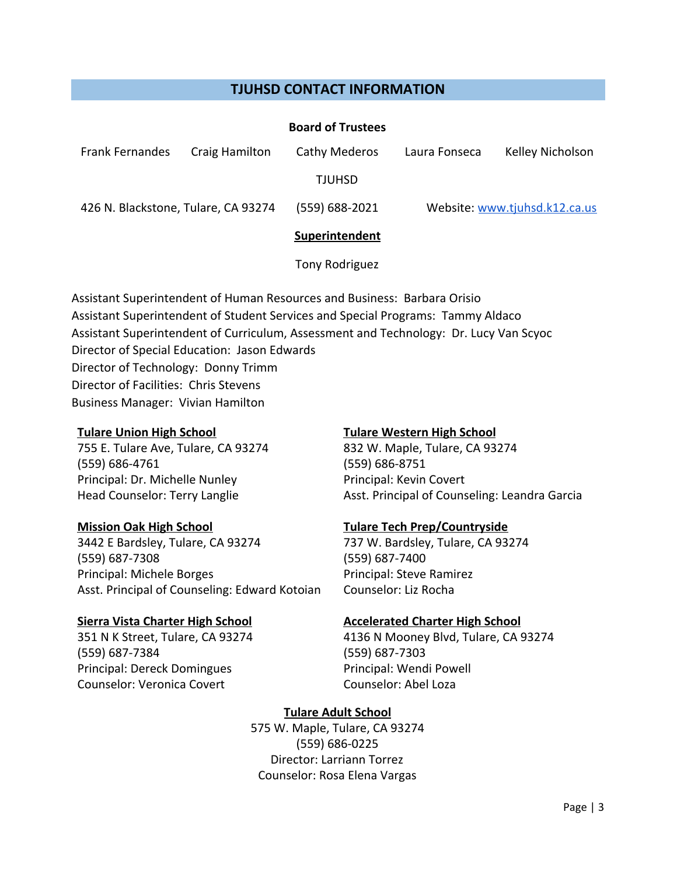#### **TJUHSD CONTACT INFORMATION**

<span id="page-2-0"></span>

|                                     |                | <b>Board of Trustees</b> |               |                               |
|-------------------------------------|----------------|--------------------------|---------------|-------------------------------|
| <b>Frank Fernandes</b>              | Craig Hamilton | Cathy Mederos            | Laura Fonseca | Kelley Nicholson              |
|                                     |                | <b>TJUHSD</b>            |               |                               |
| 426 N. Blackstone, Tulare, CA 93274 |                | (559) 688-2021           |               | Website: www.tjuhsd.k12.ca.us |
|                                     |                | Superintendent           |               |                               |
|                                     |                | Tony Rodriguez           |               |                               |

Assistant Superintendent of Human Resources and Business: Barbara Orisio Assistant Superintendent of Student Services and Special Programs: Tammy Aldaco Assistant Superintendent of Curriculum, Assessment and Technology: Dr. Lucy Van Scyoc Director of Special Education: Jason Edwards Director of Technology: Donny Trimm Director of Facilities: Chris Stevens Business Manager: Vivian Hamilton

#### **Tulare Union High School**

755 E. Tulare Ave, Tulare, CA 93274 (559) 686-4761 Principal: Dr. Michelle Nunley Head Counselor: Terry Langlie

#### **Mission Oak High School**

3442 E Bardsley, Tulare, CA 93274 (559) 687-7308 Principal: Michele Borges Asst. Principal of Counseling: Edward Kotoian

#### **Sierra Vista Charter High School**

351 N K Street, Tulare, CA 93274 (559) 687-7384 Principal: Dereck Domingues Counselor: Veronica Covert

#### **Tulare Western High School**

832 W. Maple, Tulare, CA 93274 (559) 686-8751 Principal: Kevin Covert Asst. Principal of Counseling: Leandra Garcia

#### **Tulare Tech Prep/Countryside**

737 W. Bardsley, Tulare, CA 93274 (559) 687-7400 Principal: Steve Ramirez Counselor: Liz Rocha

#### **Accelerated Charter High School**

4136 N Mooney Blvd, Tulare, CA 93274 (559) 687-7303 Principal: Wendi Powell Counselor: Abel Loza

## **Tulare Adult School**

575 W. Maple, Tulare, CA 93274 (559) 686-0225 Director: Larriann Torrez Counselor: Rosa Elena Vargas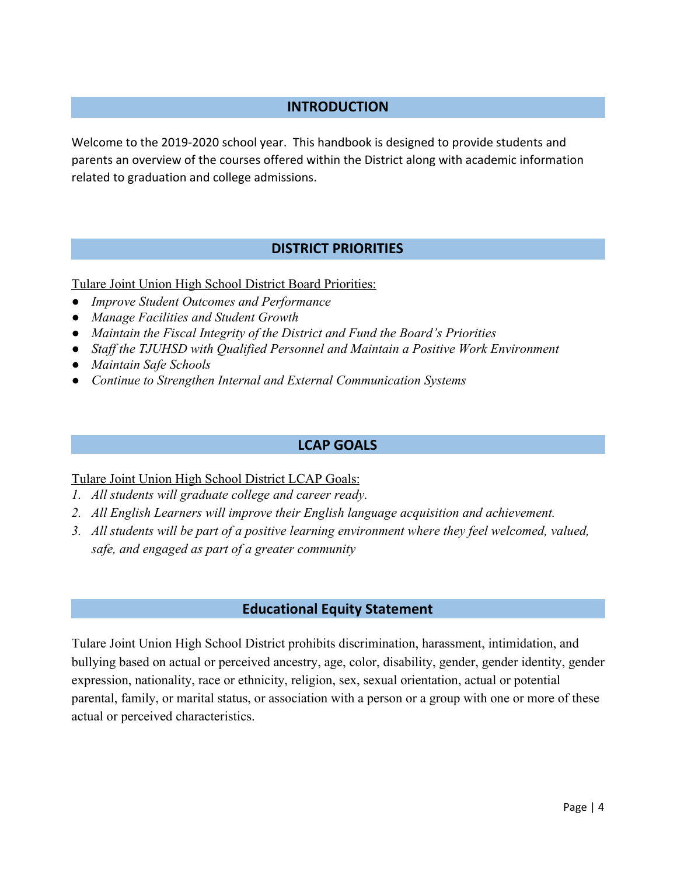## **INTRODUCTION**

<span id="page-3-0"></span>Welcome to the 2019-2020 school year. This handbook is designed to provide students and parents an overview of the courses offered within the District along with academic information related to graduation and college admissions.

## **DISTRICT PRIORITIES**

<span id="page-3-1"></span>Tulare Joint Union High School District Board Priorities:

- *● Improve Student Outcomes and Performance*
- *● Manage Facilities and Student Growth*
- *● Maintain the Fiscal Integrity of the District and Fund the Board's Priorities*
- *● Staff the TJUHSD with Qualified Personnel and Maintain a Positive Work Environment*
- *● Maintain Safe Schools*
- *● Continue to Strengthen Internal and External Communication Systems*

#### **LCAP GOALS**

#### <span id="page-3-2"></span>Tulare Joint Union High School District LCAP Goals:

- *1. All students will graduate college and career ready.*
- *2. All English Learners will improve their English language acquisition and achievement.*
- *3. All students will be part of a positive learning environment where they feel welcomed, valued, safe, and engaged as part of a greater community*

#### **Educational Equity Statement**

Tulare Joint Union High School District prohibits discrimination, harassment, intimidation, and bullying based on actual or perceived ancestry, age, color, disability, gender, gender identity, gender expression, nationality, race or ethnicity, religion, sex, sexual orientation, actual or potential parental, family, or marital status, or association with a person or a group with one or more of these actual or perceived characteristics.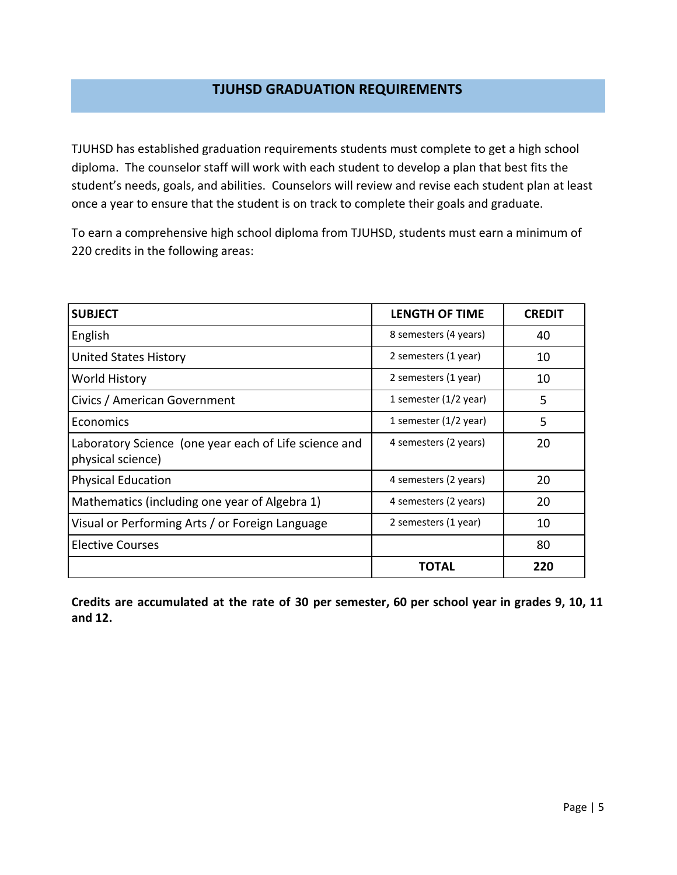## **TJUHSD GRADUATION REQUIREMENTS**

<span id="page-4-0"></span>TJUHSD has established graduation requirements students must complete to get a high school diploma. The counselor staff will work with each student to develop a plan that best fits the student's needs, goals, and abilities. Counselors will review and revise each student plan at least once a year to ensure that the student is on track to complete their goals and graduate.

To earn a comprehensive high school diploma from TJUHSD, students must earn a minimum of 220 credits in the following areas:

| <b>SUBJECT</b>                                                             | <b>LENGTH OF TIME</b>   | <b>CREDIT</b> |
|----------------------------------------------------------------------------|-------------------------|---------------|
| English                                                                    | 8 semesters (4 years)   | 40            |
| <b>United States History</b>                                               | 2 semesters (1 year)    | 10            |
| World History                                                              | 2 semesters (1 year)    | 10            |
| Civics / American Government                                               | 1 semester (1/2 year)   | 5             |
| Economics                                                                  | 1 semester $(1/2$ year) | 5             |
| Laboratory Science (one year each of Life science and<br>physical science) | 4 semesters (2 years)   | 20            |
| <b>Physical Education</b>                                                  | 4 semesters (2 years)   | 20            |
| Mathematics (including one year of Algebra 1)                              | 4 semesters (2 years)   | 20            |
| Visual or Performing Arts / or Foreign Language                            | 2 semesters (1 year)    | 10            |
| <b>Elective Courses</b>                                                    |                         | 80            |
|                                                                            | TOTAL                   | 220           |

Credits are accumulated at the rate of 30 per semester, 60 per school year in grades 9, 10, 11 **and 12.**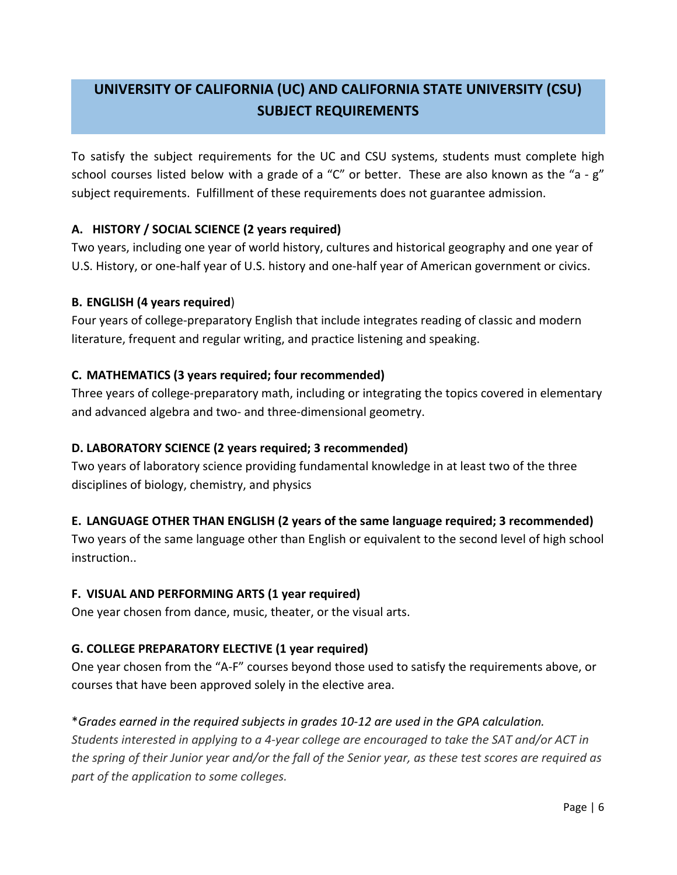## <span id="page-5-0"></span>**UNIVERSITY OF CALIFORNIA (UC) AND CALIFORNIA STATE UNIVERSITY (CSU) SUBJECT REQUIREMENTS**

To satisfy the subject requirements for the UC and CSU systems, students must complete high school courses listed below with a grade of a "C" or better. These are also known as the "a - g" subject requirements. Fulfillment of these requirements does not guarantee admission.

#### **A. HISTORY / SOCIAL SCIENCE (2 years required)**

Two years, including one year of world history, cultures and historical geography and one year of U.S. History, or one-half year of U.S. history and one-half year of American government or civics.

#### **B. ENGLISH (4 years required**)

Four years of college-preparatory English that include integrates reading of classic and modern literature, frequent and regular writing, and practice listening and speaking.

#### **C. MATHEMATICS (3 years required; four recommended)**

Three years of college-preparatory math, including or integrating the topics covered in elementary and advanced algebra and two- and three-dimensional geometry.

#### **D. LABORATORY SCIENCE (2 years required; 3 recommended)**

Two years of laboratory science providing fundamental knowledge in at least two of the three disciplines of biology, chemistry, and physics

#### **E. LANGUAGE OTHER THAN ENGLISH (2 years of the same language required; 3 recommended)**

Two years of the same language other than English or equivalent to the second level of high school instruction..

#### **F. VISUAL AND PERFORMING ARTS (1 year required)**

One year chosen from dance, music, theater, or the visual arts.

#### **G. COLLEGE PREPARATORY ELECTIVE (1 year required)**

One year chosen from the "A-F" courses beyond those used to satisfy the requirements above, or courses that have been approved solely in the elective area.

## \**Grades earned in the required subjects in grades 10-12 are used in the GPA calculation. Students interested in applying to a 4-year college are encouraged to take the SAT and/or ACT in the spring of their Junior year and/or the fall of the Senior year, as these test scores are required as part of the application to some colleges.*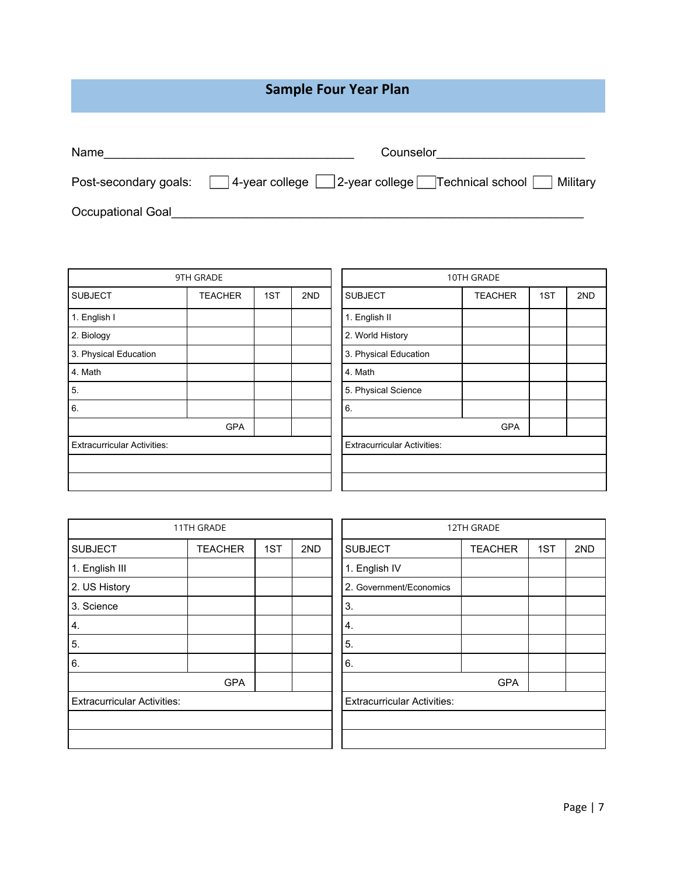## **Sample Four Year Plan**

<span id="page-6-0"></span>

| Name                  | Counselor                                                              |
|-----------------------|------------------------------------------------------------------------|
| Post-secondary goals: | $ 4$ -year college $ $ 2-year college Technical school $\Box$ Military |
| Occupational Goal     |                                                                        |

|                                    | 9TH GRADE      |     |     | 10TH GRADE                         |                |     |     |
|------------------------------------|----------------|-----|-----|------------------------------------|----------------|-----|-----|
| <b>SUBJECT</b>                     | <b>TEACHER</b> | 1ST | 2ND | <b>SUBJECT</b>                     | <b>TEACHER</b> | 1ST | 2ND |
| 1. English I                       |                |     |     | 1. English II                      |                |     |     |
| 2. Biology                         |                |     |     | 2. World History                   |                |     |     |
| 3. Physical Education              |                |     |     | 3. Physical Education              |                |     |     |
| 4. Math                            |                |     |     | 4. Math                            |                |     |     |
| 5.                                 |                |     |     | 5. Physical Science                |                |     |     |
| 6.                                 |                |     |     | 6.                                 |                |     |     |
|                                    | <b>GPA</b>     |     |     |                                    | <b>GPA</b>     |     |     |
| <b>Extracurricular Activities:</b> |                |     |     | <b>Extracurricular Activities:</b> |                |     |     |
|                                    |                |     |     |                                    |                |     |     |
|                                    |                |     |     |                                    |                |     |     |

|                                    | 11TH GRADE     |     |     | 12TH GRADE                         |                |     |     |
|------------------------------------|----------------|-----|-----|------------------------------------|----------------|-----|-----|
| <b>SUBJECT</b>                     | <b>TEACHER</b> | 1ST | 2ND | <b>SUBJECT</b>                     | <b>TEACHER</b> | 1ST | 2ND |
| 1. English III                     |                |     |     | 1. English IV                      |                |     |     |
| 2. US History                      |                |     |     | 2. Government/Economics            |                |     |     |
| 3. Science                         |                |     |     | 3.                                 |                |     |     |
| 4.                                 |                |     |     | 4.                                 |                |     |     |
| 5.                                 |                |     |     | 5.                                 |                |     |     |
| 6.                                 |                |     |     | 6.                                 |                |     |     |
|                                    | <b>GPA</b>     |     |     |                                    | <b>GPA</b>     |     |     |
| <b>Extracurricular Activities:</b> |                |     |     | <b>Extracurricular Activities:</b> |                |     |     |
|                                    |                |     |     |                                    |                |     |     |
|                                    |                |     |     |                                    |                |     |     |

|            |     |     |                                    | 12TH GRADE     |     |     |  |  |
|------------|-----|-----|------------------------------------|----------------|-----|-----|--|--|
| <b>HER</b> | 1ST | 2ND | <b>SUBJECT</b>                     | <b>TEACHER</b> | 1ST | 2ND |  |  |
|            |     |     | 1. English IV                      |                |     |     |  |  |
|            |     |     | 2. Government/Economics            |                |     |     |  |  |
|            |     |     | 3.                                 |                |     |     |  |  |
|            |     |     | 4.                                 |                |     |     |  |  |
|            |     |     | 5.                                 |                |     |     |  |  |
|            |     |     | 6.                                 |                |     |     |  |  |
| <b>GPA</b> |     |     |                                    | <b>GPA</b>     |     |     |  |  |
|            |     |     | <b>Extracurricular Activities:</b> |                |     |     |  |  |
|            |     |     |                                    |                |     |     |  |  |
|            |     |     |                                    |                |     |     |  |  |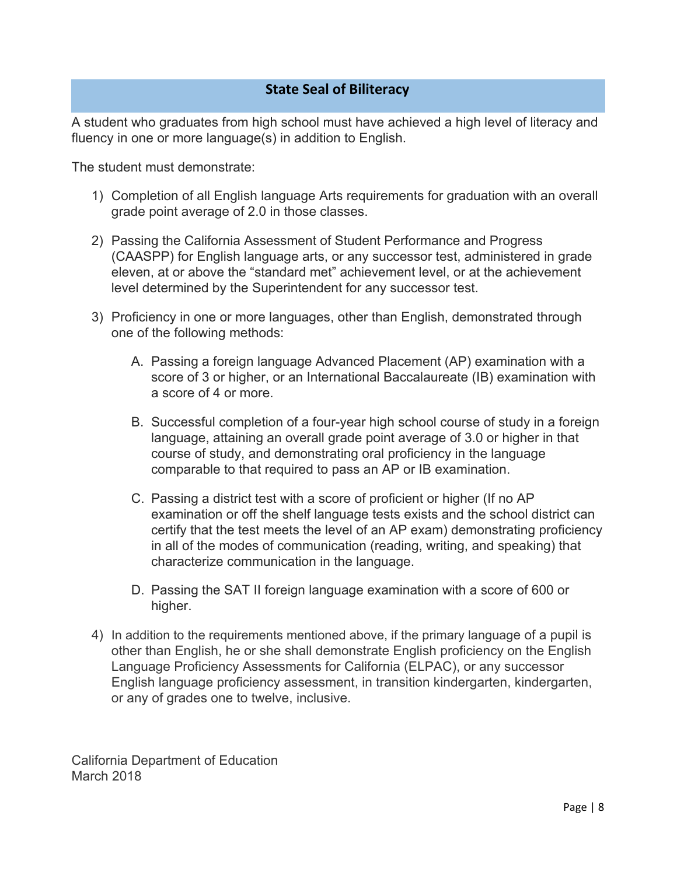## **State Seal of Biliteracy**

<span id="page-7-0"></span>A student who graduates from high school must have achieved a high level of literacy and fluency in one or more language(s) in addition to English.

The student must demonstrate:

- 1) Completion of all English language Arts requirements for graduation with an overall grade point average of 2.0 in those classes.
- 2) Passing the California Assessment of Student Performance and Progress (CAASPP) for English language arts, or any successor test, administered in grade eleven, at or above the "standard met" achievement level, or at the achievement level determined by the Superintendent for any successor test.
- 3) Proficiency in one or more languages, other than English, demonstrated through one of the following methods:
	- A. Passing a foreign language Advanced Placement (AP) examination with a score of 3 or higher, or an International Baccalaureate (IB) examination with a score of 4 or more.
	- B. Successful completion of a four-year high school course of study in a foreign language, attaining an overall grade point average of 3.0 or higher in that course of study, and demonstrating oral proficiency in the language comparable to that required to pass an AP or IB examination.
	- C. Passing a district test with a score of proficient or higher (If no AP examination or off the shelf language tests exists and the school district can certify that the test meets the level of an AP exam) demonstrating proficiency in all of the modes of communication (reading, writing, and speaking) that characterize communication in the language.
	- D. Passing the SAT II foreign language examination with a score of 600 or higher.
- 4) In addition to the requirements mentioned above, if the primary language of a pupil is other than English, he or she shall demonstrate English proficiency on the English Language Proficiency Assessments for California (ELPAC), or any successor English language proficiency assessment, in transition kindergarten, kindergarten, or any of grades one to twelve, inclusive.

California Department of Education March 2018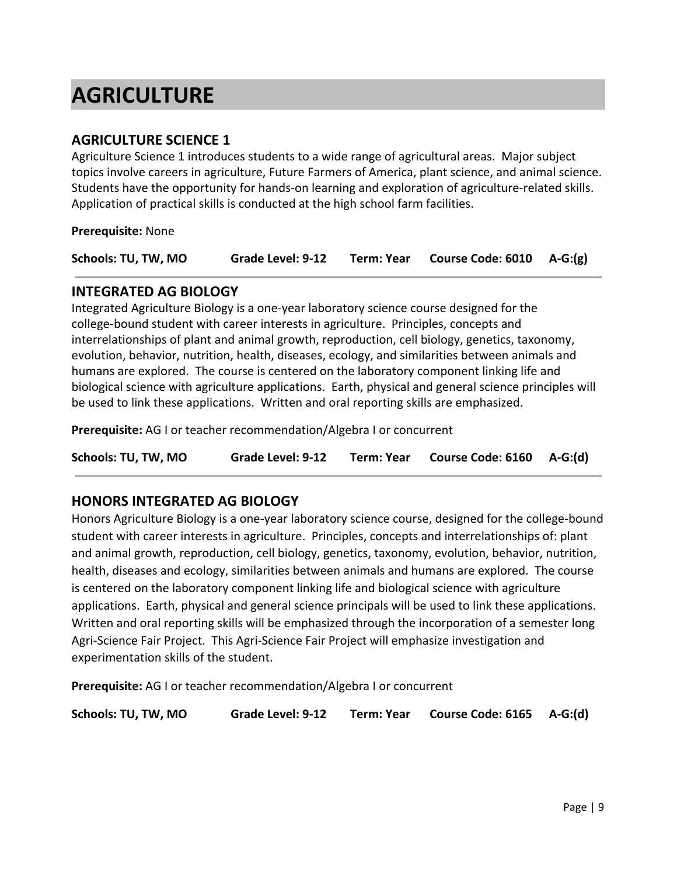## <span id="page-8-0"></span>**AGRICULTURE**

## **AGRICULTURE SCIENCE 1**

Agriculture Science 1 introduces students to a wide range of agricultural areas. Major subject topics involve careers in agriculture, Future Farmers of America, plant science, and animal science. Students have the opportunity for hands-on learning and exploration of agriculture-related skills. Application of practical skills is conducted at the high school farm facilities.

**Prerequisite:** None

| Course Code: $6010$ A-G:(g)<br>Schools: TU, TW, MO |  | Grade Level: 9-12 | <b>Term: Year</b> |  |  |
|----------------------------------------------------|--|-------------------|-------------------|--|--|
|----------------------------------------------------|--|-------------------|-------------------|--|--|

## **INTEGRATED AG BIOLOGY**

Integrated Agriculture Biology is a one-year laboratory science course designed for the college-bound student with career interests in agriculture. Principles, concepts and interrelationships of plant and animal growth, reproduction, cell biology, genetics, taxonomy, evolution, behavior, nutrition, health, diseases, ecology, and similarities between animals and humans are explored. The course is centered on the laboratory component linking life and biological science with agriculture applications. Earth, physical and general science principles will be used to link these applications. Written and oral reporting skills are emphasized.

**Prerequisite:** AG I or teacher recommendation/Algebra I or concurrent

**Schools: TU, TW, MO Grade Level: 9-12 Term: Year Course Code: 6160 A-G:(d)**

## **HONORS INTEGRATED AG BIOLOGY**

Honors Agriculture Biology is a one-year laboratory science course, designed for the college-bound student with career interests in agriculture. Principles, concepts and interrelationships of: plant and animal growth, reproduction, cell biology, genetics, taxonomy, evolution, behavior, nutrition, health, diseases and ecology, similarities between animals and humans are explored. The course is centered on the laboratory component linking life and biological science with agriculture applications. Earth, physical and general science principals will be used to link these applications. Written and oral reporting skills will be emphasized through the incorporation of a semester long Agri-Science Fair Project. This Agri-Science Fair Project will emphasize investigation and experimentation skills of the student.

**Prerequisite:** AG I or teacher recommendation/Algebra I or concurrent

**Schools: TU, TW, MO Grade Level: 9-12 Term: Year Course Code: 6165 A-G:(d)**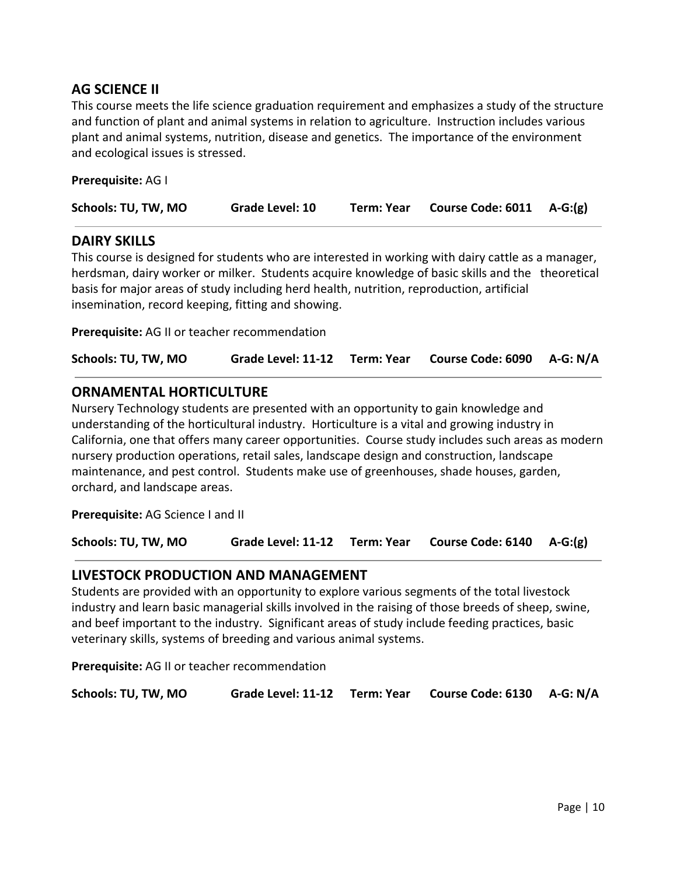## **AG SCIENCE II**

This course meets the life science graduation requirement and emphasizes a study of the structure and function of plant and animal systems in relation to agriculture. Instruction includes various plant and animal systems, nutrition, disease and genetics. The importance of the environment and ecological issues is stressed.

**Prerequisite:** AG I

| Schools: TU, TW, MO<br>Course Code: $6011$ A-G: $(g)$<br>Grade Level: 10<br><b>Term: Year</b> |  |
|-----------------------------------------------------------------------------------------------|--|
|-----------------------------------------------------------------------------------------------|--|

#### **DAIRY SKILLS**

This course is designed for students who are interested in working with dairy cattle as a manager, herdsman, dairy worker or milker. Students acquire knowledge of basic skills and the theoretical basis for major areas of study including herd health, nutrition, reproduction, artificial insemination, record keeping, fitting and showing.

**Prerequisite:** AG II or teacher recommendation

| Schools: TU, TW, MO |  | Grade Level: 11-12 Term: Year Course Code: 6090 A-G: N/A |  |
|---------------------|--|----------------------------------------------------------|--|
|---------------------|--|----------------------------------------------------------|--|

## **ORNAMENTAL HORTICULTURE**

Nursery Technology students are presented with an opportunity to gain knowledge and understanding of the horticultural industry. Horticulture is a vital and growing industry in California, one that offers many career opportunities. Course study includes such areas as modern nursery production operations, retail sales, landscape design and construction, landscape maintenance, and pest control. Students make use of greenhouses, shade houses, garden, orchard, and landscape areas.

**Prerequisite:** AG Science I and II

**Schools: TU, TW, MO Grade Level: 11-12 Term: Year Course Code: 6140 A-G:(g)**

## **LIVESTOCK PRODUCTION AND MANAGEMENT**

Students are provided with an opportunity to explore various segments of the total livestock industry and learn basic managerial skills involved in the raising of those breeds of sheep, swine, and beef important to the industry. Significant areas of study include feeding practices, basic veterinary skills, systems of breeding and various animal systems.

**Prerequisite:** AG II or teacher recommendation

**Schools: TU, TW, MO Grade Level: 11-12 Term: Year Course Code: 6130 A-G: N/A**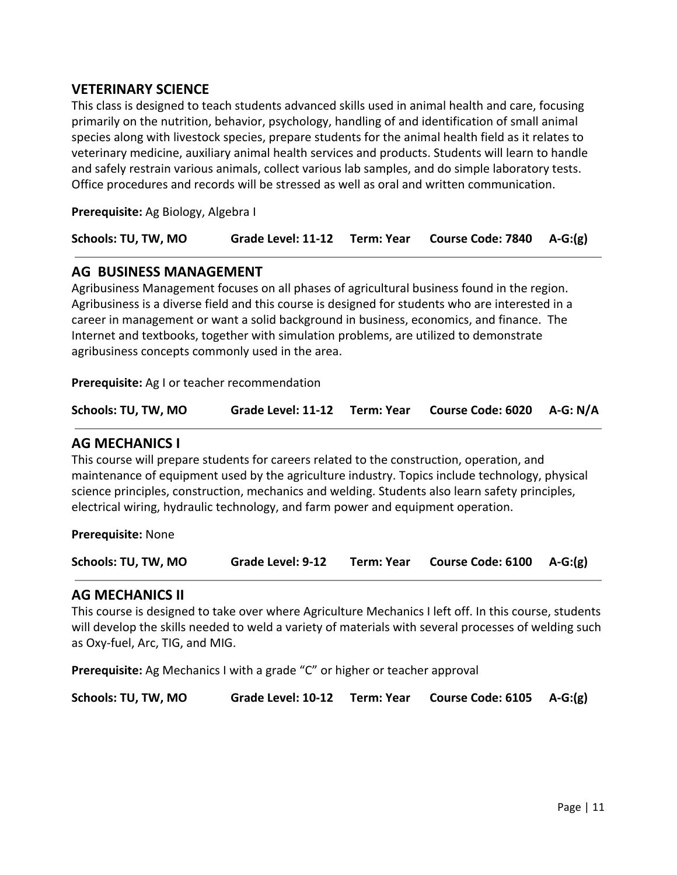## **VETERINARY SCIENCE**

This class is designed to teach students advanced skills used in animal health and care, focusing primarily on the nutrition, behavior, psychology, handling of and identification of small animal species along with livestock species, prepare students for the animal health field as it relates to veterinary medicine, auxiliary animal health services and products. Students will learn to handle and safely restrain various animals, collect various lab samples, and do simple laboratory tests. Office procedures and records will be stressed as well as oral and written communication.

**Prerequisite:** Ag Biology, Algebra I

| Schools: TU, TW, MO |  | Grade Level: 11-12 Term: Year Course Code: 7840 A-G:(g) |  |
|---------------------|--|---------------------------------------------------------|--|
|                     |  |                                                         |  |

## **AG BUSINESS MANAGEMENT**

Agribusiness Management focuses on all phases of agricultural business found in the region. Agribusiness is a diverse field and this course is designed for students who are interested in a career in management or want a solid background in business, economics, and finance. The Internet and textbooks, together with simulation problems, are utilized to demonstrate agribusiness concepts commonly used in the area.

**Prerequisite:** Ag I or teacher recommendation

| Schools: TU, TW, MO |  |  | Grade Level: 11-12 Term: Year Course Code: 6020 A-G: N/A |  |
|---------------------|--|--|----------------------------------------------------------|--|
|---------------------|--|--|----------------------------------------------------------|--|

#### **AG MECHANICS I**

This course will prepare students for careers related to the construction, operation, and maintenance of equipment used by the agriculture industry. Topics include technology, physical science principles, construction, mechanics and welding. Students also learn safety principles, electrical wiring, hydraulic technology, and farm power and equipment operation.

**Prerequisite:** None

**Schools: TU, TW, MO Grade Level: 9-12 Term: Year Course Code: 6100 A-G:(g)**

#### **AG MECHANICS II**

This course is designed to take over where Agriculture Mechanics I left off. In this course, students will develop the skills needed to weld a variety of materials with several processes of welding such as Oxy-fuel, Arc, TIG, and MIG.

**Prerequisite:** Ag Mechanics I with a grade "C" or higher or teacher approval

| Schools: TU, TW, MO |  |  | Grade Level: 10-12 Term: Year Course Code: 6105 A-G:(g) |  |
|---------------------|--|--|---------------------------------------------------------|--|
|---------------------|--|--|---------------------------------------------------------|--|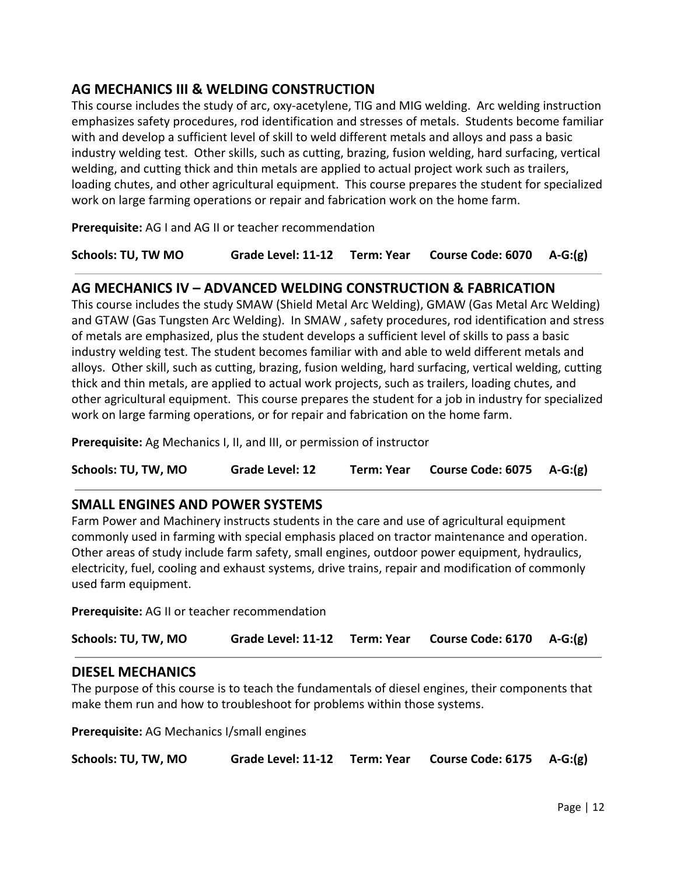## **AG MECHANICS III & WELDING CONSTRUCTION**

This course includes the study of arc, oxy-acetylene, TIG and MIG welding. Arc welding instruction emphasizes safety procedures, rod identification and stresses of metals. Students become familiar with and develop a sufficient level of skill to weld different metals and alloys and pass a basic industry welding test. Other skills, such as cutting, brazing, fusion welding, hard surfacing, vertical welding, and cutting thick and thin metals are applied to actual project work such as trailers, loading chutes, and other agricultural equipment. This course prepares the student for specialized work on large farming operations or repair and fabrication work on the home farm.

**Prerequisite:** AG I and AG II or teacher recommendation

**Schools: TU, TW MO Grade Level: 11-12 Term: Year Course Code: 6070 A-G:(g)**

## **AG MECHANICS IV – ADVANCED WELDING CONSTRUCTION & FABRICATION**

This course includes the study SMAW (Shield Metal Arc Welding), GMAW (Gas Metal Arc Welding) and GTAW (Gas Tungsten Arc Welding). In SMAW , safety procedures, rod identification and stress of metals are emphasized, plus the student develops a sufficient level of skills to pass a basic industry welding test. The student becomes familiar with and able to weld different metals and alloys. Other skill, such as cutting, brazing, fusion welding, hard surfacing, vertical welding, cutting thick and thin metals, are applied to actual work projects, such as trailers, loading chutes, and other agricultural equipment. This course prepares the student for a job in industry for specialized work on large farming operations, or for repair and fabrication on the home farm.

**Prerequisite:** Ag Mechanics I, II, and III, or permission of instructor

**Schools: TU, TW, MO Grade Level: 12 Term: Year Course Code: 6075 A-G:(g)**

## **SMALL ENGINES AND POWER SYSTEMS**

Farm Power and Machinery instructs students in the care and use of agricultural equipment commonly used in farming with special emphasis placed on tractor maintenance and operation. Other areas of study include farm safety, small engines, outdoor power equipment, hydraulics, electricity, fuel, cooling and exhaust systems, drive trains, repair and modification of commonly used farm equipment.

**Prerequisite:** AG II or teacher recommendation

**Schools: TU, TW, MO Grade Level: 11-12 Term: Year Course Code: 6170 A-G:(g)**

## **DIESEL MECHANICS**

The purpose of this course is to teach the fundamentals of diesel engines, their components that make them run and how to troubleshoot for problems within those systems.

**Prerequisite:** AG Mechanics I/small engines

| Schools: TU, TW, MO |  |  | Grade Level: 11-12 Term: Year Course Code: 6175 A-G:(g) |  |
|---------------------|--|--|---------------------------------------------------------|--|
|---------------------|--|--|---------------------------------------------------------|--|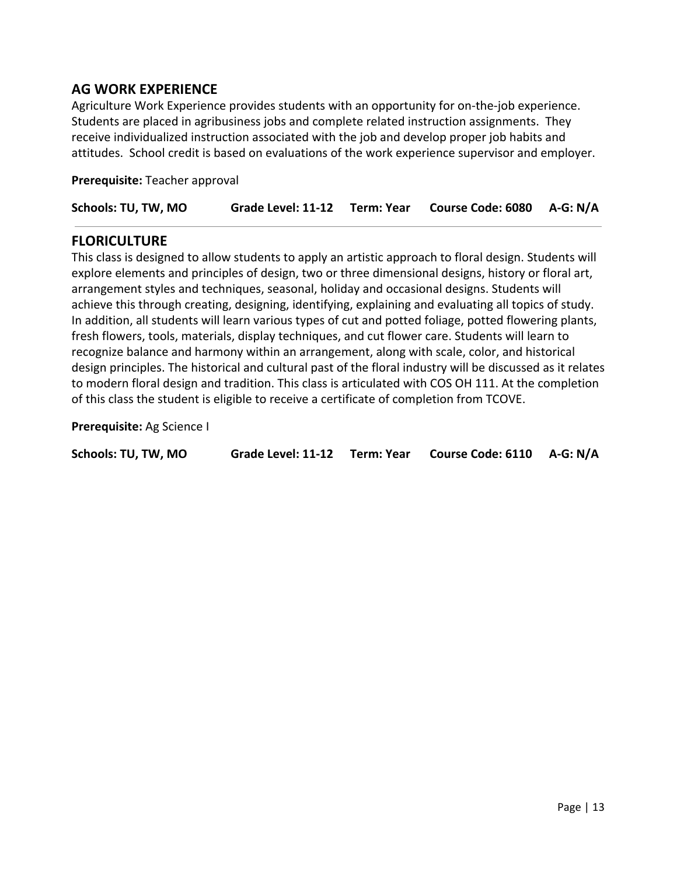## **AG WORK EXPERIENCE**

Agriculture Work Experience provides students with an opportunity for on-the-job experience. Students are placed in agribusiness jobs and complete related instruction assignments. They receive individualized instruction associated with the job and develop proper job habits and attitudes. School credit is based on evaluations of the work experience supervisor and employer.

**Prerequisite:** Teacher approval

| Schools: TU, TW, MO |  |  | Grade Level: 11-12 Term: Year Course Code: 6080 A-G: N/A |  |
|---------------------|--|--|----------------------------------------------------------|--|
|---------------------|--|--|----------------------------------------------------------|--|

#### **FLORICULTURE**

This class is designed to allow students to apply an artistic approach to floral design. Students will explore elements and principles of design, two or three dimensional designs, history or floral art, arrangement styles and techniques, seasonal, holiday and occasional designs. Students will achieve this through creating, designing, identifying, explaining and evaluating all topics of study. In addition, all students will learn various types of cut and potted foliage, potted flowering plants, fresh flowers, tools, materials, display techniques, and cut flower care. Students will learn to recognize balance and harmony within an arrangement, along with scale, color, and historical design principles. The historical and cultural past of the floral industry will be discussed as it relates to modern floral design and tradition. This class is articulated with COS OH 111. At the completion of this class the student is eligible to receive a certificate of completion from TCOVE.

**Prerequisite:** Ag Science I

| Grade Level: 11-12 Term: Year Course Code: 6110 A-G: N/A<br>Schools: TU, TW, MO |  |
|---------------------------------------------------------------------------------|--|
|---------------------------------------------------------------------------------|--|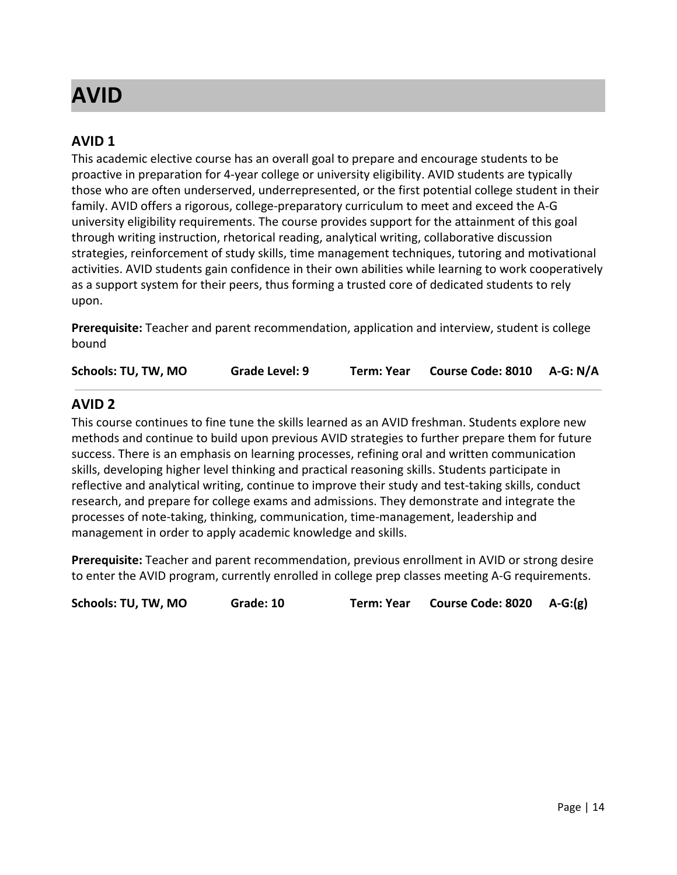## <span id="page-13-0"></span>**AVID**

## **AVID 1**

This academic elective course has an overall goal to prepare and encourage students to be proactive in preparation for 4-year college or university eligibility. AVID students are typically those who are often underserved, underrepresented, or the first potential college student in their family. AVID offers a rigorous, college-preparatory curriculum to meet and exceed the A-G university eligibility requirements. The course provides support for the attainment of this goal through writing instruction, rhetorical reading, analytical writing, collaborative discussion strategies, reinforcement of study skills, time management techniques, tutoring and motivational activities. AVID students gain confidence in their own abilities while learning to work cooperatively as a support system for their peers, thus forming a trusted core of dedicated students to rely upon.

**Prerequisite:** Teacher and parent recommendation, application and interview, student is college bound

| Schools: TU, TW, MO | Grade Level: 9 | Term: Year | Course Code: 8010 A-G: N/A |  |
|---------------------|----------------|------------|----------------------------|--|
|---------------------|----------------|------------|----------------------------|--|

## **AVID 2**

This course continues to fine tune the skills learned as an AVID freshman. Students explore new methods and continue to build upon previous AVID strategies to further prepare them for future success. There is an emphasis on learning processes, refining oral and written communication skills, developing higher level thinking and practical reasoning skills. Students participate in reflective and analytical writing, continue to improve their study and test-taking skills, conduct research, and prepare for college exams and admissions. They demonstrate and integrate the processes of note-taking, thinking, communication, time-management, leadership and management in order to apply academic knowledge and skills.

**Prerequisite:** Teacher and parent recommendation, previous enrollment in AVID or strong desire to enter the AVID program, currently enrolled in college prep classes meeting A-G requirements.

**Schools: TU, TW, MO Grade: 10 Term: Year Course Code: 8020 A-G:(g)**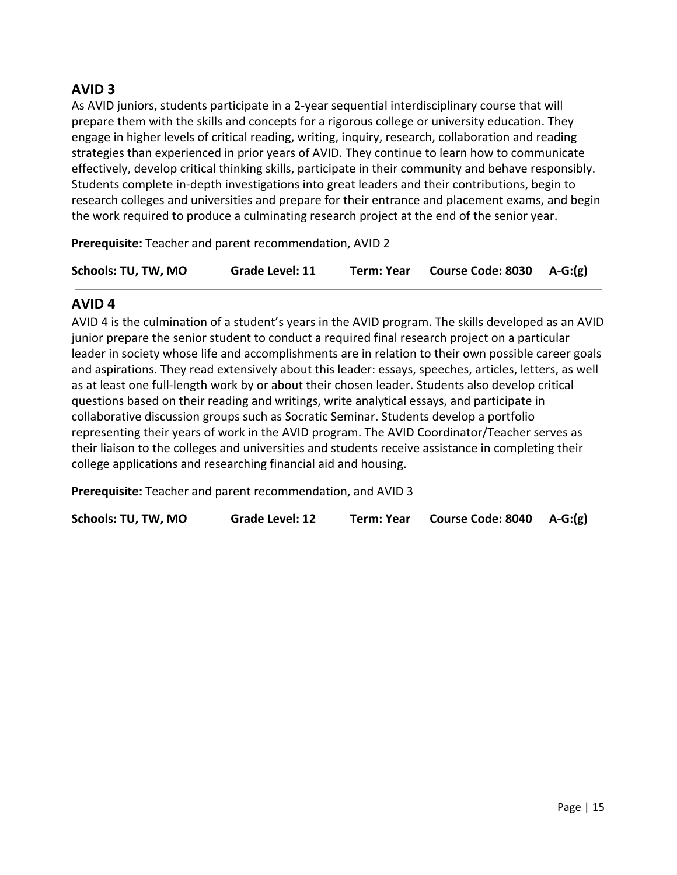## **AVID 3**

As AVID juniors, students participate in a 2-year sequential interdisciplinary course that will prepare them with the skills and concepts for a rigorous college or university education. They engage in higher levels of critical reading, writing, inquiry, research, collaboration and reading strategies than experienced in prior years of AVID. They continue to learn how to communicate effectively, develop critical thinking skills, participate in their community and behave responsibly. Students complete in-depth investigations into great leaders and their contributions, begin to research colleges and universities and prepare for their entrance and placement exams, and begin the work required to produce a culminating research project at the end of the senior year.

**Prerequisite:** Teacher and parent recommendation, AVID 2

| Schools: TU, TW, MO | Grade Level: 11 | Term: Year | Course Code: 8030 A-G:(g) |  |
|---------------------|-----------------|------------|---------------------------|--|
|                     |                 |            |                           |  |

## **AVID 4**

AVID 4 is the culmination of a student's years in the AVID program. The skills developed as an AVID junior prepare the senior student to conduct a required final research project on a particular leader in society whose life and accomplishments are in relation to their own possible career goals and aspirations. They read extensively about this leader: essays, speeches, articles, letters, as well as at least one full-length work by or about their chosen leader. Students also develop critical questions based on their reading and writings, write analytical essays, and participate in collaborative discussion groups such as Socratic Seminar. Students develop a portfolio representing their years of work in the AVID program. The AVID Coordinator/Teacher serves as their liaison to the colleges and universities and students receive assistance in completing their college applications and researching financial aid and housing.

**Prerequisite:** Teacher and parent recommendation, and AVID 3

**Schools: TU, TW, MO Grade Level: 12 Term: Year Course Code: 8040 A-G:(g)**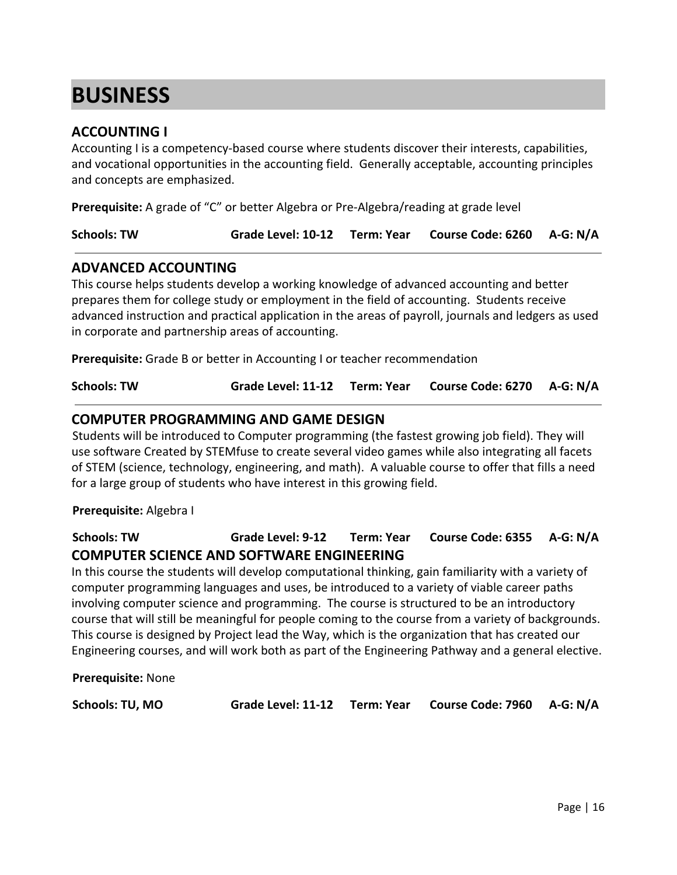# <span id="page-15-0"></span>**BUSINESS**

## **ACCOUNTING I**

Accounting I is a competency-based course where students discover their interests, capabilities, and vocational opportunities in the accounting field. Generally acceptable, accounting principles and concepts are emphasized.

**Prerequisite:** A grade of "C" or better Algebra or Pre-Algebra/reading at grade level

| <b>Schools: TW</b> |  | Grade Level: 10-12 Term: Year Course Code: 6260 A-G: N/A |  |
|--------------------|--|----------------------------------------------------------|--|
|--------------------|--|----------------------------------------------------------|--|

#### **ADVANCED ACCOUNTING**

This course helps students develop a working knowledge of advanced accounting and better prepares them for college study or employment in the field of accounting. Students receive advanced instruction and practical application in the areas of payroll, journals and ledgers as used in corporate and partnership areas of accounting.

**Prerequisite:** Grade B or better in Accounting I or teacher recommendation

**Schools: TW Grade Level: 11-12 Term: Year Course Code: 6270 A-G: N/A**

#### **COMPUTER PROGRAMMING AND GAME DESIGN**

Students will be introduced to Computer programming (the fastest growing job field). They will use software Created by STEMfuse to create several video games while also integrating all facets of STEM (science, technology, engineering, and math). A valuable course to offer that fills a need for a large group of students who have interest in this growing field.

**Prerequisite:** Algebra I

## **Schools: TW Grade Level: 9-12 Term: Year Course Code: 6355 A-G: N/A COMPUTER SCIENCE AND SOFTWARE ENGINEERING**

In this course the students will develop computational thinking, gain familiarity with a variety of computer programming languages and uses, be introduced to a variety of viable career paths involving computer science and programming. The course is structured to be an introductory course that will still be meaningful for people coming to the course from a variety of backgrounds. This course is designed by Project lead the Way, which is the organization that has created our Engineering courses, and will work both as part of the Engineering Pathway and a general elective.

**Prerequisite:** None

**Schools: TU, MO Grade Level: 11-12 Term: Year Course Code: 7960 A-G: N/A**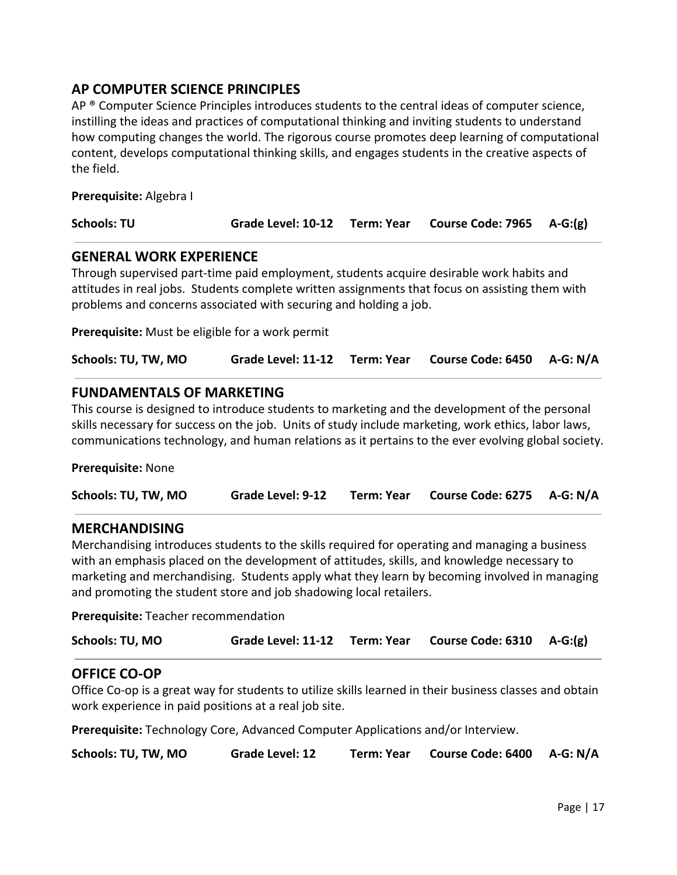## **AP COMPUTER SCIENCE PRINCIPLES**

AP  $\degree$  Computer Science Principles introduces students to the central ideas of computer science, instilling the ideas and practices of computational thinking and inviting students to understand how computing changes the world. The rigorous course promotes deep learning of computational content, develops computational thinking skills, and engages students in the creative aspects of the field.

**Prerequisite:** Algebra I

| Grade Level: 10-12 Term: Year Course Code: 7965 A-G:(g)<br><b>Schools: TU</b> |  |
|-------------------------------------------------------------------------------|--|
|-------------------------------------------------------------------------------|--|

## **GENERAL WORK EXPERIENCE**

Through supervised part-time paid employment, students acquire desirable work habits and attitudes in real jobs. Students complete written assignments that focus on assisting them with problems and concerns associated with securing and holding a job.

**Prerequisite:** Must be eligible for a work permit

| Schools: TU, TW, MO |  |  | Grade Level: 11-12 Term: Year Course Code: 6450 A-G: N/A |  |
|---------------------|--|--|----------------------------------------------------------|--|
|---------------------|--|--|----------------------------------------------------------|--|

## **FUNDAMENTALS OF MARKETING**

This course is designed to introduce students to marketing and the development of the personal skills necessary for success on the job. Units of study include marketing, work ethics, labor laws, communications technology, and human relations as it pertains to the ever evolving global society.

**Prerequisite:** None

| Schools: TU, TW, MO | <b>Grade Level: 9-12</b> |  | Term: Year Course Code: 6275 A-G: N/A |  |
|---------------------|--------------------------|--|---------------------------------------|--|
|---------------------|--------------------------|--|---------------------------------------|--|

## **MERCHANDISING**

Merchandising introduces students to the skills required for operating and managing a business with an emphasis placed on the development of attitudes, skills, and knowledge necessary to marketing and merchandising. Students apply what they learn by becoming involved in managing and promoting the student store and job shadowing local retailers.

**Prerequisite:** Teacher recommendation

| Schools: TU, MO |  |  | Grade Level: 11-12 Term: Year Course Code: 6310 A-G:(g) |  |
|-----------------|--|--|---------------------------------------------------------|--|
|-----------------|--|--|---------------------------------------------------------|--|

## **OFFICE CO-OP**

Office Co-op is a great way for students to utilize skills learned in their business classes and obtain work experience in paid positions at a real job site.

**Prerequisite:** Technology Core, Advanced Computer Applications and/or Interview.

**Schools: TU, TW, MO Grade Level: 12 Term: Year Course Code: 6400 A-G: N/A**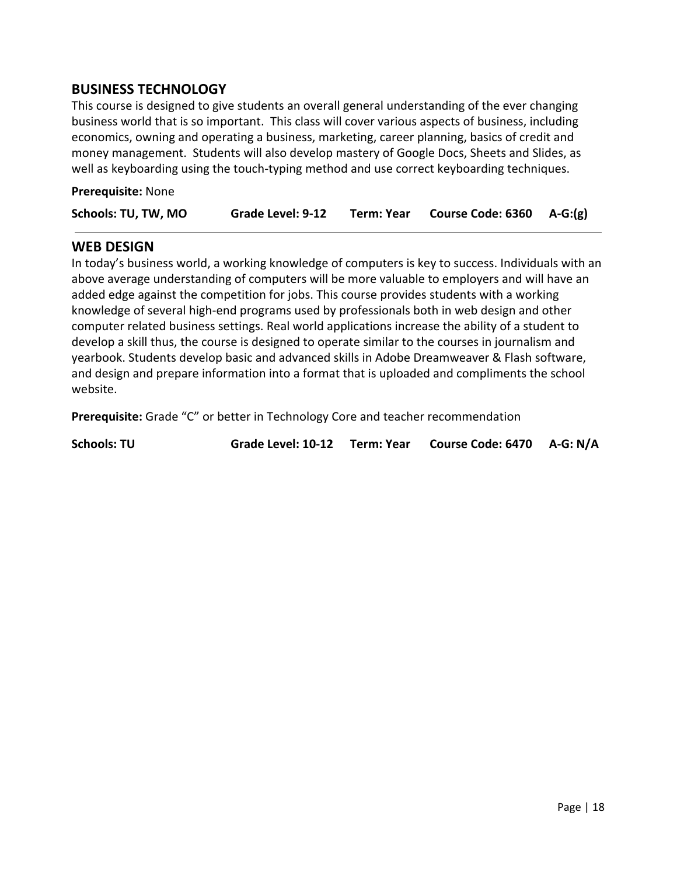## **BUSINESS TECHNOLOGY**

This course is designed to give students an overall general understanding of the ever changing business world that is so important. This class will cover various aspects of business, including economics, owning and operating a business, marketing, career planning, basics of credit and money management. Students will also develop mastery of Google Docs, Sheets and Slides, as well as keyboarding using the touch-typing method and use correct keyboarding techniques.

| Prerequisite: None |  |
|--------------------|--|
|--------------------|--|

| Schools: TU, TW, MO | Grade Level: 9-12 | Term: Year | Course Code: $6360$ A-G:(g) |  |
|---------------------|-------------------|------------|-----------------------------|--|
|---------------------|-------------------|------------|-----------------------------|--|

#### **WEB DESIGN**

In today's business world, a working knowledge of computers is key to success. Individuals with an above average understanding of computers will be more valuable to employers and will have an added edge against the competition for jobs. This course provides students with a working knowledge of several high-end programs used by professionals both in web design and other computer related business settings. Real world applications increase the ability of a student to develop a skill thus, the course is designed to operate similar to the courses in journalism and yearbook. Students develop basic and advanced skills in Adobe Dreamweaver & Flash software, and design and prepare information into a format that is uploaded and compliments the school website.

**Prerequisite:** Grade "C" or better in Technology Core and teacher recommendation

**Schools: TU Grade Level: 10-12 Term: Year Course Code: 6470 A-G: N/A**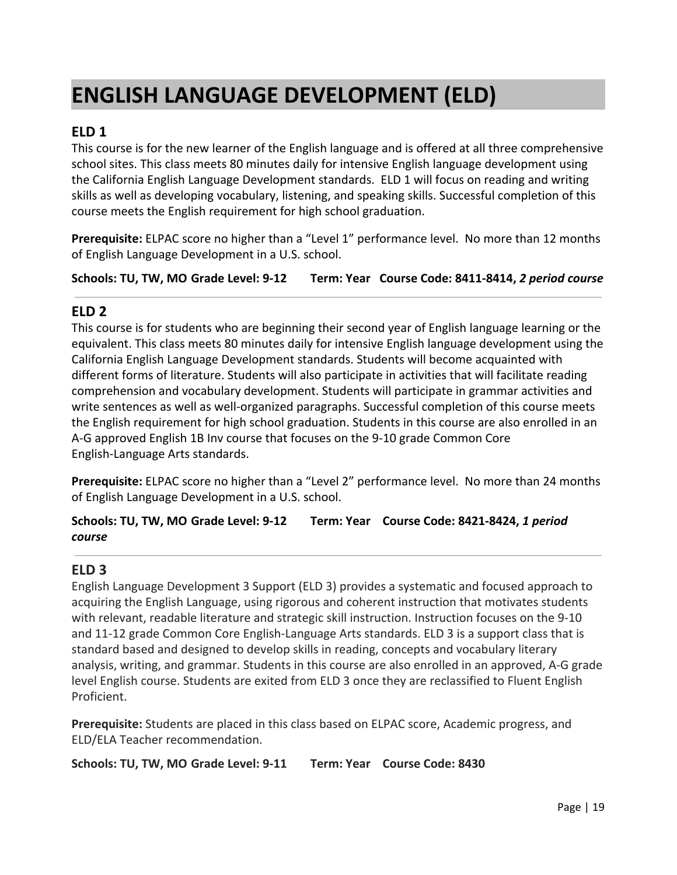# <span id="page-18-0"></span>**ENGLISH LANGUAGE DEVELOPMENT (ELD)**

## **ELD 1**

This course is for the new learner of the English language and is offered at all three comprehensive school sites. This class meets 80 minutes daily for intensive English language development using the California English Language Development standards. ELD 1 will focus on reading and writing skills as well as developing vocabulary, listening, and speaking skills. Successful completion of this course meets the English requirement for high school graduation.

**Prerequisite:** ELPAC score no higher than a "Level 1" performance level. No more than 12 months of English Language Development in a U.S. school.

**Schools: TU, TW, MO Grade Level: 9-12 Term: Year Course Code: 8411-8414,** *2 period course*

## **ELD 2**

This course is for students who are beginning their second year of English language learning or the equivalent. This class meets 80 minutes daily for intensive English language development using the California English Language Development standards. Students will become acquainted with different forms of literature. Students will also participate in activities that will facilitate reading comprehension and vocabulary development. Students will participate in grammar activities and write sentences as well as well-organized paragraphs. Successful completion of this course meets the English requirement for high school graduation. Students in this course are also enrolled in an A-G approved English 1B Inv course that focuses on the 9-10 grade Common Core English-Language Arts standards.

**Prerequisite:** ELPAC score no higher than a "Level 2" performance level. No more than 24 months of English Language Development in a U.S. school.

**Schools: TU, TW, MO Grade Level: 9-12 Term: Year Course Code: 8421-8424,** *1 period course*

## **ELD 3**

English Language Development 3 Support (ELD 3) provides a systematic and focused approach to acquiring the English Language, using rigorous and coherent instruction that motivates students with relevant, readable literature and strategic skill instruction. Instruction focuses on the 9-10 and 11-12 grade Common Core English-Language Arts standards. ELD 3 is a support class that is standard based and designed to develop skills in reading, concepts and vocabulary literary analysis, writing, and grammar. Students in this course are also enrolled in an approved, A-G grade level English course. Students are exited from ELD 3 once they are reclassified to Fluent English Proficient.

**Prerequisite:** Students are placed in this class based on ELPAC score, Academic progress, and ELD/ELA Teacher recommendation.

**Schools: TU, TW, MO Grade Level: 9-11 Term: Year Course Code: 8430**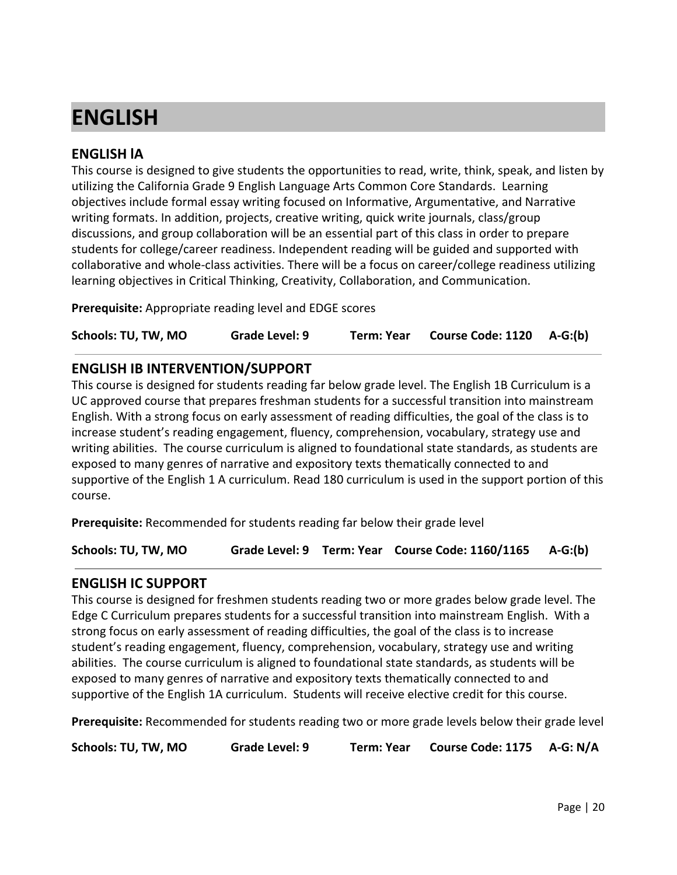# <span id="page-19-0"></span>**ENGLISH**

## **ENGLISH lA**

This course is designed to give students the opportunities to read, write, think, speak, and listen by utilizing the California Grade 9 English Language Arts Common Core Standards. Learning objectives include formal essay writing focused on Informative, Argumentative, and Narrative writing formats. In addition, projects, creative writing, quick write journals, class/group discussions, and group collaboration will be an essential part of this class in order to prepare students for college/career readiness. Independent reading will be guided and supported with collaborative and whole-class activities. There will be a focus on career/college readiness utilizing learning objectives in Critical Thinking, Creativity, Collaboration, and Communication.

**Prerequisite:** Appropriate reading level and EDGE scores

**Schools: TU, TW, MO Grade Level: 9 Term: Year Course Code: 1120 A-G:(b)**

## **ENGLISH IB INTERVENTION/SUPPORT**

This course is designed for students reading far below grade level. The English 1B Curriculum is a UC approved course that prepares freshman students for a successful transition into mainstream English. With a strong focus on early assessment of reading difficulties, the goal of the class is to increase student's reading engagement, fluency, comprehension, vocabulary, strategy use and writing abilities. The course curriculum is aligned to foundational state standards, as students are exposed to many genres of narrative and expository texts thematically connected to and supportive of the English 1 A curriculum. Read 180 curriculum is used in the support portion of this course.

**Prerequisite:** Recommended for students reading far below their grade level

**Schools: TU, TW, MO Grade Level: 9 Term: Year Course Code: 1160/1165 A-G:(b)**

## **ENGLISH IC SUPPORT**

This course is designed for freshmen students reading two or more grades below grade level. The Edge C Curriculum prepares students for a successful transition into mainstream English. With a strong focus on early assessment of reading difficulties, the goal of the class is to increase student's reading engagement, fluency, comprehension, vocabulary, strategy use and writing abilities. The course curriculum is aligned to foundational state standards, as students will be exposed to many genres of narrative and expository texts thematically connected to and supportive of the English 1A curriculum. Students will receive elective credit for this course.

**Prerequisite:** Recommended for students reading two or more grade levels below their grade level

**Schools: TU, TW, MO Grade Level: 9 Term: Year Course Code: 1175 A-G: N/A**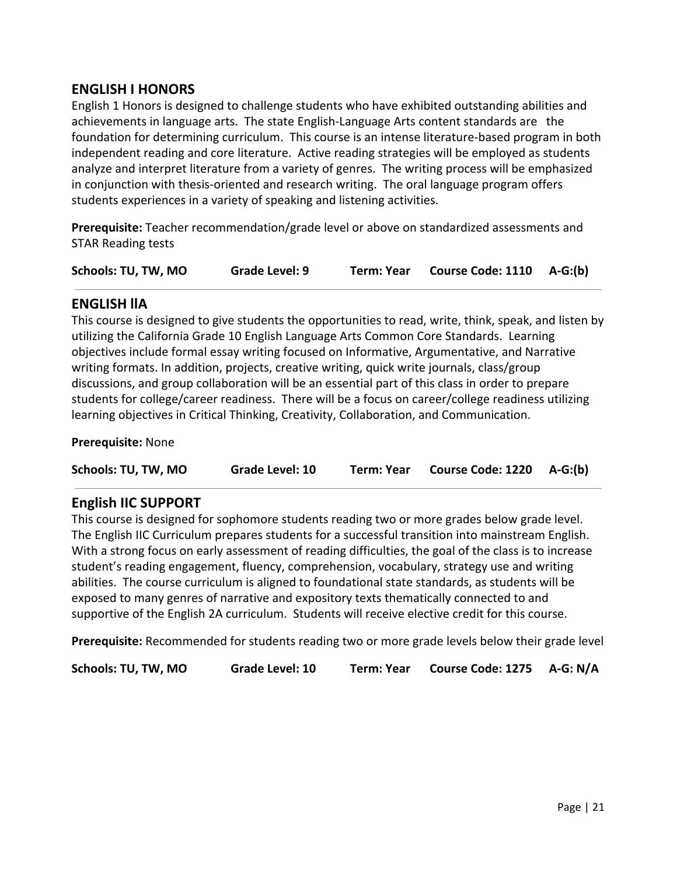## **ENGLISH I HONORS**

English 1 Honors is designed to challenge students who have exhibited outstanding abilities and achievements in language arts. The state English-Language Arts content standards are the foundation for determining curriculum. This course is an intense literature-based program in both independent reading and core literature. Active reading strategies will be employed as students analyze and interpret literature from a variety of genres. The writing process will be emphasized in conjunction with thesis-oriented and research writing. The oral language program offers students experiences in a variety of speaking and listening activities.

**Prerequisite:** Teacher recommendation/grade level or above on standardized assessments and STAR Reading tests

**Schools: TU, TW, MO Grade Level: 9 Term: Year Course Code: 1110 A-G:(b)**

## **ENGLISH llA**

This course is designed to give students the opportunities to read, write, think, speak, and listen by utilizing the California Grade 10 English Language Arts Common Core Standards. Learning objectives include formal essay writing focused on Informative, Argumentative, and Narrative writing formats. In addition, projects, creative writing, quick write journals, class/group discussions, and group collaboration will be an essential part of this class in order to prepare students for college/career readiness. There will be a focus on career/college readiness utilizing learning objectives in Critical Thinking, Creativity, Collaboration, and Communication.

#### **Prerequisite:** None

**Schools: TU, TW, MO Grade Level: 10 Term: Year Course Code: 1220 A-G:(b)**

## **English IIC SUPPORT**

This course is designed for sophomore students reading two or more grades below grade level. The English IIC Curriculum prepares students for a successful transition into mainstream English. With a strong focus on early assessment of reading difficulties, the goal of the class is to increase student's reading engagement, fluency, comprehension, vocabulary, strategy use and writing abilities. The course curriculum is aligned to foundational state standards, as students will be exposed to many genres of narrative and expository texts thematically connected to and supportive of the English 2A curriculum. Students will receive elective credit for this course.

**Prerequisite:** Recommended for students reading two or more grade levels below their grade level

**Schools: TU, TW, MO Grade Level: 10 Term: Year Course Code: 1275 A-G: N/A**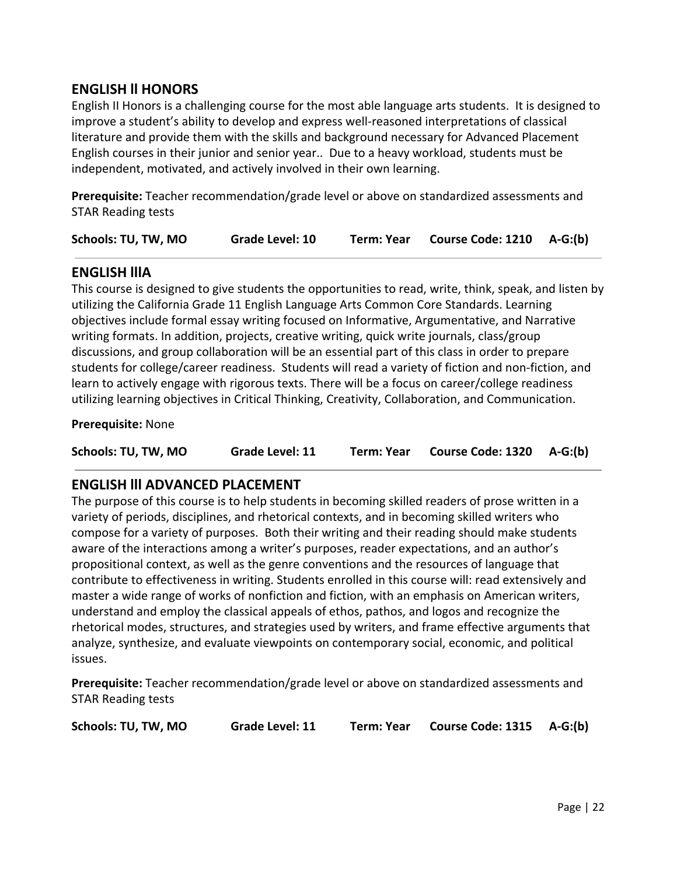## **ENGLISH ll HONORS**

English II Honors is a challenging course for the most able language arts students. It is designed to improve a student's ability to develop and express well-reasoned interpretations of classical literature and provide them with the skills and background necessary for Advanced Placement English courses in their junior and senior year.. Due to a heavy workload, students must be independent, motivated, and actively involved in their own learning.

**Prerequisite:** Teacher recommendation/grade level or above on standardized assessments and STAR Reading tests

| Schools: TU, TW, MO | Grade Level: 10 | Term: Year | Course Code: 1210 A-G:(b) |  |
|---------------------|-----------------|------------|---------------------------|--|
|---------------------|-----------------|------------|---------------------------|--|

## **ENGLISH lllA**

This course is designed to give students the opportunities to read, write, think, speak, and listen by utilizing the California Grade 11 English Language Arts Common Core Standards. Learning objectives include formal essay writing focused on Informative, Argumentative, and Narrative writing formats. In addition, projects, creative writing, quick write journals, class/group discussions, and group collaboration will be an essential part of this class in order to prepare students for college/career readiness. Students will read a variety of fiction and non-fiction, and learn to actively engage with rigorous texts. There will be a focus on career/college readiness utilizing learning objectives in Critical Thinking, Creativity, Collaboration, and Communication.

#### **Prerequisite:** None

**Schools: TU, TW, MO Grade Level: 11 Term: Year Course Code: 1320 A-G:(b)**

## **ENGLISH lll ADVANCED PLACEMENT**

The purpose of this course is to help students in becoming skilled readers of prose written in a variety of periods, disciplines, and rhetorical contexts, and in becoming skilled writers who compose for a variety of purposes. Both their writing and their reading should make students aware of the interactions among a writer's purposes, reader expectations, and an author's propositional context, as well as the genre conventions and the resources of language that contribute to effectiveness in writing. Students enrolled in this course will: read extensively and master a wide range of works of nonfiction and fiction, with an emphasis on American writers, understand and employ the classical appeals of ethos, pathos, and logos and recognize the rhetorical modes, structures, and strategies used by writers, and frame effective arguments that analyze, synthesize, and evaluate viewpoints on contemporary social, economic, and political issues.

**Prerequisite:** Teacher recommendation/grade level or above on standardized assessments and STAR Reading tests

**Schools: TU, TW, MO Grade Level: 11 Term: Year Course Code: 1315 A-G:(b)**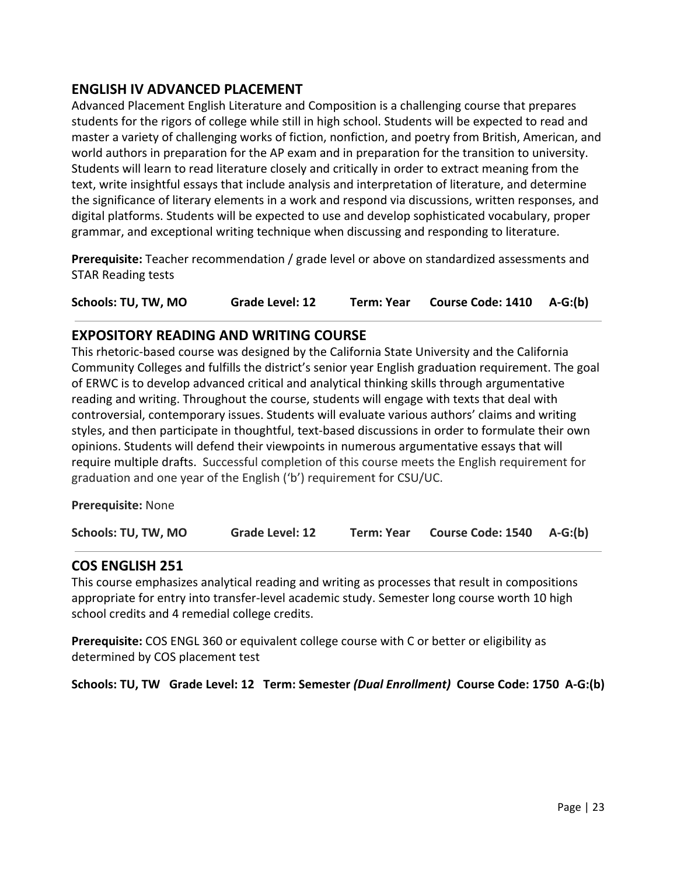## **ENGLISH IV ADVANCED PLACEMENT**

Advanced Placement English Literature and Composition is a challenging course that prepares students for the rigors of college while still in high school. Students will be expected to read and master a variety of challenging works of fiction, nonfiction, and poetry from British, American, and world authors in preparation for the AP exam and in preparation for the transition to university. Students will learn to read literature closely and critically in order to extract meaning from the text, write insightful essays that include analysis and interpretation of literature, and determine the significance of literary elements in a work and respond via discussions, written responses, and digital platforms. Students will be expected to use and develop sophisticated vocabulary, proper grammar, and exceptional writing technique when discussing and responding to literature.

**Prerequisite:** Teacher recommendation / grade level or above on standardized assessments and STAR Reading tests

**Schools: TU, TW, MO Grade Level: 12 Term: Year Course Code: 1410 A-G:(b)**

## **EXPOSITORY READING AND WRITING COURSE**

This rhetoric-based course was designed by the California State University and the California Community Colleges and fulfills the district's senior year English graduation requirement. The goal of ERWC is to develop advanced critical and analytical thinking skills through argumentative reading and writing. Throughout the course, students will engage with texts that deal with controversial, contemporary issues. Students will evaluate various authors' claims and writing styles, and then participate in thoughtful, text-based discussions in order to formulate their own opinions. Students will defend their viewpoints in numerous argumentative essays that will require multiple drafts. Successful completion of this course meets the English requirement for graduation and one year of the English ('b') requirement for CSU/UC.

**Prerequisite:** None

| Schools: TU, TW, MO | <b>Grade Level: 12</b> | <b>Term: Year</b> | Course Code: 1540 A-G:(b) |  |
|---------------------|------------------------|-------------------|---------------------------|--|
|---------------------|------------------------|-------------------|---------------------------|--|

## **COS ENGLISH 251**

This course emphasizes analytical reading and writing as processes that result in compositions appropriate for entry into transfer-level academic study. Semester long course worth 10 high school credits and 4 remedial college credits.

**Prerequisite:** COS ENGL 360 or equivalent college course with C or better or eligibility as determined by COS placement test

**Schools: TU, TW Grade Level: 12 Term: Semester** *(Dual Enrollment)* **Course Code: 1750 A-G:(b)**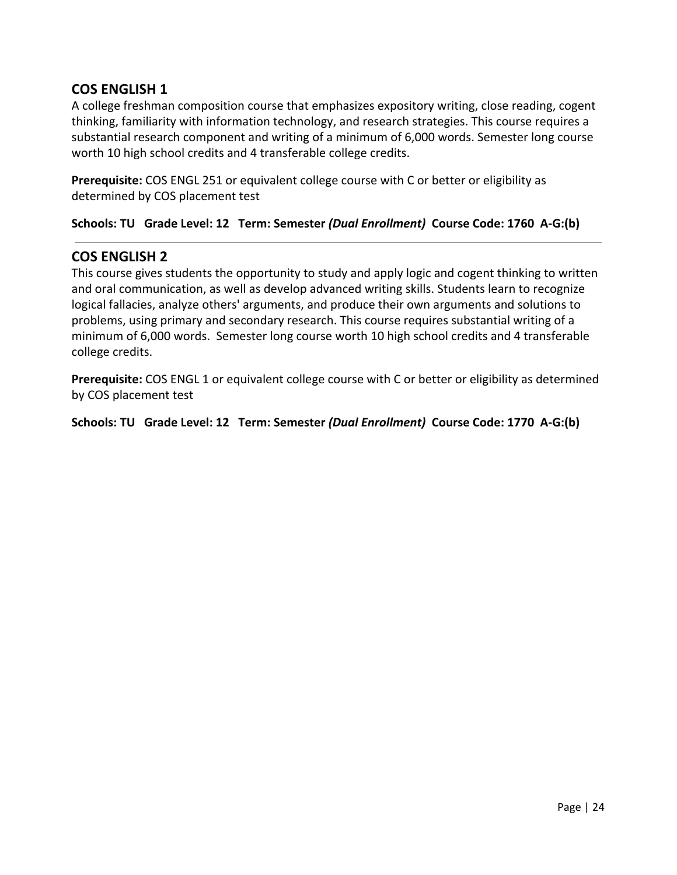## **COS ENGLISH 1**

A college freshman composition course that emphasizes expository writing, close reading, cogent thinking, familiarity with information technology, and research strategies. This course requires a substantial research component and writing of a minimum of 6,000 words. Semester long course worth 10 high school credits and 4 transferable college credits.

**Prerequisite:** COS ENGL 251 or equivalent college course with C or better or eligibility as determined by COS placement test

**Schools: TU Grade Level: 12 Term: Semester** *(Dual Enrollment)* **Course Code: 1760 A-G:(b)**

## **COS ENGLISH 2**

This course gives students the opportunity to study and apply logic and cogent thinking to written and oral communication, as well as develop advanced writing skills. Students learn to recognize logical fallacies, analyze others' arguments, and produce their own arguments and solutions to problems, using primary and secondary research. This course requires substantial writing of a minimum of 6,000 words. Semester long course worth 10 high school credits and 4 transferable college credits.

**Prerequisite:** COS ENGL 1 or equivalent college course with C or better or eligibility as determined by COS placement test

**Schools: TU Grade Level: 12 Term: Semester** *(Dual Enrollment)* **Course Code: 1770 A-G:(b)**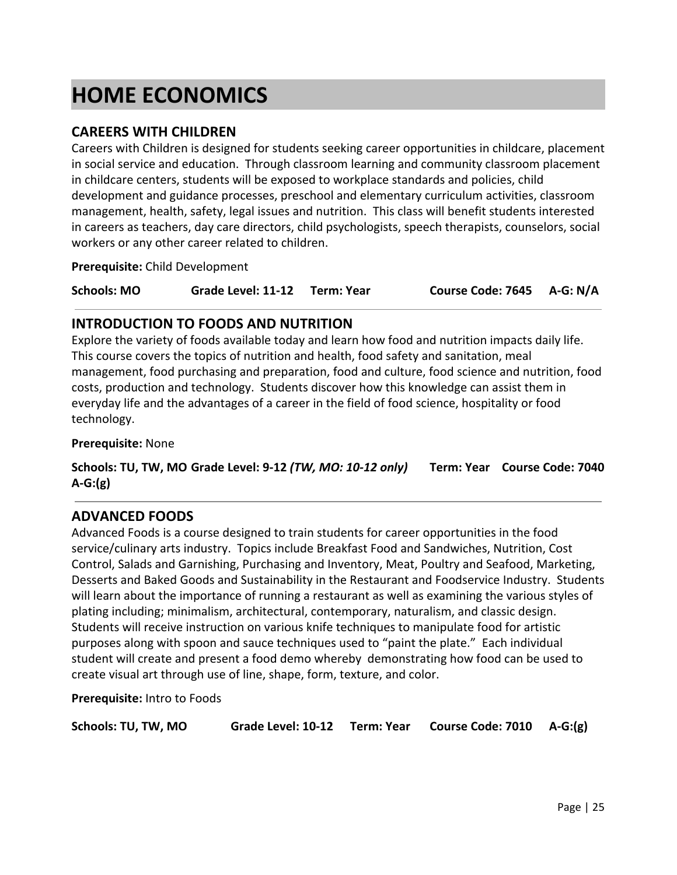# <span id="page-24-0"></span>**HOME ECONOMICS**

## **CAREERS WITH CHILDREN**

Careers with Children is designed for students seeking career opportunities in childcare, placement in social service and education. Through classroom learning and community classroom placement in childcare centers, students will be exposed to workplace standards and policies, child development and guidance processes, preschool and elementary curriculum activities, classroom management, health, safety, legal issues and nutrition. This class will benefit students interested in careers as teachers, day care directors, child psychologists, speech therapists, counselors, social workers or any other career related to children.

**Prerequisite:** Child Development

**Schools: MO Grade Level: 11-12 Term: Year Course Code: 7645 A-G: N/A**

## **INTRODUCTION TO FOODS AND NUTRITION**

Explore the variety of foods available today and learn how food and nutrition impacts daily life. This course covers the topics of nutrition and health, food safety and sanitation, meal management, food purchasing and preparation, food and culture, food science and nutrition, food costs, production and technology. Students discover how this knowledge can assist them in everyday life and the advantages of a career in the field of food science, hospitality or food technology.

**Prerequisite:** None

**Schools: TU, TW, MO Grade Level: 9-12** *(TW, MO: 10-12 only)* **Term: Year Course Code: 7040 A-G:(g)**

## **ADVANCED FOODS**

Advanced Foods is a course designed to train students for career opportunities in the food service/culinary arts industry. Topics include Breakfast Food and Sandwiches, Nutrition, Cost Control, Salads and Garnishing, Purchasing and Inventory, Meat, Poultry and Seafood, Marketing, Desserts and Baked Goods and Sustainability in the Restaurant and Foodservice Industry. Students will learn about the importance of running a restaurant as well as examining the various styles of plating including; minimalism, architectural, contemporary, naturalism, and classic design. Students will receive instruction on various knife techniques to manipulate food for artistic purposes along with spoon and sauce techniques used to "paint the plate." Each individual student will create and present a food demo whereby demonstrating how food can be used to create visual art through use of line, shape, form, texture, and color.

**Prerequisite:** Intro to Foods

| Schools: TU, TW, MO |  |  | Grade Level: 10-12 Term: Year Course Code: 7010 A-G:(g) |  |
|---------------------|--|--|---------------------------------------------------------|--|
|---------------------|--|--|---------------------------------------------------------|--|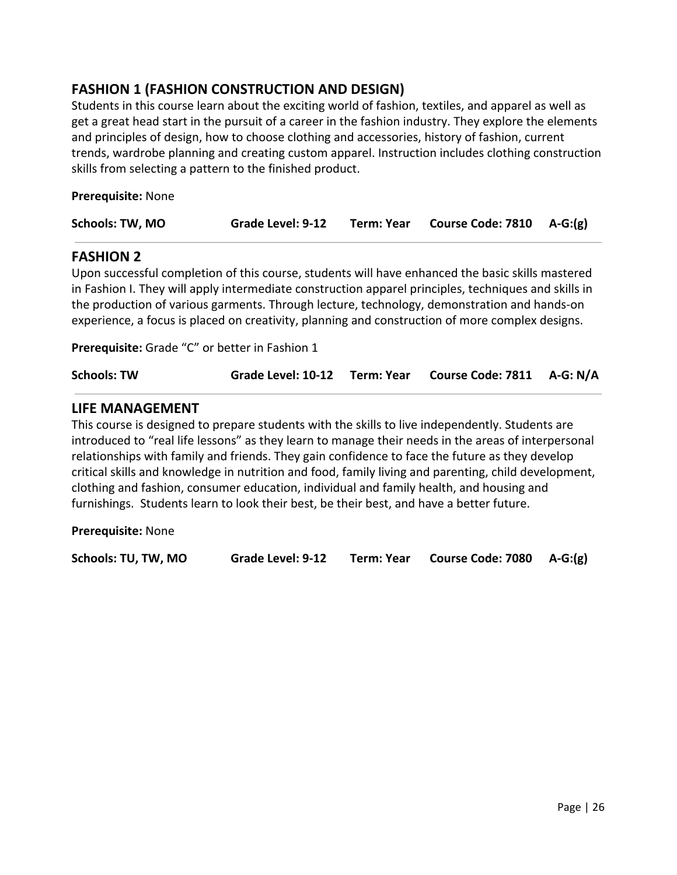## **FASHION 1 (FASHION CONSTRUCTION AND DESIGN)**

Students in this course learn about the exciting world of fashion, textiles, and apparel as well as get a great head start in the pursuit of a career in the fashion industry. They explore the elements and principles of design, how to choose clothing and accessories, history of fashion, current trends, wardrobe planning and creating custom apparel. Instruction includes clothing construction skills from selecting a pattern to the finished product.

**Prerequisite:** None

| Schools: TW, MO<br><b>Grade Level: 9-12</b> | Term: Year Course Code: 7810 A-G:(g) |
|---------------------------------------------|--------------------------------------|
|---------------------------------------------|--------------------------------------|

## **FASHION 2**

Upon successful completion of this course, students will have enhanced the basic skills mastered in Fashion I. They will apply intermediate construction apparel principles, techniques and skills in the production of various garments. Through lecture, technology, demonstration and hands-on experience, a focus is placed on creativity, planning and construction of more complex designs.

**Prerequisite:** Grade "C" or better in Fashion 1

| Grade Level: 10-12 Term: Year Course Code: 7811 A-G: N/A |
|----------------------------------------------------------|
|                                                          |

#### **LIFE MANAGEMENT**

This course is designed to prepare students with the skills to live independently. Students are introduced to "real life lessons" as they learn to manage their needs in the areas of interpersonal relationships with family and friends. They gain confidence to face the future as they develop critical skills and knowledge in nutrition and food, family living and parenting, child development, clothing and fashion, consumer education, individual and family health, and housing and furnishings. Students learn to look their best, be their best, and have a better future.

**Prerequisite:** None

**Schools: TU, TW, MO Grade Level: 9-12 Term: Year Course Code: 7080 A-G:(g)**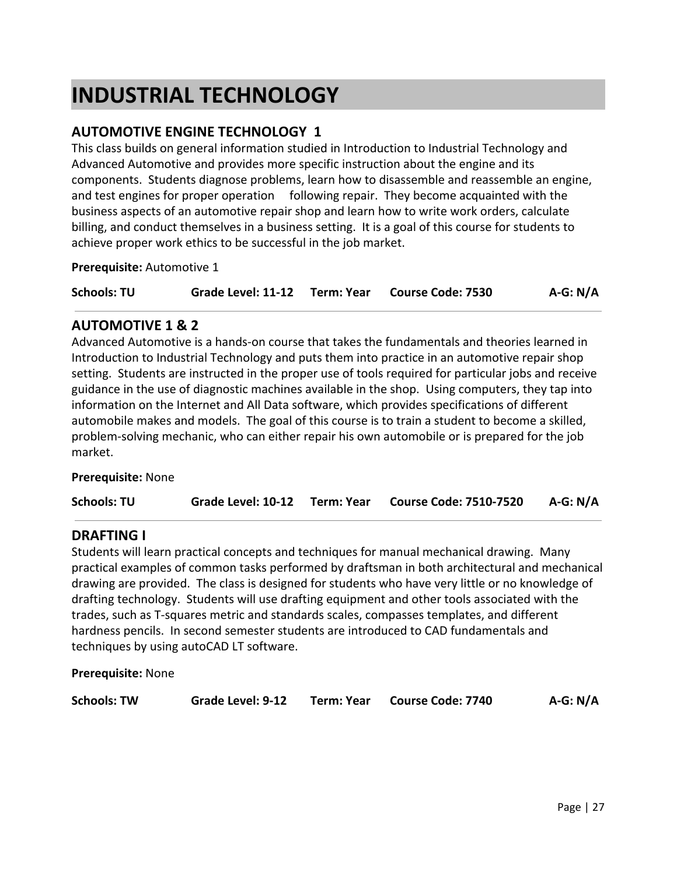## <span id="page-26-0"></span>**INDUSTRIAL TECHNOLOGY**

## **AUTOMOTIVE ENGINE TECHNOLOGY 1**

This class builds on general information studied in Introduction to Industrial Technology and Advanced Automotive and provides more specific instruction about the engine and its components. Students diagnose problems, learn how to disassemble and reassemble an engine, and test engines for proper operation following repair. They become acquainted with the business aspects of an automotive repair shop and learn how to write work orders, calculate billing, and conduct themselves in a business setting. It is a goal of this course for students to achieve proper work ethics to be successful in the job market.

**Prerequisite:** Automotive 1

**Schools: TU Grade Level: 11-12 Term: Year Course Code: 7530 A-G: N/A**

## **AUTOMOTIVE 1 & 2**

Advanced Automotive is a hands-on course that takes the fundamentals and theories learned in Introduction to Industrial Technology and puts them into practice in an automotive repair shop setting. Students are instructed in the proper use of tools required for particular jobs and receive guidance in the use of diagnostic machines available in the shop. Using computers, they tap into information on the Internet and All Data software, which provides specifications of different automobile makes and models. The goal of this course is to train a student to become a skilled, problem-solving mechanic, who can either repair his own automobile or is prepared for the job market.

**Prerequisite:** None

| <b>Schools: TU</b> |  |  | Grade Level: 10-12 Term: Year Course Code: 7510-7520 | A-G: N/A |
|--------------------|--|--|------------------------------------------------------|----------|
|--------------------|--|--|------------------------------------------------------|----------|

## **DRAFTING I**

Students will learn practical concepts and techniques for manual mechanical drawing. Many practical examples of common tasks performed by draftsman in both architectural and mechanical drawing are provided. The class is designed for students who have very little or no knowledge of drafting technology. Students will use drafting equipment and other tools associated with the trades, such as T-squares metric and standards scales, compasses templates, and different hardness pencils. In second semester students are introduced to CAD fundamentals and techniques by using autoCAD LT software.

**Prerequisite:** None

| <b>Schools: TW</b> | Grade Level: 9-12 |  | Term: Year Course Code: 7740 | $A-G: N/A$ |
|--------------------|-------------------|--|------------------------------|------------|
|--------------------|-------------------|--|------------------------------|------------|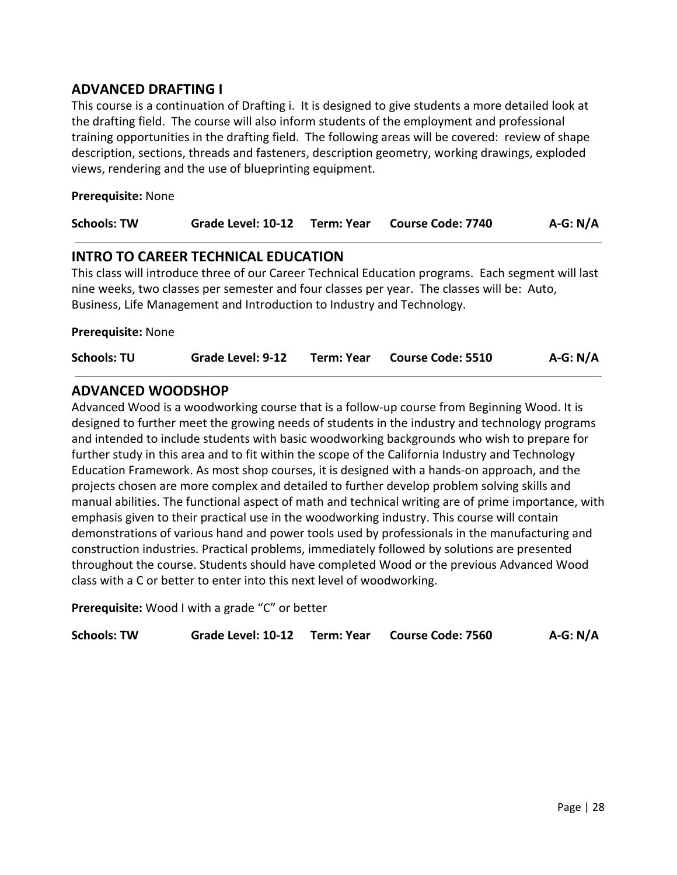## **ADVANCED DRAFTING I**

This course is a continuation of Drafting i. It is designed to give students a more detailed look at the drafting field. The course will also inform students of the employment and professional training opportunities in the drafting field. The following areas will be covered: review of shape description, sections, threads and fasteners, description geometry, working drawings, exploded views, rendering and the use of blueprinting equipment.

#### **Prerequisite:** None

| <b>Schools: TW</b> | Grade Level: 10-12                         | Term: Year | Course Code: 7740 | $A-G: N/A$ |
|--------------------|--------------------------------------------|------------|-------------------|------------|
|                    | <b>INTRO TO CAREER TECHNICAL EDUCATION</b> |            |                   |            |

This class will introduce three of our Career Technical Education programs. Each segment will last nine weeks, two classes per semester and four classes per year. The classes will be: Auto, Business, Life Management and Introduction to Industry and Technology.

**Prerequisite:** None

| <b>Schools: TU</b> | Grade Level: 9-12 | Term: Year Course Code: 5510 | $A-G: N/A$ |
|--------------------|-------------------|------------------------------|------------|
|                    |                   |                              |            |

## **ADVANCED WOODSHOP**

Advanced Wood is a woodworking course that is a follow-up course from Beginning Wood. It is designed to further meet the growing needs of students in the industry and technology programs and intended to include students with basic woodworking backgrounds who wish to prepare for further study in this area and to fit within the scope of the California Industry and Technology Education Framework. As most shop courses, it is designed with a hands-on approach, and the projects chosen are more complex and detailed to further develop problem solving skills and manual abilities. The functional aspect of math and technical writing are of prime importance, with emphasis given to their practical use in the woodworking industry. This course will contain demonstrations of various hand and power tools used by professionals in the manufacturing and construction industries. Practical problems, immediately followed by solutions are presented throughout the course. Students should have completed Wood or the previous Advanced Wood class with a C or better to enter into this next level of woodworking.

**Prerequisite:** Wood I with a grade "C" or better

| <b>Schools: TW</b> |  |  | Grade Level: 10-12 Term: Year Course Code: 7560 | $A-G: N/A$ |
|--------------------|--|--|-------------------------------------------------|------------|
|--------------------|--|--|-------------------------------------------------|------------|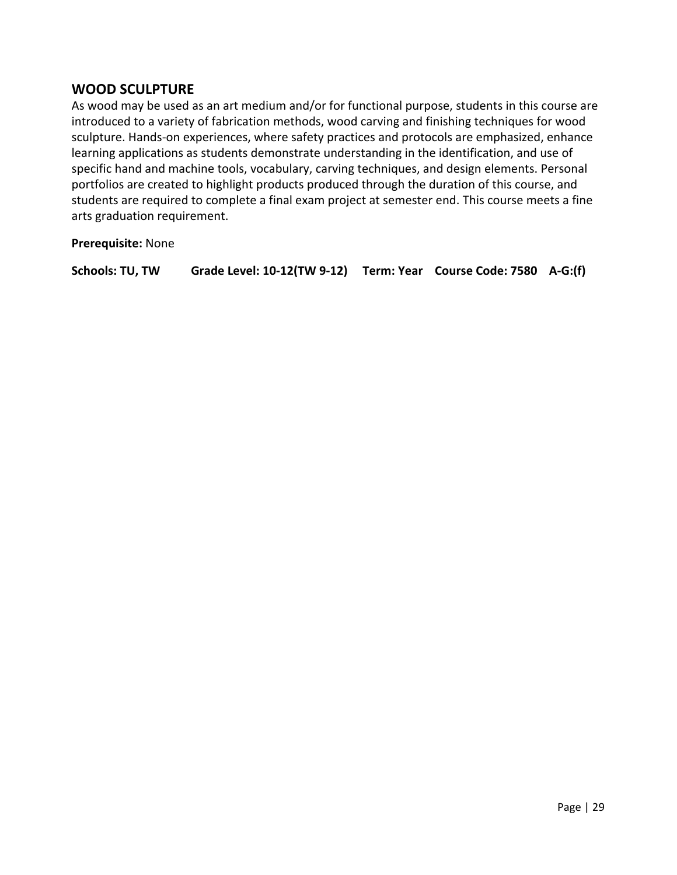## **WOOD SCULPTURE**

As wood may be used as an art medium and/or for functional purpose, students in this course are introduced to a variety of fabrication methods, wood carving and finishing techniques for wood sculpture. Hands-on experiences, where safety practices and protocols are emphasized, enhance learning applications as students demonstrate understanding in the identification, and use of specific hand and machine tools, vocabulary, carving techniques, and design elements. Personal portfolios are created to highlight products produced through the duration of this course, and students are required to complete a final exam project at semester end. This course meets a fine arts graduation requirement.

**Prerequisite:** None

**Schools: TU, TW Grade Level: 10-12(TW 9-12) Term: Year Course Code: 7580 A-G:(f)**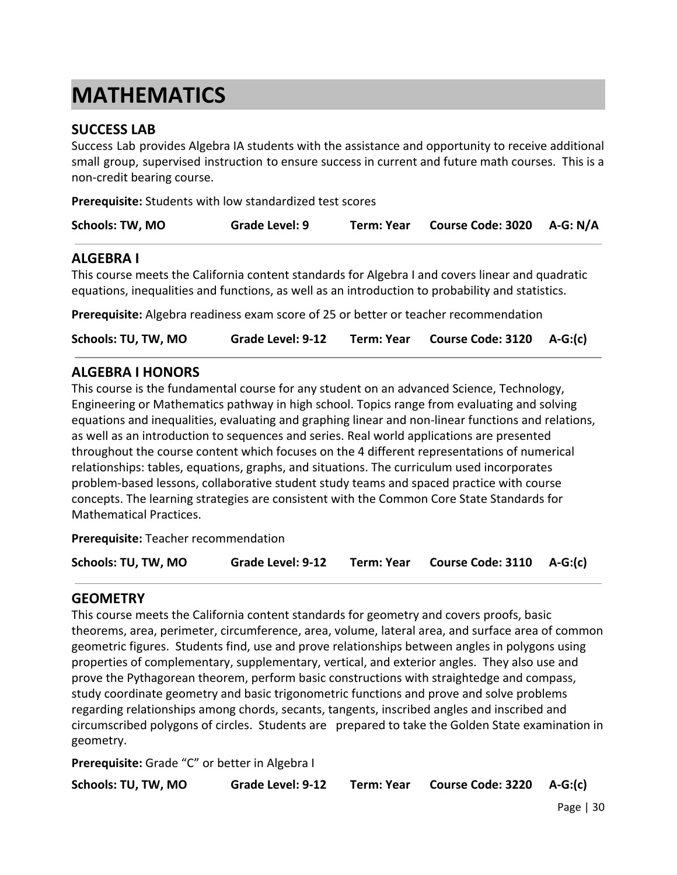## <span id="page-29-0"></span>**MATHEMATICS**

## **SUCCESS LAB**

Success Lab provides Algebra IA students with the assistance and opportunity to receive additional small group, supervised instruction to ensure success in current and future math courses. This is a non-credit bearing course.

**Prerequisite:** Students with low standardized test scores

| <b>Schools: TW, MO</b> | Grade Level: 9 | <b>Term: Year</b> | Course Code: 3020 A-G: N/A |  |
|------------------------|----------------|-------------------|----------------------------|--|
|                        |                |                   |                            |  |

#### **ALGEBRA I**

This course meets the California content standards for Algebra I and covers linear and quadratic equations, inequalities and functions, as well as an introduction to probability and statistics.

**Prerequisite:** Algebra readiness exam score of 25 or better or teacher recommendation

| Schools: TU, TW, MO<br>Grade Level: 9-12 |  | Term: Year Course Code: 3120 A-G:(c) |  |
|------------------------------------------|--|--------------------------------------|--|
|------------------------------------------|--|--------------------------------------|--|

## **ALGEBRA I HONORS**

This course is the fundamental course for any student on an advanced Science, Technology, Engineering or Mathematics pathway in high school. Topics range from evaluating and solving equations and inequalities, evaluating and graphing linear and non-linear functions and relations, as well as an introduction to sequences and series. Real world applications are presented throughout the course content which focuses on the 4 different representations of numerical relationships: tables, equations, graphs, and situations. The curriculum used incorporates problem-based lessons, collaborative student study teams and spaced practice with course concepts. The learning strategies are consistent with the Common Core State Standards for Mathematical Practices.

**Prerequisite:** Teacher recommendation

| Schools: TU, TW, MO | Grade Level: 9-12 |  | Term: Year Course Code: 3110 A-G:(c) |  |
|---------------------|-------------------|--|--------------------------------------|--|
|---------------------|-------------------|--|--------------------------------------|--|

## **GEOMETRY**

This course meets the California content standards for geometry and covers proofs, basic theorems, area, perimeter, circumference, area, volume, lateral area, and surface area of common geometric figures. Students find, use and prove relationships between angles in polygons using properties of complementary, supplementary, vertical, and exterior angles. They also use and prove the Pythagorean theorem, perform basic constructions with straightedge and compass, study coordinate geometry and basic trigonometric functions and prove and solve problems regarding relationships among chords, secants, tangents, inscribed angles and inscribed and circumscribed polygons of circles. Students are prepared to take the Golden State examination in geometry.

**Prerequisite:** Grade "C" or better in Algebra I

**Schools: TU, TW, MO Grade Level: 9-12 Term: Year Course Code: 3220 A-G:(c)**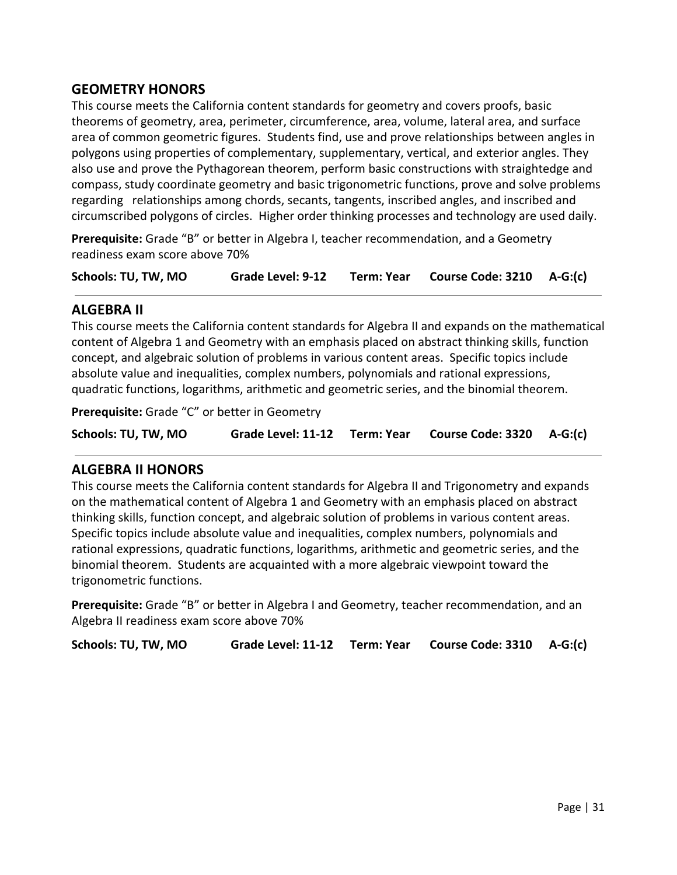## **GEOMETRY HONORS**

This course meets the California content standards for geometry and covers proofs, basic theorems of geometry, area, perimeter, circumference, area, volume, lateral area, and surface area of common geometric figures. Students find, use and prove relationships between angles in polygons using properties of complementary, supplementary, vertical, and exterior angles. They also use and prove the Pythagorean theorem, perform basic constructions with straightedge and compass, study coordinate geometry and basic trigonometric functions, prove and solve problems regarding relationships among chords, secants, tangents, inscribed angles, and inscribed and circumscribed polygons of circles. Higher order thinking processes and technology are used daily.

**Prerequisite:** Grade "B" or better in Algebra I, teacher recommendation, and a Geometry readiness exam score above 70%

**Schools: TU, TW, MO Grade Level: 9-12 Term: Year Course Code: 3210 A-G:(c)**

## **ALGEBRA II**

This course meets the California content standards for Algebra II and expands on the mathematical content of Algebra 1 and Geometry with an emphasis placed on abstract thinking skills, function concept, and algebraic solution of problems in various content areas. Specific topics include absolute value and inequalities, complex numbers, polynomials and rational expressions, quadratic functions, logarithms, arithmetic and geometric series, and the binomial theorem.

**Prerequisite:** Grade "C" or better in Geometry

| Schools: TU, TW, MO | Grade Level: 11-12 Term: Year |  | Course Code: $3320$ A-G:(c) |  |
|---------------------|-------------------------------|--|-----------------------------|--|
|---------------------|-------------------------------|--|-----------------------------|--|

## **ALGEBRA II HONORS**

This course meets the California content standards for Algebra II and Trigonometry and expands on the mathematical content of Algebra 1 and Geometry with an emphasis placed on abstract thinking skills, function concept, and algebraic solution of problems in various content areas. Specific topics include absolute value and inequalities, complex numbers, polynomials and rational expressions, quadratic functions, logarithms, arithmetic and geometric series, and the binomial theorem. Students are acquainted with a more algebraic viewpoint toward the trigonometric functions.

**Prerequisite:** Grade "B" or better in Algebra I and Geometry, teacher recommendation, and an Algebra II readiness exam score above 70%

**Schools: TU, TW, MO Grade Level: 11-12 Term: Year Course Code: 3310 A-G:(c)**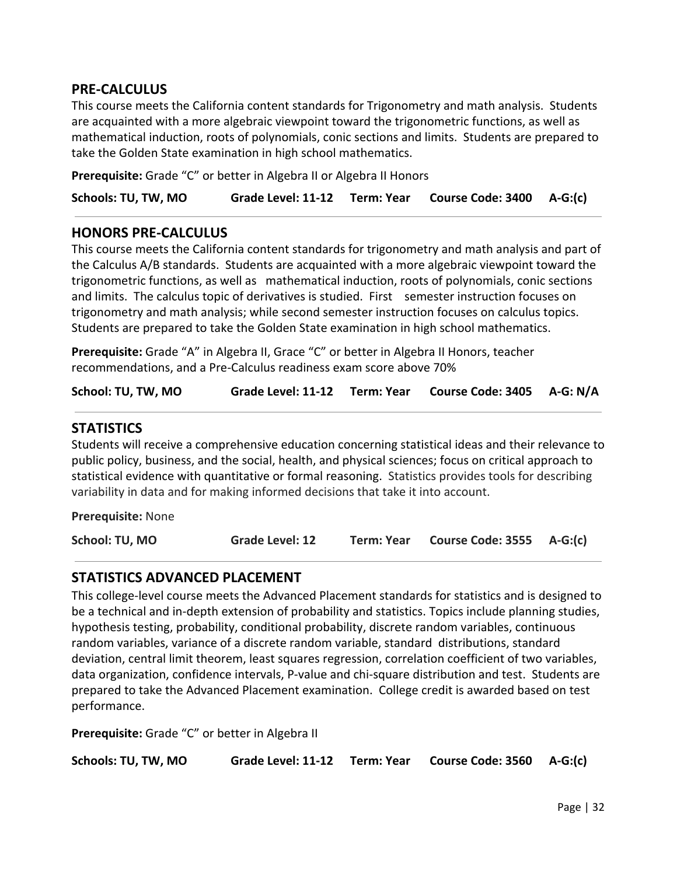## **PRE-CALCULUS**

This course meets the California content standards for Trigonometry and math analysis. Students are acquainted with a more algebraic viewpoint toward the trigonometric functions, as well as mathematical induction, roots of polynomials, conic sections and limits. Students are prepared to take the Golden State examination in high school mathematics.

**Prerequisite:** Grade "C" or better in Algebra II or Algebra II Honors

**Schools: TU, TW, MO Grade Level: 11-12 Term: Year Course Code: 3400 A-G:(c)**

#### **HONORS PRE-CALCULUS**

This course meets the California content standards for trigonometry and math analysis and part of the Calculus A/B standards. Students are acquainted with a more algebraic viewpoint toward the trigonometric functions, as well as mathematical induction, roots of polynomials, conic sections and limits. The calculus topic of derivatives is studied. First semester instruction focuses on trigonometry and math analysis; while second semester instruction focuses on calculus topics. Students are prepared to take the Golden State examination in high school mathematics.

**Prerequisite:** Grade "A" in Algebra II, Grace "C" or better in Algebra II Honors, teacher recommendations, and a Pre-Calculus readiness exam score above 70%

| School: TU, TW, MO |  |  | Grade Level: 11-12 Term: Year Course Code: 3405 A-G: N/A |  |
|--------------------|--|--|----------------------------------------------------------|--|
|--------------------|--|--|----------------------------------------------------------|--|

## **STATISTICS**

Students will receive a comprehensive education concerning statistical ideas and their relevance to public policy, business, and the social, health, and physical sciences; focus on critical approach to statistical evidence with quantitative or formal reasoning. Statistics provides tools for describing variability in data and for making informed decisions that take it into account.

**Prerequisite:** None

**School: TU, MO Grade Level: 12 Term: Year Course Code: 3555 A-G:(c)**

## **STATISTICS ADVANCED PLACEMENT**

This college-level course meets the Advanced Placement standards for statistics and is designed to be a technical and in-depth extension of probability and statistics. Topics include planning studies, hypothesis testing, probability, conditional probability, discrete random variables, continuous random variables, variance of a discrete random variable, standard distributions, standard deviation, central limit theorem, least squares regression, correlation coefficient of two variables, data organization, confidence intervals, P-value and chi-square distribution and test. Students are prepared to take the Advanced Placement examination. College credit is awarded based on test performance.

**Prerequisite:** Grade "C" or better in Algebra II

| Schools: TU, TW, MO |  |  | Grade Level: 11-12 Term: Year Course Code: 3560 A-G:(c) |  |
|---------------------|--|--|---------------------------------------------------------|--|
|---------------------|--|--|---------------------------------------------------------|--|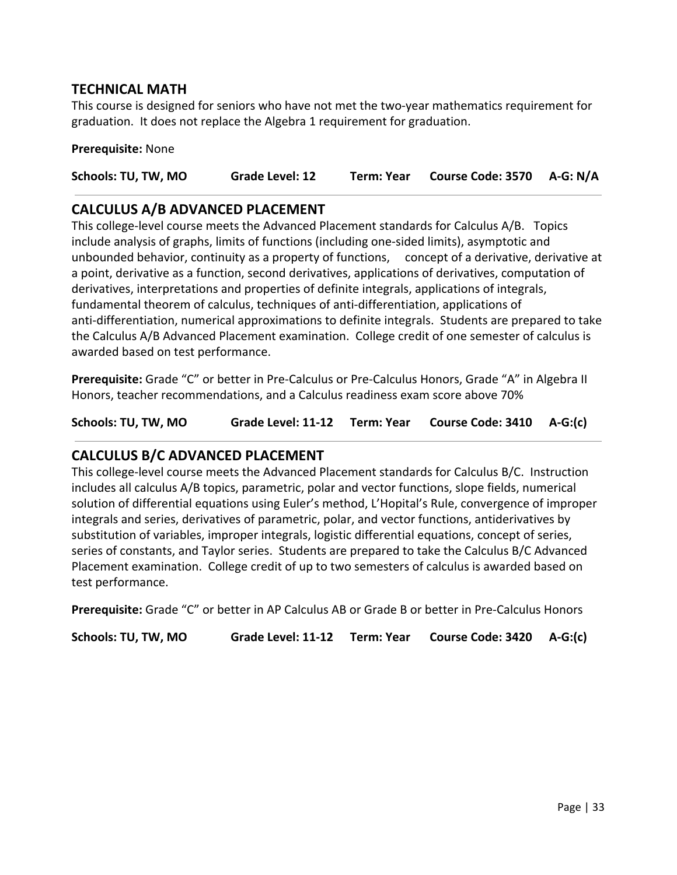## **TECHNICAL MATH**

This course is designed for seniors who have not met the two-year mathematics requirement for graduation. It does not replace the Algebra 1 requirement for graduation.

#### **Prerequisite:** None

**Schools: TU, TW, MO Grade Level: 12 Term: Year Course Code: 3570 A-G: N/A**

## **CALCULUS A/B ADVANCED PLACEMENT**

This college-level course meets the Advanced Placement standards for Calculus A/B. Topics include analysis of graphs, limits of functions (including one-sided limits), asymptotic and unbounded behavior, continuity as a property of functions, concept of a derivative, derivative at a point, derivative as a function, second derivatives, applications of derivatives, computation of derivatives, interpretations and properties of definite integrals, applications of integrals, fundamental theorem of calculus, techniques of anti-differentiation, applications of anti-differentiation, numerical approximations to definite integrals. Students are prepared to take the Calculus A/B Advanced Placement examination. College credit of one semester of calculus is awarded based on test performance.

**Prerequisite:** Grade "C" or better in Pre-Calculus or Pre-Calculus Honors, Grade "A" in Algebra II Honors, teacher recommendations, and a Calculus readiness exam score above 70%

**Schools: TU, TW, MO Grade Level: 11-12 Term: Year Course Code: 3410 A-G:(c)**

## **CALCULUS B/C ADVANCED PLACEMENT**

This college-level course meets the Advanced Placement standards for Calculus B/C. Instruction includes all calculus A/B topics, parametric, polar and vector functions, slope fields, numerical solution of differential equations using Euler's method, L'Hopital's Rule, convergence of improper integrals and series, derivatives of parametric, polar, and vector functions, antiderivatives by substitution of variables, improper integrals, logistic differential equations, concept of series, series of constants, and Taylor series. Students are prepared to take the Calculus B/C Advanced Placement examination. College credit of up to two semesters of calculus is awarded based on test performance.

**Prerequisite:** Grade "C" or better in AP Calculus AB or Grade B or better in Pre-Calculus Honors

**Schools: TU, TW, MO Grade Level: 11-12 Term: Year Course Code: 3420 A-G:(c)**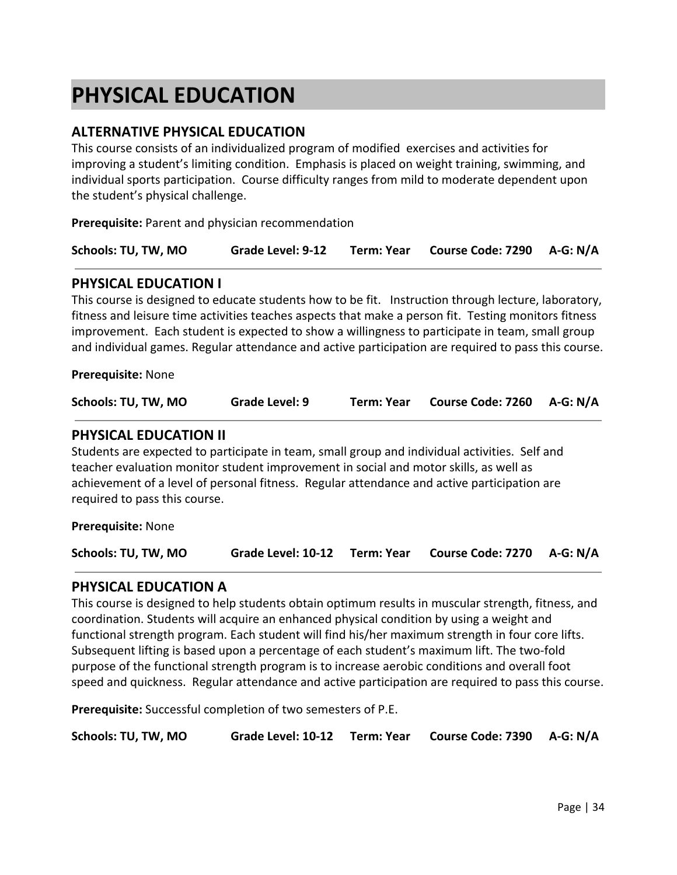## <span id="page-33-0"></span>**PHYSICAL EDUCATION**

## **ALTERNATIVE PHYSICAL EDUCATION**

This course consists of an individualized program of modified exercises and activities for improving a student's limiting condition. Emphasis is placed on weight training, swimming, and individual sports participation. Course difficulty ranges from mild to moderate dependent upon the student's physical challenge.

**Prerequisite:** Parent and physician recommendation

| Schools: TU, TW, MO |  |  | Grade Level: 9-12 Term: Year Course Code: 7290 A-G: N/A |  |
|---------------------|--|--|---------------------------------------------------------|--|
|---------------------|--|--|---------------------------------------------------------|--|

#### **PHYSICAL EDUCATION I**

This course is designed to educate students how to be fit. Instruction through lecture, laboratory, fitness and leisure time activities teaches aspects that make a person fit. Testing monitors fitness improvement. Each student is expected to show a willingness to participate in team, small group and individual games. Regular attendance and active participation are required to pass this course.

**Prerequisite:** None

| Schools: TU, TW, MO | Grade Level: 9 | Term: Year | Course Code: 7260 A-G: N/A |  |
|---------------------|----------------|------------|----------------------------|--|
|---------------------|----------------|------------|----------------------------|--|

#### **PHYSICAL EDUCATION II**

Students are expected to participate in team, small group and individual activities. Self and teacher evaluation monitor student improvement in social and motor skills, as well as achievement of a level of personal fitness. Regular attendance and active participation are required to pass this course.

**Prerequisite:** None

**Schools: TU, TW, MO Grade Level: 10-12 Term: Year Course Code: 7270 A-G: N/A**

#### **PHYSICAL EDUCATION A**

This course is designed to help students obtain optimum results in muscular strength, fitness, and coordination. Students will acquire an enhanced physical condition by using a weight and functional strength program. Each student will find his/her maximum strength in four core lifts. Subsequent lifting is based upon a percentage of each student's maximum lift. The two-fold purpose of the functional strength program is to increase aerobic conditions and overall foot speed and quickness. Regular attendance and active participation are required to pass this course.

**Prerequisite:** Successful completion of two semesters of P.E.

| Schools: TU, TW, MO |  |  | Grade Level: 10-12 Term: Year Course Code: 7390 A-G: N/A |  |
|---------------------|--|--|----------------------------------------------------------|--|
|---------------------|--|--|----------------------------------------------------------|--|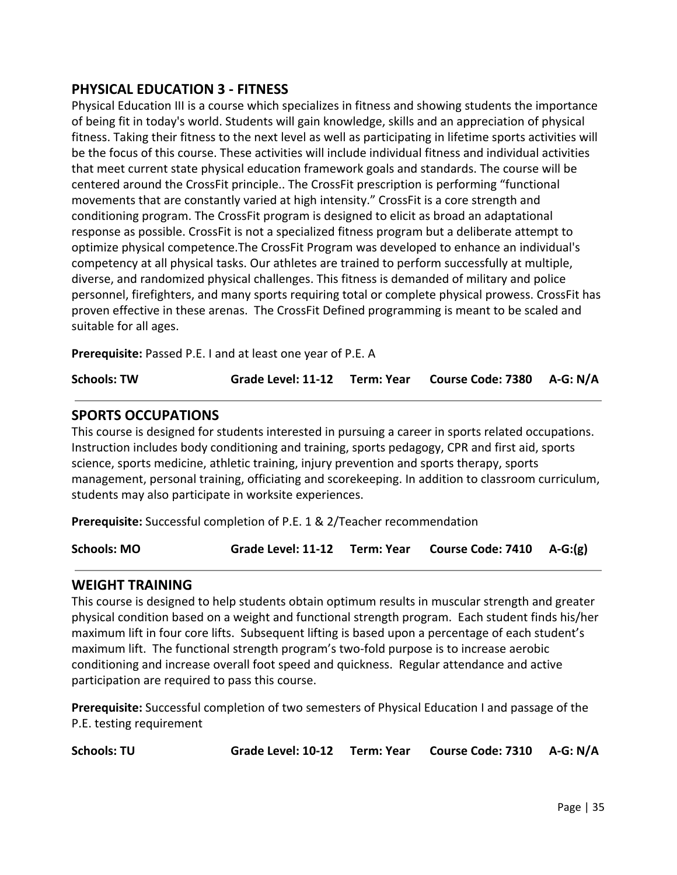## **PHYSICAL EDUCATION 3 - FITNESS**

Physical Education III is a course which specializes in fitness and showing students the importance of being fit in today's world. Students will gain knowledge, skills and an appreciation of physical fitness. Taking their fitness to the next level as well as participating in lifetime sports activities will be the focus of this course. These activities will include individual fitness and individual activities that meet current state physical education framework goals and standards. The course will be centered around the CrossFit principle.. The CrossFit prescription is performing "functional movements that are constantly varied at high intensity." CrossFit is a core strength and conditioning program. The CrossFit program is designed to elicit as broad an adaptational response as possible. CrossFit is not a specialized fitness program but a deliberate attempt to optimize physical competence.The CrossFit Program was developed to enhance an individual's competency at all physical tasks. Our athletes are trained to perform successfully at multiple, diverse, and randomized physical challenges. This fitness is demanded of military and police personnel, firefighters, and many sports requiring total or complete physical prowess. CrossFit has proven effective in these arenas. The CrossFit Defined programming is meant to be scaled and suitable for all ages.

**Prerequisite:** Passed P.E. I and at least one year of P.E. A

**Schools: TW Grade Level: 11-12 Term: Year Course Code: 7380 A-G: N/A**

## **SPORTS OCCUPATIONS**

This course is designed for students interested in pursuing a career in sports related occupations. Instruction includes body conditioning and training, sports pedagogy, CPR and first aid, sports science, sports medicine, athletic training, injury prevention and sports therapy, sports management, personal training, officiating and scorekeeping. In addition to classroom curriculum, students may also participate in worksite experiences.

**Prerequisite:** Successful completion of P.E. 1 & 2/Teacher recommendation

**Schools: MO Grade Level: 11-12 Term: Year Course Code: 7410 A-G:(g)**

## **WEIGHT TRAINING**

This course is designed to help students obtain optimum results in muscular strength and greater physical condition based on a weight and functional strength program. Each student finds his/her maximum lift in four core lifts. Subsequent lifting is based upon a percentage of each student's maximum lift. The functional strength program's two-fold purpose is to increase aerobic conditioning and increase overall foot speed and quickness. Regular attendance and active participation are required to pass this course.

**Prerequisite:** Successful completion of two semesters of Physical Education I and passage of the P.E. testing requirement

**Schools: TU Grade Level: 10-12 Term: Year Course Code: 7310 A-G: N/A**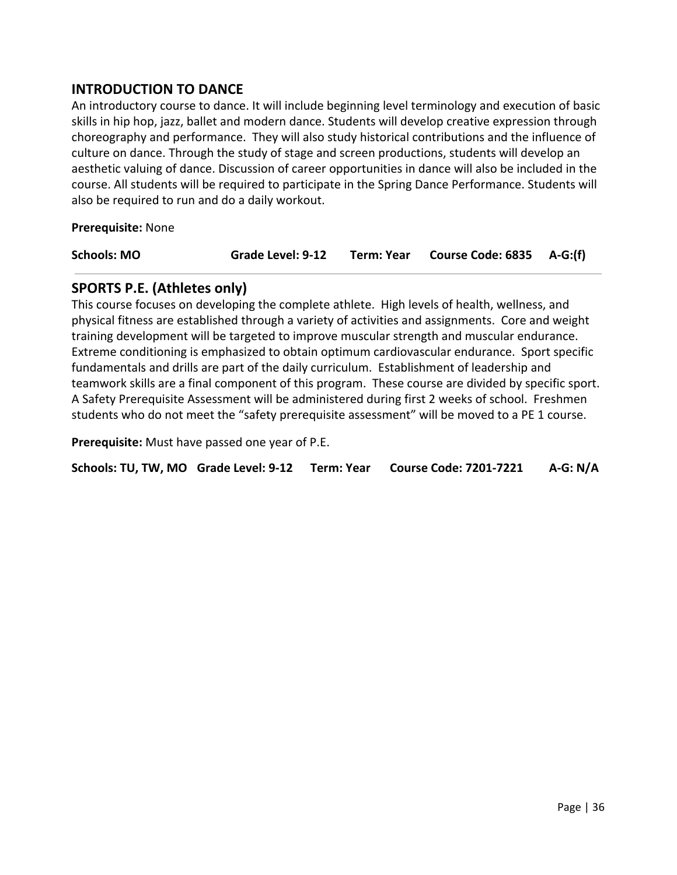## **INTRODUCTION TO DANCE**

An introductory course to dance. It will include beginning level terminology and execution of basic skills in hip hop, jazz, ballet and modern dance. Students will develop creative expression through choreography and performance. They will also study historical contributions and the influence of culture on dance. Through the study of stage and screen productions, students will develop an aesthetic valuing of dance. Discussion of career opportunities in dance will also be included in the course. All students will be required to participate in the Spring Dance Performance. Students will also be required to run and do a daily workout.

**Prerequisite:** None

**Schools: MO Grade Level: 9-12 Term: Year Course Code: 6835 A-G:(f)**

## **SPORTS P.E. (Athletes only)**

This course focuses on developing the complete athlete. High levels of health, wellness, and physical fitness are established through a variety of activities and assignments. Core and weight training development will be targeted to improve muscular strength and muscular endurance. Extreme conditioning is emphasized to obtain optimum cardiovascular endurance. Sport specific fundamentals and drills are part of the daily curriculum. Establishment of leadership and teamwork skills are a final component of this program. These course are divided by specific sport. A Safety Prerequisite Assessment will be administered during first 2 weeks of school. Freshmen students who do not meet the "safety prerequisite assessment" will be moved to a PE 1 course.

**Prerequisite:** Must have passed one year of P.E.

**Schools: TU, TW, MO Grade Level: 9-12 Term: Year Course Code: 7201-7221 A-G: N/A**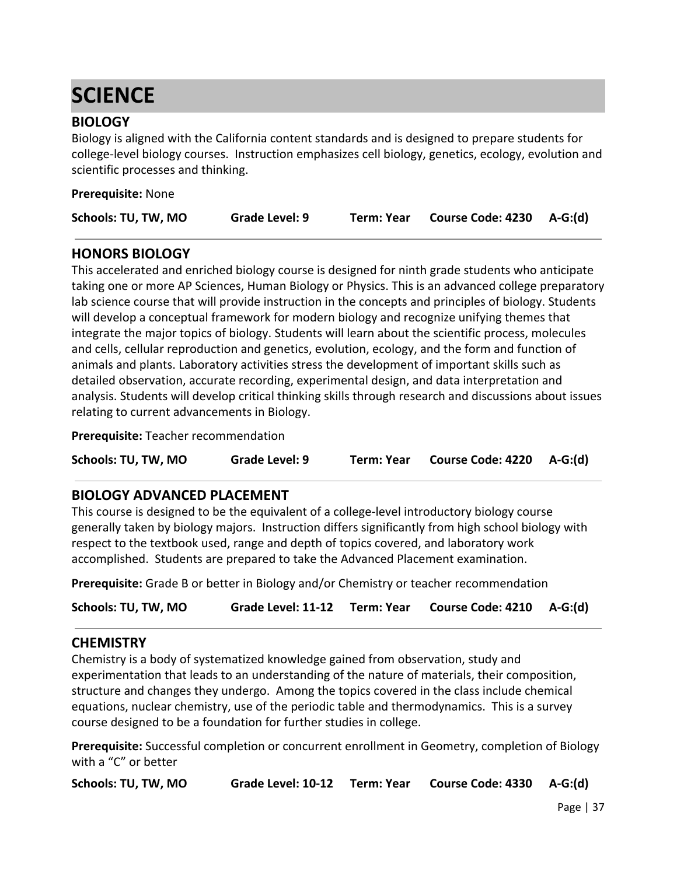# **SCIENCE**

# **BIOLOGY**

Biology is aligned with the California content standards and is designed to prepare students for college-level biology courses. Instruction emphasizes cell biology, genetics, ecology, evolution and scientific processes and thinking.

| <b>Prerequisite: None</b> |                |            |                          |         |
|---------------------------|----------------|------------|--------------------------|---------|
| Schools: TU, TW, MO       | Grade Level: 9 | Term: Year | <b>Course Code: 4230</b> | A-G:(d) |

# **HONORS BIOLOGY**

This accelerated and enriched biology course is designed for ninth grade students who anticipate taking one or more AP Sciences, Human Biology or Physics. This is an advanced college preparatory lab science course that will provide instruction in the concepts and principles of biology. Students will develop a conceptual framework for modern biology and recognize unifying themes that integrate the major topics of biology. Students will learn about the scientific process, molecules and cells, cellular reproduction and genetics, evolution, ecology, and the form and function of animals and plants. Laboratory activities stress the development of important skills such as detailed observation, accurate recording, experimental design, and data interpretation and analysis. Students will develop critical thinking skills through research and discussions about issues relating to current advancements in Biology.

**Prerequisite:** Teacher recommendation

**Schools: TU, TW, MO Grade Level: 9 Term: Year Course Code: 4220 A-G:(d)**

### **BIOLOGY ADVANCED PLACEMENT**

This course is designed to be the equivalent of a college-level introductory biology course generally taken by biology majors. Instruction differs significantly from high school biology with respect to the textbook used, range and depth of topics covered, and laboratory work accomplished. Students are prepared to take the Advanced Placement examination.

**Prerequisite:** Grade B or better in Biology and/or Chemistry or teacher recommendation

**Schools: TU, TW, MO Grade Level: 11-12 Term: Year Course Code: 4210 A-G:(d)**

### **CHEMISTRY**

Chemistry is a body of systematized knowledge gained from observation, study and experimentation that leads to an understanding of the nature of materials, their composition, structure and changes they undergo. Among the topics covered in the class include chemical equations, nuclear chemistry, use of the periodic table and thermodynamics. This is a survey course designed to be a foundation for further studies in college.

**Prerequisite:** Successful completion or concurrent enrollment in Geometry, completion of Biology with a "C" or better

**Schools: TU, TW, MO Grade Level: 10-12 Term: Year Course Code: 4330 A-G:(d)**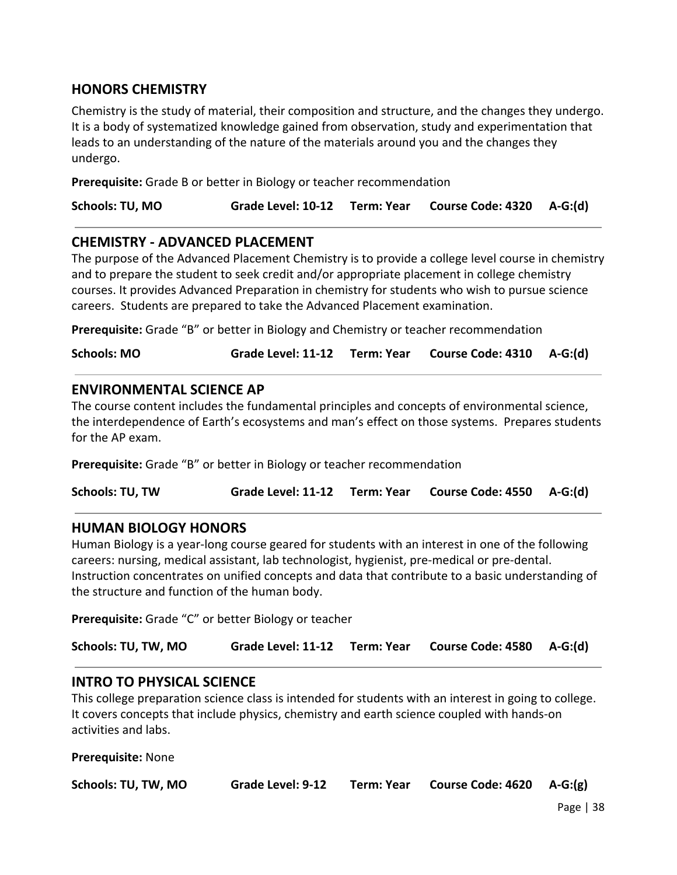# **HONORS CHEMISTRY**

Chemistry is the study of material, their composition and structure, and the changes they undergo. It is a body of systematized knowledge gained from observation, study and experimentation that leads to an understanding of the nature of the materials around you and the changes they undergo.

**Prerequisite:** Grade B or better in Biology or teacher recommendation

| Grade Level: 10-12 Term: Year Course Code: 4320 A-G:(d)<br><b>Schools: TU, MO</b> |  |
|-----------------------------------------------------------------------------------|--|
|-----------------------------------------------------------------------------------|--|

### **CHEMISTRY - ADVANCED PLACEMENT**

The purpose of the Advanced Placement Chemistry is to provide a college level course in chemistry and to prepare the student to seek credit and/or appropriate placement in college chemistry courses. It provides Advanced Preparation in chemistry for students who wish to pursue science careers. Students are prepared to take the Advanced Placement examination.

**Prerequisite:** Grade "B" or better in Biology and Chemistry or teacher recommendation

| <b>Schools: MO</b> |  |  | Grade Level: 11-12 Term: Year Course Code: 4310 A-G:(d) |  |
|--------------------|--|--|---------------------------------------------------------|--|
|--------------------|--|--|---------------------------------------------------------|--|

### **ENVIRONMENTAL SCIENCE AP**

The course content includes the fundamental principles and concepts of environmental science, the interdependence of Earth's ecosystems and man's effect on those systems. Prepares students for the AP exam.

**Prerequisite:** Grade "B" or better in Biology or teacher recommendation

**Schools: TU, TW Grade Level: 11-12 Term: Year Course Code: 4550 A-G:(d)**

### **HUMAN BIOLOGY HONORS**

Human Biology is a year-long course geared for students with an interest in one of the following careers: nursing, medical assistant, lab technologist, hygienist, pre-medical or pre-dental. Instruction concentrates on unified concepts and data that contribute to a basic understanding of the structure and function of the human body.

**Prerequisite:** Grade "C" or better Biology or teacher

| Schools: TU, TW, MO |  |  | Grade Level: 11-12 Term: Year Course Code: 4580 A-G:(d) |  |
|---------------------|--|--|---------------------------------------------------------|--|
|---------------------|--|--|---------------------------------------------------------|--|

### **INTRO TO PHYSICAL SCIENCE**

This college preparation science class is intended for students with an interest in going to college. It covers concepts that include physics, chemistry and earth science coupled with hands-on activities and labs.

**Prerequisite:** None

| Schools: TU, TW, MO | Grade Level: 9-12 | <b>Term: Year</b> | Course Code: 4620 A-G:(g) |  |
|---------------------|-------------------|-------------------|---------------------------|--|
|---------------------|-------------------|-------------------|---------------------------|--|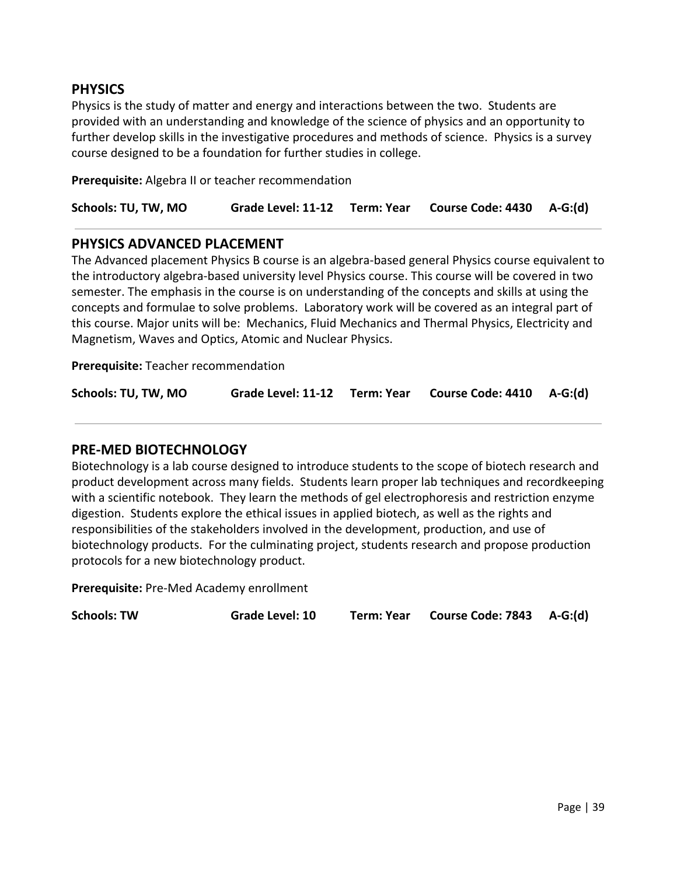## **PHYSICS**

Physics is the study of matter and energy and interactions between the two. Students are provided with an understanding and knowledge of the science of physics and an opportunity to further develop skills in the investigative procedures and methods of science. Physics is a survey course designed to be a foundation for further studies in college.

**Prerequisite:** Algebra II or teacher recommendation

| Schools: TU, TW, MO |  |  | Grade Level: 11-12 Term: Year Course Code: 4430 A-G:(d) |  |
|---------------------|--|--|---------------------------------------------------------|--|
|---------------------|--|--|---------------------------------------------------------|--|

### **PHYSICS ADVANCED PLACEMENT**

The Advanced placement Physics B course is an algebra-based general Physics course equivalent to the introductory algebra-based university level Physics course. This course will be covered in two semester. The emphasis in the course is on understanding of the concepts and skills at using the concepts and formulae to solve problems. Laboratory work will be covered as an integral part of this course. Major units will be: Mechanics, Fluid Mechanics and Thermal Physics, Electricity and Magnetism, Waves and Optics, Atomic and Nuclear Physics.

**Prerequisite:** Teacher recommendation

| Schools: TU, TW, MO |  |  | Grade Level: 11-12 Term: Year Course Code: 4410 A-G:(d) |  |
|---------------------|--|--|---------------------------------------------------------|--|
|---------------------|--|--|---------------------------------------------------------|--|

### **PRE-MED BIOTECHNOLOGY**

Biotechnology is a lab course designed to introduce students to the scope of biotech research and product development across many fields. Students learn proper lab techniques and recordkeeping with a scientific notebook. They learn the methods of gel electrophoresis and restriction enzyme digestion. Students explore the ethical issues in applied biotech, as well as the rights and responsibilities of the stakeholders involved in the development, production, and use of biotechnology products. For the culminating project, students research and propose production protocols for a new biotechnology product.

**Prerequisite:** Pre-Med Academy enrollment

**Schools: TW Grade Level: 10 Term: Year Course Code: 7843 A-G:(d)**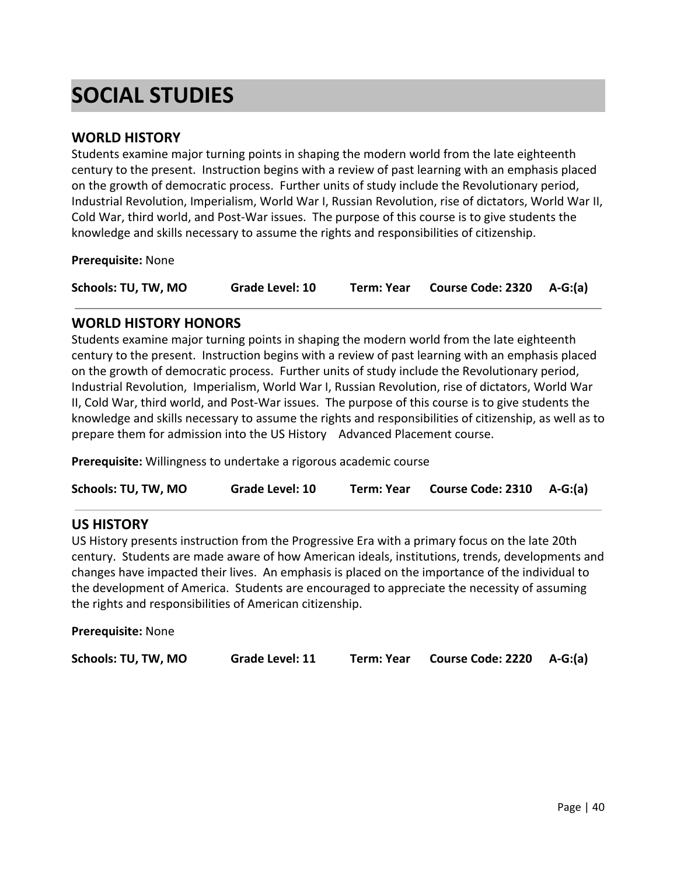# **SOCIAL STUDIES**

### **WORLD HISTORY**

Students examine major turning points in shaping the modern world from the late eighteenth century to the present. Instruction begins with a review of past learning with an emphasis placed on the growth of democratic process. Further units of study include the Revolutionary period, Industrial Revolution, Imperialism, World War I, Russian Revolution, rise of dictators, World War II, Cold War, third world, and Post-War issues. The purpose of this course is to give students the knowledge and skills necessary to assume the rights and responsibilities of citizenship.

**Prerequisite:** None

| Schools: TU, TW, MO | <b>Grade Level: 10</b> | Term: Year | Course Code: 2320 A-G:(a) |  |
|---------------------|------------------------|------------|---------------------------|--|
|---------------------|------------------------|------------|---------------------------|--|

### **WORLD HISTORY HONORS**

Students examine major turning points in shaping the modern world from the late eighteenth century to the present. Instruction begins with a review of past learning with an emphasis placed on the growth of democratic process. Further units of study include the Revolutionary period, Industrial Revolution, Imperialism, World War I, Russian Revolution, rise of dictators, World War II, Cold War, third world, and Post-War issues. The purpose of this course is to give students the knowledge and skills necessary to assume the rights and responsibilities of citizenship, as well as to prepare them for admission into the US History Advanced Placement course.

**Prerequisite:** Willingness to undertake a rigorous academic course

| Schools: TU, TW, MO | Grade Level: 10 | Term: Year | Course Code: 2310 A-G:(a) |  |
|---------------------|-----------------|------------|---------------------------|--|
|---------------------|-----------------|------------|---------------------------|--|

### **US HISTORY**

US History presents instruction from the Progressive Era with a primary focus on the late 20th century. Students are made aware of how American ideals, institutions, trends, developments and changes have impacted their lives. An emphasis is placed on the importance of the individual to the development of America. Students are encouraged to appreciate the necessity of assuming the rights and responsibilities of American citizenship.

**Prerequisite:** None

| Schools: TU, TW, MO | Grade Level: 11 | Term: Year | Course Code: $2220$ A-G:(a) |  |
|---------------------|-----------------|------------|-----------------------------|--|
|---------------------|-----------------|------------|-----------------------------|--|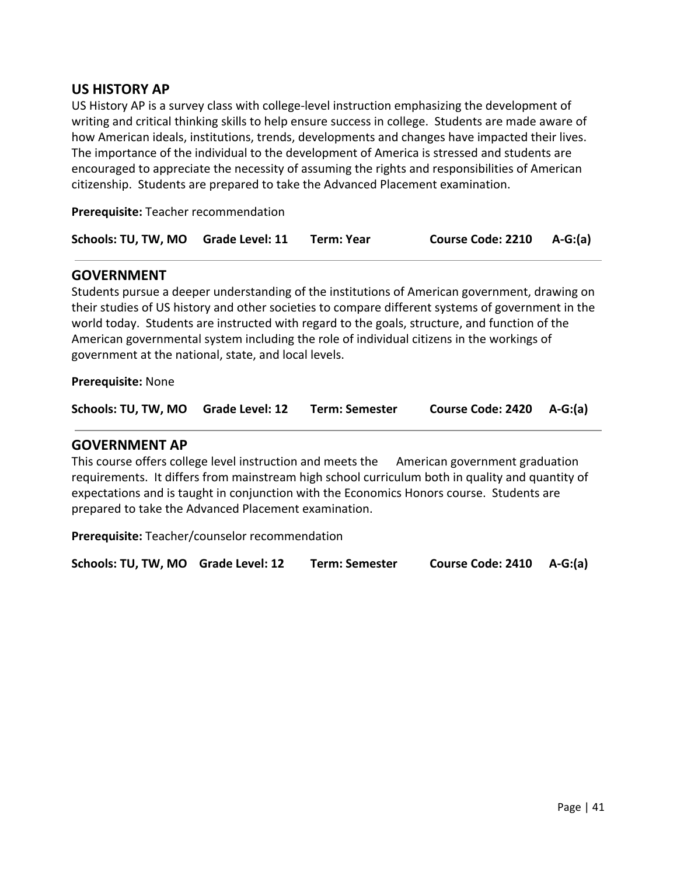## **US HISTORY AP**

US History AP is a survey class with college-level instruction emphasizing the development of writing and critical thinking skills to help ensure success in college. Students are made aware of how American ideals, institutions, trends, developments and changes have impacted their lives. The importance of the individual to the development of America is stressed and students are encouraged to appreciate the necessity of assuming the rights and responsibilities of American citizenship. Students are prepared to take the Advanced Placement examination.

**Prerequisite:** Teacher recommendation

| Schools: TU, TW, MO Grade Level: 11 |  | Term: Year | Course Code: 2210 A-G:(a) |  |
|-------------------------------------|--|------------|---------------------------|--|
|-------------------------------------|--|------------|---------------------------|--|

### **GOVERNMENT**

Students pursue a deeper understanding of the institutions of American government, drawing on their studies of US history and other societies to compare different systems of government in the world today. Students are instructed with regard to the goals, structure, and function of the American governmental system including the role of individual citizens in the workings of government at the national, state, and local levels.

**Prerequisite:** None

| Schools: TU, TW, MO Grade Level: 12 |  | Term: Semester | Course Code: 2420 A-G:(a) |  |
|-------------------------------------|--|----------------|---------------------------|--|
|-------------------------------------|--|----------------|---------------------------|--|

### **GOVERNMENT AP**

This course offers college level instruction and meets the American government graduation requirements. It differs from mainstream high school curriculum both in quality and quantity of expectations and is taught in conjunction with the Economics Honors course. Students are prepared to take the Advanced Placement examination.

**Prerequisite:** Teacher/counselor recommendation

**Schools: TU, TW, MO Grade Level: 12 Term: Semester Course Code: 2410 A-G:(a)**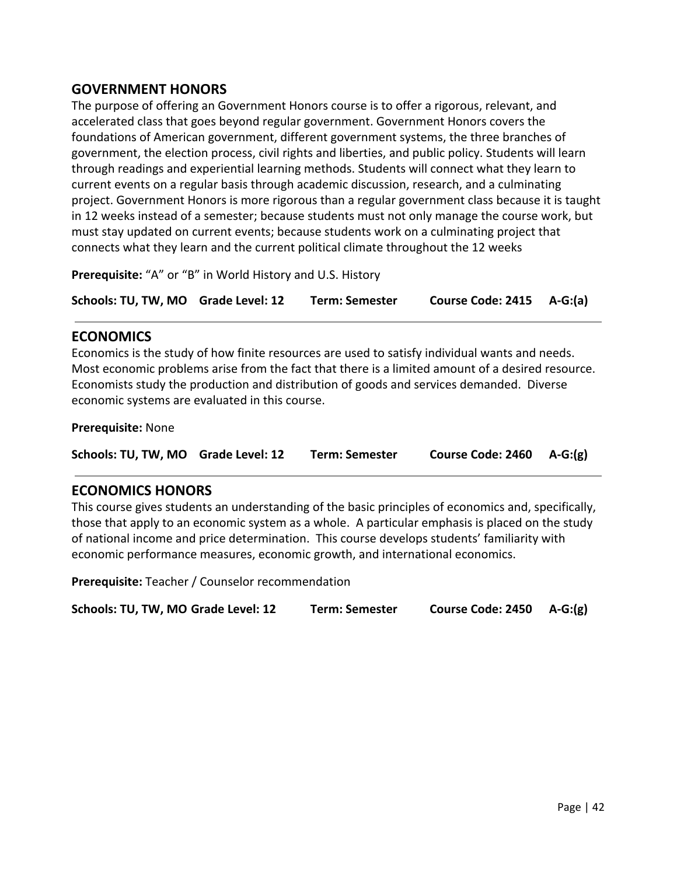# **GOVERNMENT HONORS**

The purpose of offering an Government Honors course is to offer a rigorous, relevant, and accelerated class that goes beyond regular government. Government Honors covers the foundations of American government, different government systems, the three branches of government, the election process, civil rights and liberties, and public policy. Students will learn through readings and experiential learning methods. Students will connect what they learn to current events on a regular basis through academic discussion, research, and a culminating project. Government Honors is more rigorous than a regular government class because it is taught in 12 weeks instead of a semester; because students must not only manage the course work, but must stay updated on current events; because students work on a culminating project that connects what they learn and the current political climate throughout the 12 weeks

**Prerequisite:** "A" or "B" in World History and U.S. History

**Schools: TU, TW, MO Grade Level: 12 Term: Semester Course Code: 2415 A-G:(a)**

### **ECONOMICS**

Economics is the study of how finite resources are used to satisfy individual wants and needs. Most economic problems arise from the fact that there is a limited amount of a desired resource. Economists study the production and distribution of goods and services demanded. Diverse economic systems are evaluated in this course.

#### **Prerequisite:** None

**Schools: TU, TW, MO Grade Level: 12 Term: Semester Course Code: 2460 A-G:(g)**

### **ECONOMICS HONORS**

This course gives students an understanding of the basic principles of economics and, specifically, those that apply to an economic system as a whole. A particular emphasis is placed on the study of national income and price determination. This course develops students' familiarity with economic performance measures, economic growth, and international economics.

**Prerequisite:** Teacher / Counselor recommendation

| Schools: TU, TW, MO Grade Level: 12 | <b>Term: Semester</b> | Course Code: 2450 A-G:(g) |  |
|-------------------------------------|-----------------------|---------------------------|--|
|-------------------------------------|-----------------------|---------------------------|--|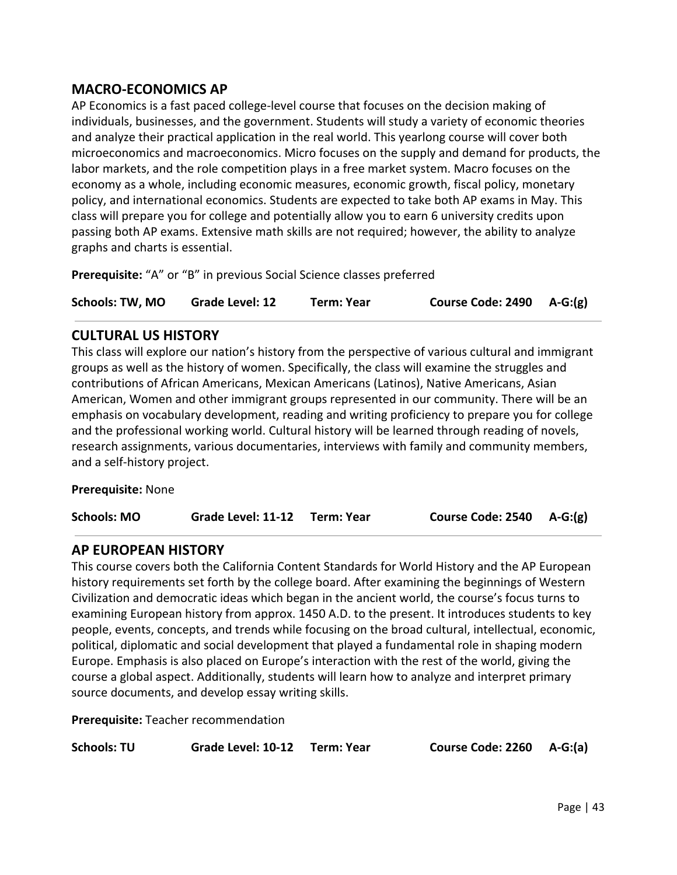# **MACRO-ECONOMICS AP**

AP Economics is a fast paced college-level course that focuses on the decision making of individuals, businesses, and the government. Students will study a variety of economic theories and analyze their practical application in the real world. This yearlong course will cover both microeconomics and macroeconomics. Micro focuses on the supply and demand for products, the labor markets, and the role competition plays in a free market system. Macro focuses on the economy as a whole, including economic measures, economic growth, fiscal policy, monetary policy, and international economics. Students are expected to take both AP exams in May. This class will prepare you for college and potentially allow you to earn 6 university credits upon passing both AP exams. Extensive math skills are not required; however, the ability to analyze graphs and charts is essential.

**Prerequisite:** "A" or "B" in previous Social Science classes preferred

| <b>Schools: TW, MO</b> | Grade Level: 12 | Term: Year | Course Code: 2490 A-G:(g) |  |
|------------------------|-----------------|------------|---------------------------|--|
|------------------------|-----------------|------------|---------------------------|--|

# **CULTURAL US HISTORY**

This class will explore our nation's history from the perspective of various cultural and immigrant groups as well as the history of women. Specifically, the class will examine the struggles and contributions of African Americans, Mexican Americans (Latinos), Native Americans, Asian American, Women and other immigrant groups represented in our community. There will be an emphasis on vocabulary development, reading and writing proficiency to prepare you for college and the professional working world. Cultural history will be learned through reading of novels, research assignments, various documentaries, interviews with family and community members, and a self-history project.

**Prerequisite:** None

# **AP EUROPEAN HISTORY**

This course covers both the California Content Standards for World History and the AP European history requirements set forth by the college board. After examining the beginnings of Western Civilization and democratic ideas which began in the ancient world, the course's focus turns to examining European history from approx. 1450 A.D. to the present. It introduces students to key people, events, concepts, and trends while focusing on the broad cultural, intellectual, economic, political, diplomatic and social development that played a fundamental role in shaping modern Europe. Emphasis is also placed on Europe's interaction with the rest of the world, giving the course a global aspect. Additionally, students will learn how to analyze and interpret primary source documents, and develop essay writing skills.

**Prerequisite:** Teacher recommendation

**Schools: TU Grade Level: 10-12 Term: Year Course Code: 2260 A-G:(a)**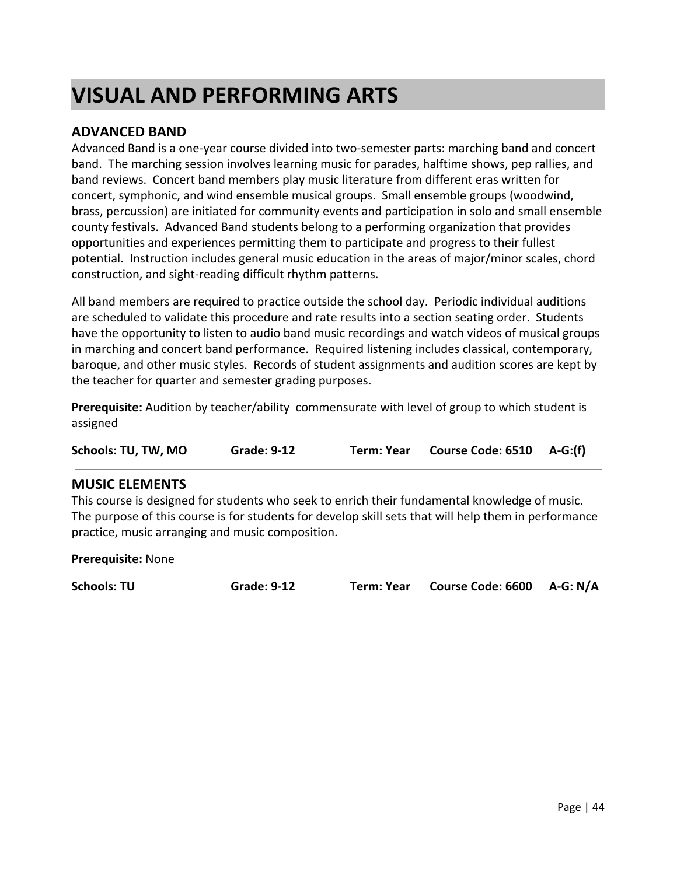# **VISUAL AND PERFORMING ARTS**

## **ADVANCED BAND**

Advanced Band is a one-year course divided into two-semester parts: marching band and concert band. The marching session involves learning music for parades, halftime shows, pep rallies, and band reviews. Concert band members play music literature from different eras written for concert, symphonic, and wind ensemble musical groups. Small ensemble groups (woodwind, brass, percussion) are initiated for community events and participation in solo and small ensemble county festivals. Advanced Band students belong to a performing organization that provides opportunities and experiences permitting them to participate and progress to their fullest potential. Instruction includes general music education in the areas of major/minor scales, chord construction, and sight-reading difficult rhythm patterns.

All band members are required to practice outside the school day. Periodic individual auditions are scheduled to validate this procedure and rate results into a section seating order. Students have the opportunity to listen to audio band music recordings and watch videos of musical groups in marching and concert band performance. Required listening includes classical, contemporary, baroque, and other music styles. Records of student assignments and audition scores are kept by the teacher for quarter and semester grading purposes.

**Prerequisite:** Audition by teacher/ability commensurate with level of group to which student is assigned

**Schools: TU, TW, MO Grade: 9-12 Term: Year Course Code: 6510 A-G:(f)**

### **MUSIC ELEMENTS**

This course is designed for students who seek to enrich their fundamental knowledge of music. The purpose of this course is for students for develop skill sets that will help them in performance practice, music arranging and music composition.

**Prerequisite:** None

**Schools: TU Grade: 9-12 Term: Year Course Code: 6600 A-G: N/A**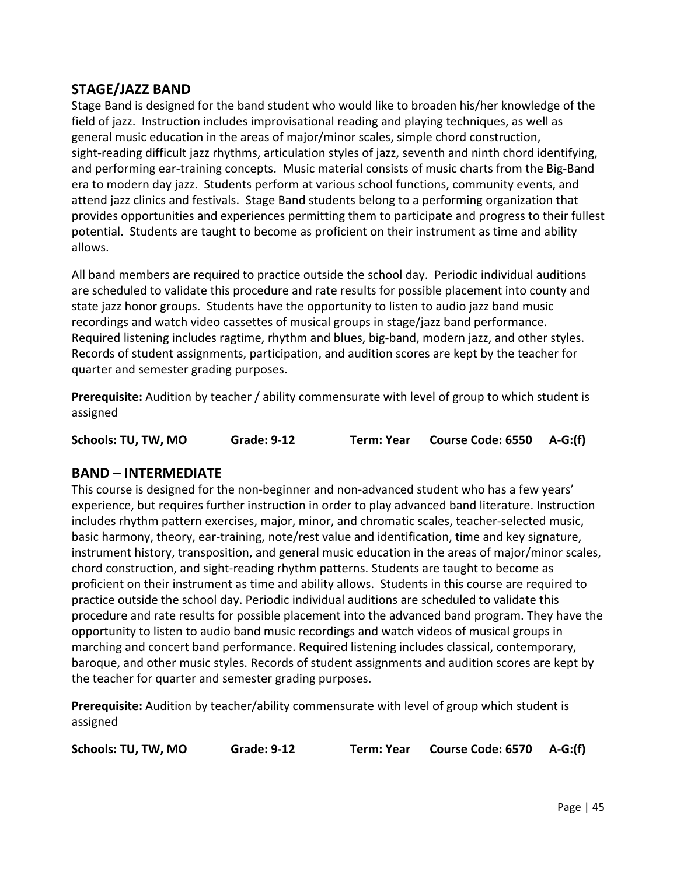# **STAGE/JAZZ BAND**

Stage Band is designed for the band student who would like to broaden his/her knowledge of the field of jazz. Instruction includes improvisational reading and playing techniques, as well as general music education in the areas of major/minor scales, simple chord construction, sight-reading difficult jazz rhythms, articulation styles of jazz, seventh and ninth chord identifying, and performing ear-training concepts. Music material consists of music charts from the Big-Band era to modern day jazz. Students perform at various school functions, community events, and attend jazz clinics and festivals. Stage Band students belong to a performing organization that provides opportunities and experiences permitting them to participate and progress to their fullest potential. Students are taught to become as proficient on their instrument as time and ability allows.

All band members are required to practice outside the school day. Periodic individual auditions are scheduled to validate this procedure and rate results for possible placement into county and state jazz honor groups. Students have the opportunity to listen to audio jazz band music recordings and watch video cassettes of musical groups in stage/jazz band performance. Required listening includes ragtime, rhythm and blues, big-band, modern jazz, and other styles. Records of student assignments, participation, and audition scores are kept by the teacher for quarter and semester grading purposes.

**Prerequisite:** Audition by teacher / ability commensurate with level of group to which student is assigned

| Schools: TU, TW, MO | <b>Grade: 9-12</b> | Term: Year | Course Code: 6550 A-G:(f) |  |
|---------------------|--------------------|------------|---------------------------|--|
|---------------------|--------------------|------------|---------------------------|--|

# **BAND – INTERMEDIATE**

This course is designed for the non-beginner and non-advanced student who has a few years' experience, but requires further instruction in order to play advanced band literature. Instruction includes rhythm pattern exercises, major, minor, and chromatic scales, teacher-selected music, basic harmony, theory, ear-training, note/rest value and identification, time and key signature, instrument history, transposition, and general music education in the areas of major/minor scales, chord construction, and sight-reading rhythm patterns. Students are taught to become as proficient on their instrument as time and ability allows. Students in this course are required to practice outside the school day. Periodic individual auditions are scheduled to validate this procedure and rate results for possible placement into the advanced band program. They have the opportunity to listen to audio band music recordings and watch videos of musical groups in marching and concert band performance. Required listening includes classical, contemporary, baroque, and other music styles. Records of student assignments and audition scores are kept by the teacher for quarter and semester grading purposes.

**Prerequisite:** Audition by teacher/ability commensurate with level of group which student is assigned

**Schools: TU, TW, MO Grade: 9-12 Term: Year Course Code: 6570 A-G:(f)**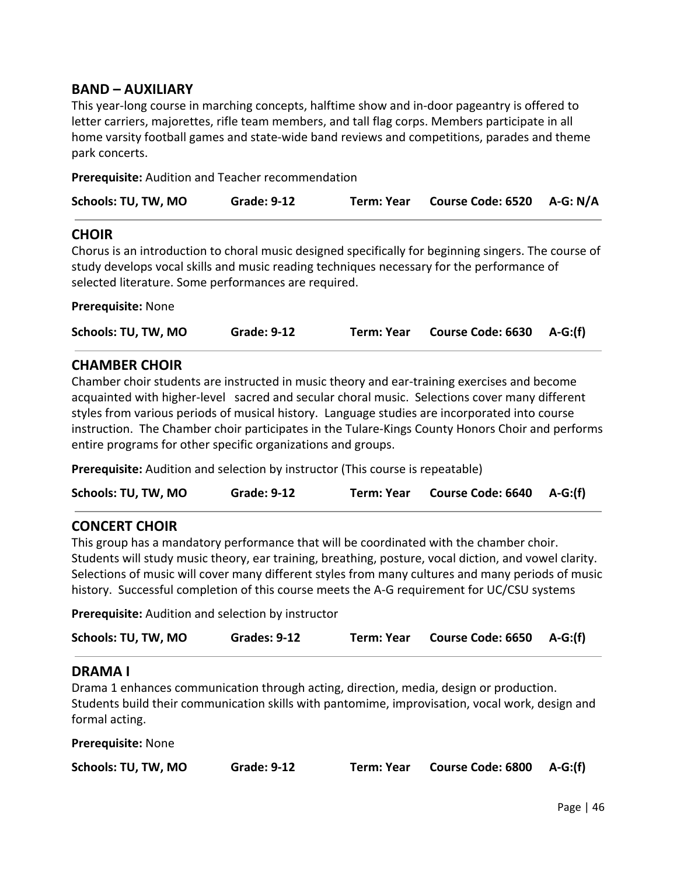## **BAND – AUXILIARY**

This year-long course in marching concepts, halftime show and in-door pageantry is offered to letter carriers, majorettes, rifle team members, and tall flag corps. Members participate in all home varsity football games and state-wide band reviews and competitions, parades and theme park concerts.

**Prerequisite:** Audition and Teacher recommendation

| Schools: TU, TW, MO | <b>Grade: 9-12</b> | Term: Year Course Code: 6520 A-G: N/A |  |
|---------------------|--------------------|---------------------------------------|--|
|                     |                    |                                       |  |

### **CHOIR**

Chorus is an introduction to choral music designed specifically for beginning singers. The course of study develops vocal skills and music reading techniques necessary for the performance of selected literature. Some performances are required.

### **Prerequisite:** None

| Schools: TU, TW, MO | <b>Grade: 9-12</b> | Term: Year | Course Code: 6630 A-G:(f) |  |
|---------------------|--------------------|------------|---------------------------|--|
|---------------------|--------------------|------------|---------------------------|--|

### **CHAMBER CHOIR**

Chamber choir students are instructed in music theory and ear-training exercises and become acquainted with higher-level sacred and secular choral music. Selections cover many different styles from various periods of musical history. Language studies are incorporated into course instruction. The Chamber choir participates in the Tulare-Kings County Honors Choir and performs entire programs for other specific organizations and groups.

**Prerequisite:** Audition and selection by instructor (This course is repeatable)

**Schools: TU, TW, MO Grade: 9-12 Term: Year Course Code: 6640 A-G:(f)**

### **CONCERT CHOIR**

This group has a mandatory performance that will be coordinated with the chamber choir. Students will study music theory, ear training, breathing, posture, vocal diction, and vowel clarity. Selections of music will cover many different styles from many cultures and many periods of music history. Successful completion of this course meets the A-G requirement for UC/CSU systems

**Prerequisite:** Audition and selection by instructor

| Schools: TU, TW, MO | <b>Grades: 9-12</b> | Term: Year | Course Code: 6650 A-G:(f) |  |
|---------------------|---------------------|------------|---------------------------|--|
|---------------------|---------------------|------------|---------------------------|--|

# **DRAMA I**

Drama 1 enhances communication through acting, direction, media, design or production. Students build their communication skills with pantomime, improvisation, vocal work, design and formal acting.

**Prerequisite:** None

| Schools: TU, TW, MO | <b>Grade: 9-12</b> | Term: Year | Course Code: 6800 A-G:(f) |  |
|---------------------|--------------------|------------|---------------------------|--|
|---------------------|--------------------|------------|---------------------------|--|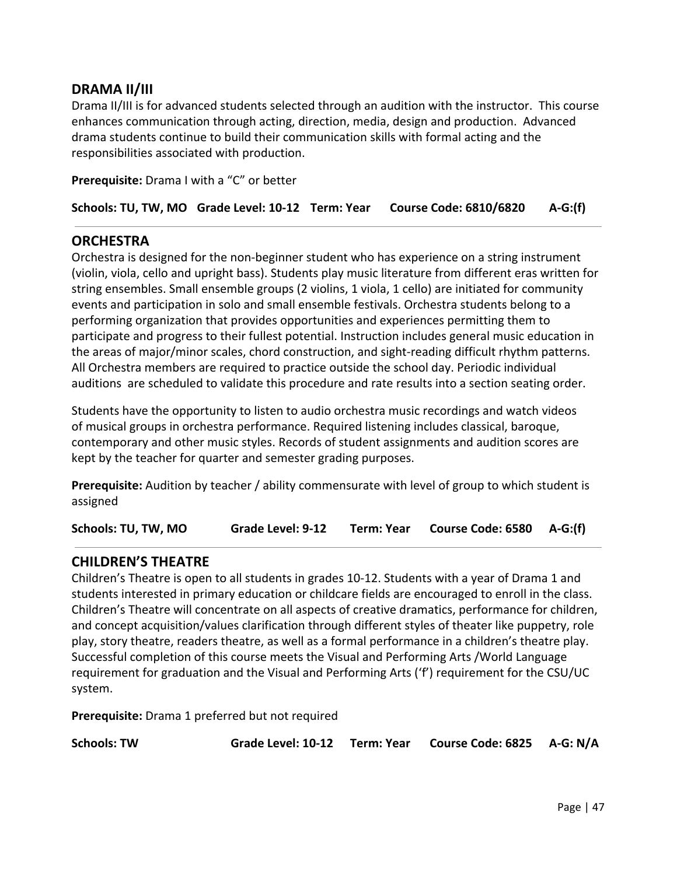# **DRAMA II/III**

Drama II/III is for advanced students selected through an audition with the instructor. This course enhances communication through acting, direction, media, design and production. Advanced drama students continue to build their communication skills with formal acting and the responsibilities associated with production.

**Prerequisite:** Drama I with a "C" or better

**Schools: TU, TW, MO Grade Level: 10-12 Term: Year Course Code: 6810/6820 A-G:(f)**

### **ORCHESTRA**

Orchestra is designed for the non-beginner student who has experience on a string instrument (violin, viola, cello and upright bass). Students play music literature from different eras written for string ensembles. Small ensemble groups (2 violins, 1 viola, 1 cello) are initiated for community events and participation in solo and small ensemble festivals. Orchestra students belong to a performing organization that provides opportunities and experiences permitting them to participate and progress to their fullest potential. Instruction includes general music education in the areas of major/minor scales, chord construction, and sight-reading difficult rhythm patterns. All Orchestra members are required to practice outside the school day. Periodic individual auditions are scheduled to validate this procedure and rate results into a section seating order.

Students have the opportunity to listen to audio orchestra music recordings and watch videos of musical groups in orchestra performance. Required listening includes classical, baroque, contemporary and other music styles. Records of student assignments and audition scores are kept by the teacher for quarter and semester grading purposes.

**Prerequisite:** Audition by teacher / ability commensurate with level of group to which student is assigned

**Schools: TU, TW, MO Grade Level: 9-12 Term: Year Course Code: 6580 A-G:(f)**

### **CHILDREN'S THEATRE**

Children's Theatre is open to all students in grades 10-12. Students with a year of Drama 1 and students interested in primary education or childcare fields are encouraged to enroll in the class. Children's Theatre will concentrate on all aspects of creative dramatics, performance for children, and concept acquisition/values clarification through different styles of theater like puppetry, role play, story theatre, readers theatre, as well as a formal performance in a children's theatre play. Successful completion of this course meets the Visual and Performing Arts /World Language requirement for graduation and the Visual and Performing Arts ('f') requirement for the CSU/UC system.

**Prerequisite:** Drama 1 preferred but not required

**Schools: TW Grade Level: 10-12 Term: Year Course Code: 6825 A-G: N/A**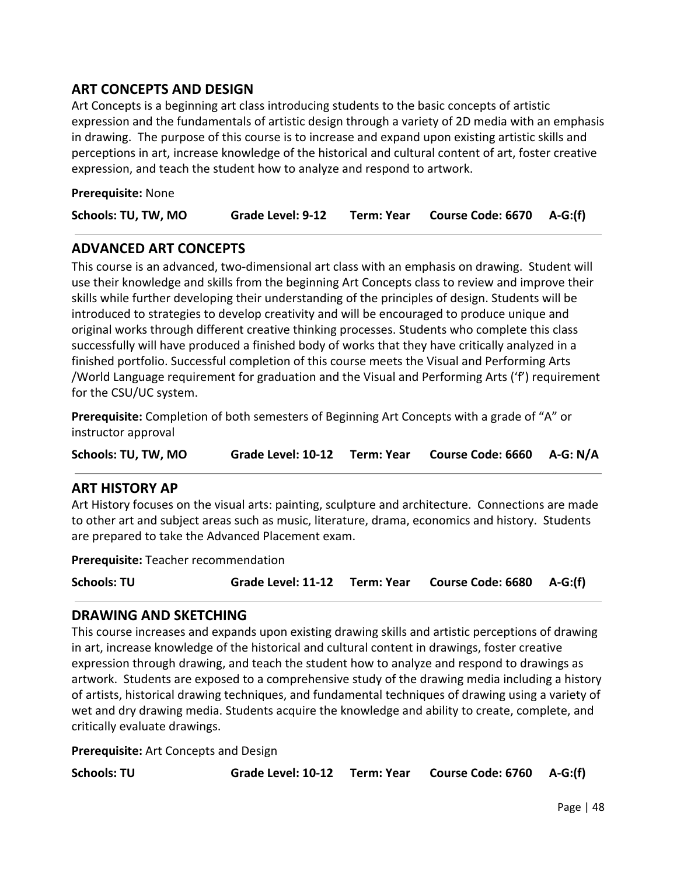# **ART CONCEPTS AND DESIGN**

Art Concepts is a beginning art class introducing students to the basic concepts of artistic expression and the fundamentals of artistic design through a variety of 2D media with an emphasis in drawing. The purpose of this course is to increase and expand upon existing artistic skills and perceptions in art, increase knowledge of the historical and cultural content of art, foster creative expression, and teach the student how to analyze and respond to artwork.

| Prerequisite: None |  |
|--------------------|--|
|--------------------|--|

| Term: Year Course Code: 6670 A-G:(f)<br>Schools: TU, TW, MO<br><b>Grade Level: 9-12</b> |  |
|-----------------------------------------------------------------------------------------|--|
|-----------------------------------------------------------------------------------------|--|

## **ADVANCED ART CONCEPTS**

This course is an advanced, two-dimensional art class with an emphasis on drawing. Student will use their knowledge and skills from the beginning Art Concepts class to review and improve their skills while further developing their understanding of the principles of design. Students will be introduced to strategies to develop creativity and will be encouraged to produce unique and original works through different creative thinking processes. Students who complete this class successfully will have produced a finished body of works that they have critically analyzed in a finished portfolio. Successful completion of this course meets the Visual and Performing Arts /World Language requirement for graduation and the Visual and Performing Arts ('f') requirement for the CSU/UC system.

**Prerequisite:** Completion of both semesters of Beginning Art Concepts with a grade of "A" or instructor approval

**Schools: TU, TW, MO Grade Level: 10-12 Term: Year Course Code: 6660 A-G: N/A**

### **ART HISTORY AP**

Art History focuses on the visual arts: painting, sculpture and architecture. Connections are made to other art and subject areas such as music, literature, drama, economics and history. Students are prepared to take the Advanced Placement exam.

**Prerequisite:** Teacher recommendation

**Schools: TU Grade Level: 11-12 Term: Year Course Code: 6680 A-G:(f)**

### **DRAWING AND SKETCHING**

This course increases and expands upon existing drawing skills and artistic perceptions of drawing in art, increase knowledge of the historical and cultural content in drawings, foster creative expression through drawing, and teach the student how to analyze and respond to drawings as artwork. Students are exposed to a comprehensive study of the drawing media including a history of artists, historical drawing techniques, and fundamental techniques of drawing using a variety of wet and dry drawing media. Students acquire the knowledge and ability to create, complete, and critically evaluate drawings.

**Prerequisite:** Art Concepts and Design

| Schools: TU |  | Grade Level: 10-12 Term: Year Course Code: 6760 A-G:(f) |  |
|-------------|--|---------------------------------------------------------|--|
|-------------|--|---------------------------------------------------------|--|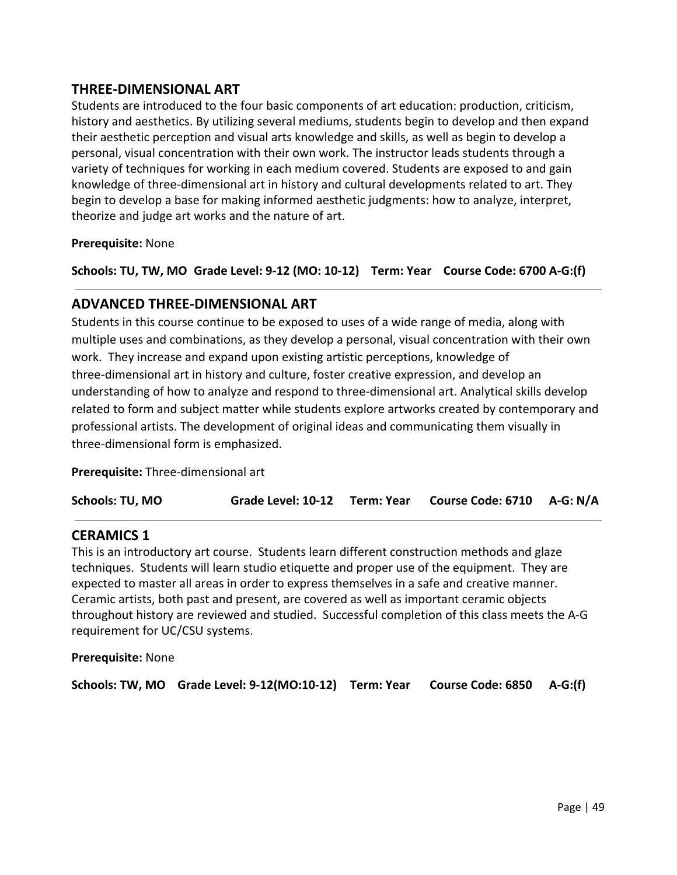# **THREE-DIMENSIONAL ART**

Students are introduced to the four basic components of art education: production, criticism, history and aesthetics. By utilizing several mediums, students begin to develop and then expand their aesthetic perception and visual arts knowledge and skills, as well as begin to develop a personal, visual concentration with their own work. The instructor leads students through a variety of techniques for working in each medium covered. Students are exposed to and gain knowledge of three-dimensional art in history and cultural developments related to art. They begin to develop a base for making informed aesthetic judgments: how to analyze, interpret, theorize and judge art works and the nature of art.

### **Prerequisite:** None

**Schools: TU, TW, MO Grade Level: 9-12 (MO: 10-12) Term: Year Course Code: 6700 A-G:(f)**

### **ADVANCED THREE-DIMENSIONAL ART**

Students in this course continue to be exposed to uses of a wide range of media, along with multiple uses and combinations, as they develop a personal, visual concentration with their own work. They increase and expand upon existing artistic perceptions, knowledge of three-dimensional art in history and culture, foster creative expression, and develop an understanding of how to analyze and respond to three-dimensional art. Analytical skills develop related to form and subject matter while students explore artworks created by contemporary and professional artists. The development of original ideas and communicating them visually in three-dimensional form is emphasized.

**Prerequisite:** Three-dimensional art

| Grade Level: 10-12 Term: Year Course Code: 6710 A-G: N/A | Schools: TU, MO |  |  |  |  |
|----------------------------------------------------------|-----------------|--|--|--|--|
|----------------------------------------------------------|-----------------|--|--|--|--|

### **CERAMICS 1**

This is an introductory art course. Students learn different construction methods and glaze techniques. Students will learn studio etiquette and proper use of the equipment. They are expected to master all areas in order to express themselves in a safe and creative manner. Ceramic artists, both past and present, are covered as well as important ceramic objects throughout history are reviewed and studied. Successful completion of this class meets the A-G requirement for UC/CSU systems.

**Prerequisite:** None

**Schools: TW, MO Grade Level: 9-12(MO:10-12) Term: Year Course Code: 6850 A-G:(f)**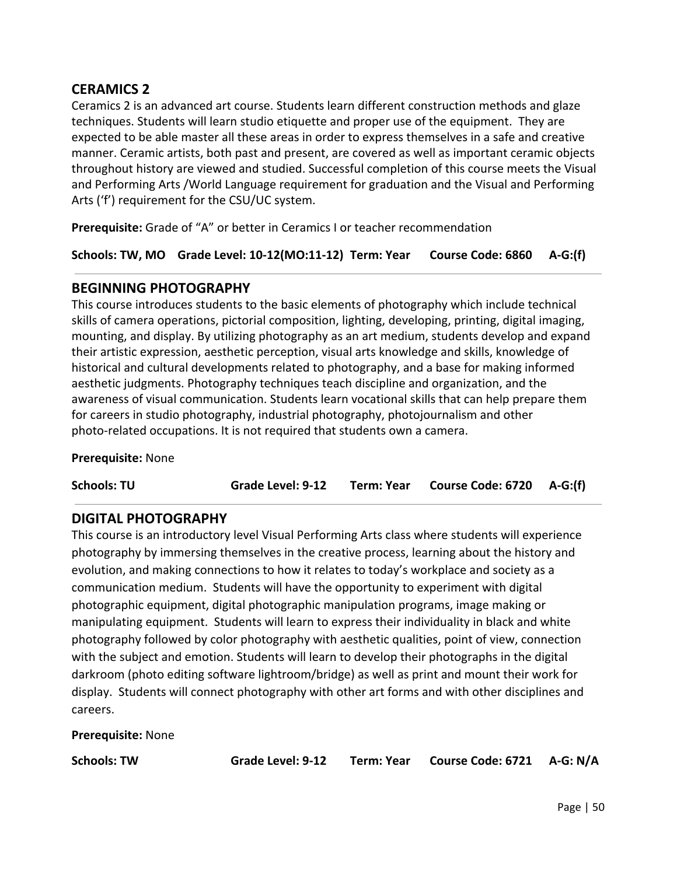# **CERAMICS 2**

Ceramics 2 is an advanced art course. Students learn different construction methods and glaze techniques. Students will learn studio etiquette and proper use of the equipment. They are expected to be able master all these areas in order to express themselves in a safe and creative manner. Ceramic artists, both past and present, are covered as well as important ceramic objects throughout history are viewed and studied. Successful completion of this course meets the Visual and Performing Arts /World Language requirement for graduation and the Visual and Performing Arts ('f') requirement for the CSU/UC system.

**Prerequisite:** Grade of "A" or better in Ceramics I or teacher recommendation

**Schools: TW, MO Grade Level: 10-12(MO:11-12) Term: Year Course Code: 6860 A-G:(f)**

### **BEGINNING PHOTOGRAPHY**

This course introduces students to the basic elements of photography which include technical skills of camera operations, pictorial composition, lighting, developing, printing, digital imaging, mounting, and display. By utilizing photography as an art medium, students develop and expand their artistic expression, aesthetic perception, visual arts knowledge and skills, knowledge of historical and cultural developments related to photography, and a base for making informed aesthetic judgments. Photography techniques teach discipline and organization, and the awareness of visual communication. Students learn vocational skills that can help prepare them for careers in studio photography, industrial photography, photojournalism and other photo-related occupations. It is not required that students own a camera.

### **Prerequisite:** None

**Schools: TU Grade Level: 9-12 Term: Year Course Code: 6720 A-G:(f)**

### **DIGITAL PHOTOGRAPHY**

This course is an introductory level Visual Performing Arts class where students will experience photography by immersing themselves in the creative process, learning about the history and evolution, and making connections to how it relates to today's workplace and society as a communication medium. Students will have the opportunity to experiment with digital photographic equipment, digital photographic manipulation programs, image making or manipulating equipment. Students will learn to express their individuality in black and white photography followed by color photography with aesthetic qualities, point of view, connection with the subject and emotion. Students will learn to develop their photographs in the digital darkroom (photo editing software lightroom/bridge) as well as print and mount their work for display. Students will connect photography with other art forms and with other disciplines and careers.

**Prerequisite:** None

**Schools: TW Grade Level: 9-12 Term: Year Course Code: 6721 A-G: N/A**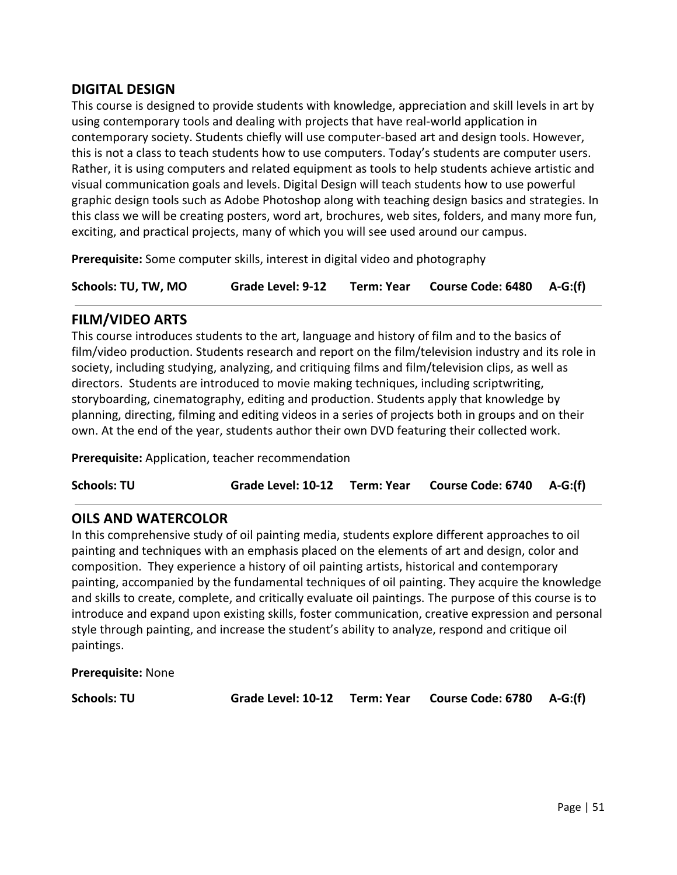# **DIGITAL DESIGN**

This course is designed to provide students with knowledge, appreciation and skill levels in art by using contemporary tools and dealing with projects that have real-world application in contemporary society. Students chiefly will use computer-based art and design tools. However, this is not a class to teach students how to use computers. Today's students are computer users. Rather, it is using computers and related equipment as tools to help students achieve artistic and visual communication goals and levels. Digital Design will teach students how to use powerful graphic design tools such as Adobe Photoshop along with teaching design basics and strategies. In this class we will be creating posters, word art, brochures, web sites, folders, and many more fun, exciting, and practical projects, many of which you will see used around our campus.

**Prerequisite:** Some computer skills, interest in digital video and photography

**Schools: TU, TW, MO Grade Level: 9-12 Term: Year Course Code: 6480 A-G:(f)**

### **FILM/VIDEO ARTS**

This course introduces students to the art, language and history of film and to the basics of film/video production. Students research and report on the film/television industry and its role in society, including studying, analyzing, and critiquing films and film/television clips, as well as directors. Students are introduced to movie making techniques, including scriptwriting, storyboarding, cinematography, editing and production. Students apply that knowledge by planning, directing, filming and editing videos in a series of projects both in groups and on their own. At the end of the year, students author their own DVD featuring their collected work.

**Prerequisite:** Application, teacher recommendation

**Schools: TU Grade Level: 10-12 Term: Year Course Code: 6740 A-G:(f)**

### **OILS AND WATERCOLOR**

In this comprehensive study of oil painting media, students explore different approaches to oil painting and techniques with an emphasis placed on the elements of art and design, color and composition. They experience a history of oil painting artists, historical and contemporary painting, accompanied by the fundamental techniques of oil painting. They acquire the knowledge and skills to create, complete, and critically evaluate oil paintings. The purpose of this course is to introduce and expand upon existing skills, foster communication, creative expression and personal style through painting, and increase the student's ability to analyze, respond and critique oil paintings.

**Prerequisite:** None

**Schools: TU Grade Level: 10-12 Term: Year Course Code: 6780 A-G:(f)**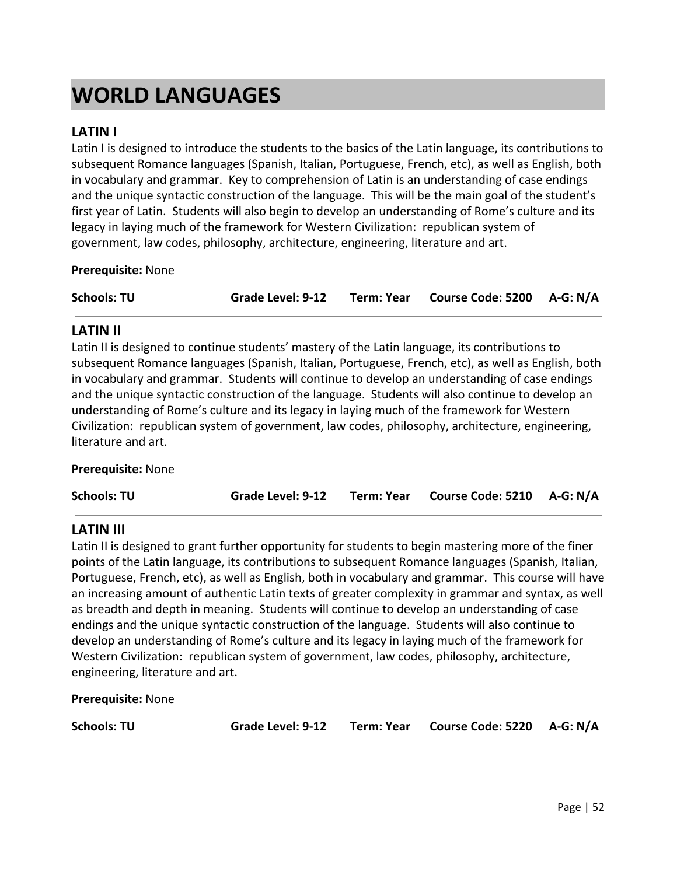# **WORLD LANGUAGES**

# **LATIN I**

Latin I is designed to introduce the students to the basics of the Latin language, its contributions to subsequent Romance languages (Spanish, Italian, Portuguese, French, etc), as well as English, both in vocabulary and grammar. Key to comprehension of Latin is an understanding of case endings and the unique syntactic construction of the language. This will be the main goal of the student's first year of Latin. Students will also begin to develop an understanding of Rome's culture and its legacy in laying much of the framework for Western Civilization: republican system of government, law codes, philosophy, architecture, engineering, literature and art.

### **Prerequisite:** None

| <b>Schools: TU</b> |  | Grade Level: 9-12 Term: Year Course Code: 5200 A-G: N/A |  |
|--------------------|--|---------------------------------------------------------|--|
|                    |  |                                                         |  |

### **LATIN II**

Latin II is designed to continue students' mastery of the Latin language, its contributions to subsequent Romance languages (Spanish, Italian, Portuguese, French, etc), as well as English, both in vocabulary and grammar. Students will continue to develop an understanding of case endings and the unique syntactic construction of the language. Students will also continue to develop an understanding of Rome's culture and its legacy in laying much of the framework for Western Civilization: republican system of government, law codes, philosophy, architecture, engineering, literature and art.

### **Prerequisite:** None

### **LATIN III**

Latin II is designed to grant further opportunity for students to begin mastering more of the finer points of the Latin language, its contributions to subsequent Romance languages (Spanish, Italian, Portuguese, French, etc), as well as English, both in vocabulary and grammar. This course will have an increasing amount of authentic Latin texts of greater complexity in grammar and syntax, as well as breadth and depth in meaning. Students will continue to develop an understanding of case endings and the unique syntactic construction of the language. Students will also continue to develop an understanding of Rome's culture and its legacy in laying much of the framework for Western Civilization: republican system of government, law codes, philosophy, architecture, engineering, literature and art.

**Prerequisite:** None

**Schools: TU Grade Level: 9-12 Term: Year Course Code: 5220 A-G: N/A**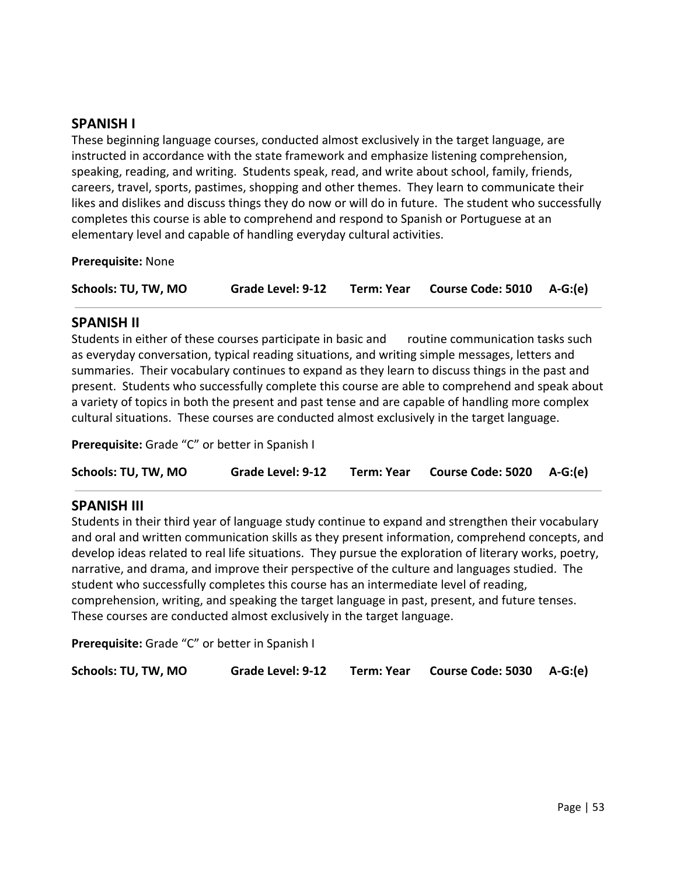### **SPANISH I**

These beginning language courses, conducted almost exclusively in the target language, are instructed in accordance with the state framework and emphasize listening comprehension, speaking, reading, and writing. Students speak, read, and write about school, family, friends, careers, travel, sports, pastimes, shopping and other themes. They learn to communicate their likes and dislikes and discuss things they do now or will do in future. The student who successfully completes this course is able to comprehend and respond to Spanish or Portuguese at an elementary level and capable of handling everyday cultural activities.

**Prerequisite:** None

| Schools: TU, TW, MO | Grade Level: 9-12 | Term: Year | Course Code: $5010$ A-G:(e) |  |
|---------------------|-------------------|------------|-----------------------------|--|
|---------------------|-------------------|------------|-----------------------------|--|

### **SPANISH II**

Students in either of these courses participate in basic and routine communication tasks such as everyday conversation, typical reading situations, and writing simple messages, letters and summaries. Their vocabulary continues to expand as they learn to discuss things in the past and present. Students who successfully complete this course are able to comprehend and speak about a variety of topics in both the present and past tense and are capable of handling more complex cultural situations. These courses are conducted almost exclusively in the target language.

**Prerequisite:** Grade "C" or better in Spanish I

**Schools: TU, TW, MO Grade Level: 9-12 Term: Year Course Code: 5020 A-G:(e)**

### **SPANISH III**

Students in their third year of language study continue to expand and strengthen their vocabulary and oral and written communication skills as they present information, comprehend concepts, and develop ideas related to real life situations. They pursue the exploration of literary works, poetry, narrative, and drama, and improve their perspective of the culture and languages studied. The student who successfully completes this course has an intermediate level of reading, comprehension, writing, and speaking the target language in past, present, and future tenses. These courses are conducted almost exclusively in the target language.

**Prerequisite:** Grade "C" or better in Spanish I

| Schools: TU, TW, MO | Grade Level: 9-12 | Term: Year Course Code: 5030 A-G:(e) |  |
|---------------------|-------------------|--------------------------------------|--|
|                     |                   |                                      |  |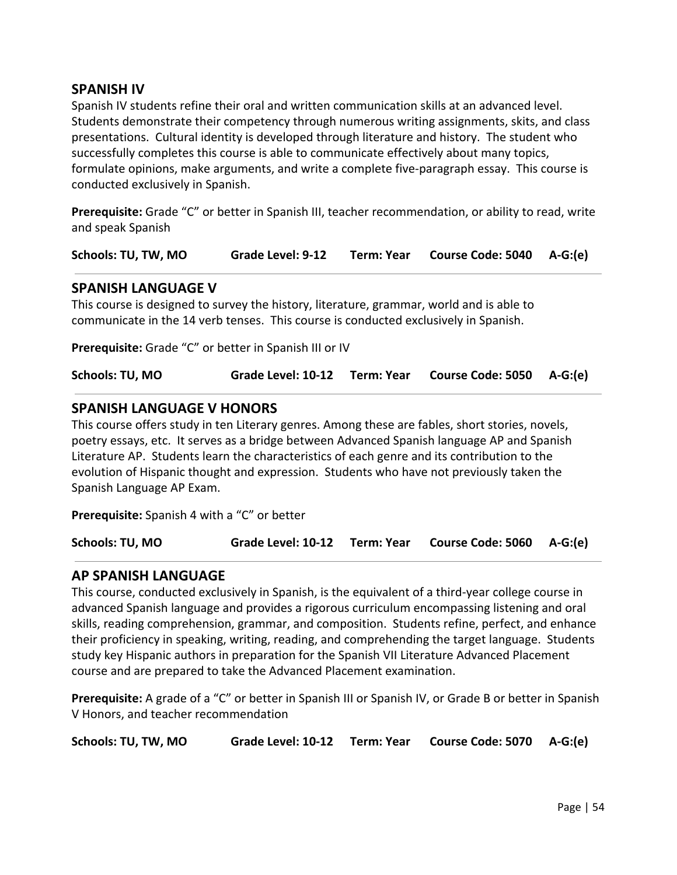### **SPANISH IV**

Spanish IV students refine their oral and written communication skills at an advanced level. Students demonstrate their competency through numerous writing assignments, skits, and class presentations. Cultural identity is developed through literature and history. The student who successfully completes this course is able to communicate effectively about many topics, formulate opinions, make arguments, and write a complete five-paragraph essay. This course is conducted exclusively in Spanish.

**Prerequisite:** Grade "C" or better in Spanish III, teacher recommendation, or ability to read, write and speak Spanish

**Schools: TU, TW, MO Grade Level: 9-12 Term: Year Course Code: 5040 A-G:(e)**

### **SPANISH LANGUAGE V**

This course is designed to survey the history, literature, grammar, world and is able to communicate in the 14 verb tenses. This course is conducted exclusively in Spanish.

**Prerequisite:** Grade "C" or better in Spanish III or IV

**Schools: TU, MO Grade Level: 10-12 Term: Year Course Code: 5050 A-G:(e)**

### **SPANISH LANGUAGE V HONORS**

This course offers study in ten Literary genres. Among these are fables, short stories, novels, poetry essays, etc. It serves as a bridge between Advanced Spanish language AP and Spanish Literature AP. Students learn the characteristics of each genre and its contribution to the evolution of Hispanic thought and expression. Students who have not previously taken the Spanish Language AP Exam.

**Prerequisite:** Spanish 4 with a "C" or better

**Schools: TU, MO Grade Level: 10-12 Term: Year Course Code: 5060 A-G:(e)**

### **AP SPANISH LANGUAGE**

This course, conducted exclusively in Spanish, is the equivalent of a third-year college course in advanced Spanish language and provides a rigorous curriculum encompassing listening and oral skills, reading comprehension, grammar, and composition. Students refine, perfect, and enhance their proficiency in speaking, writing, reading, and comprehending the target language. Students study key Hispanic authors in preparation for the Spanish VII Literature Advanced Placement course and are prepared to take the Advanced Placement examination.

**Prerequisite:** A grade of a "C" or better in Spanish III or Spanish IV, or Grade B or better in Spanish V Honors, and teacher recommendation

**Schools: TU, TW, MO Grade Level: 10-12 Term: Year Course Code: 5070 A-G:(e)**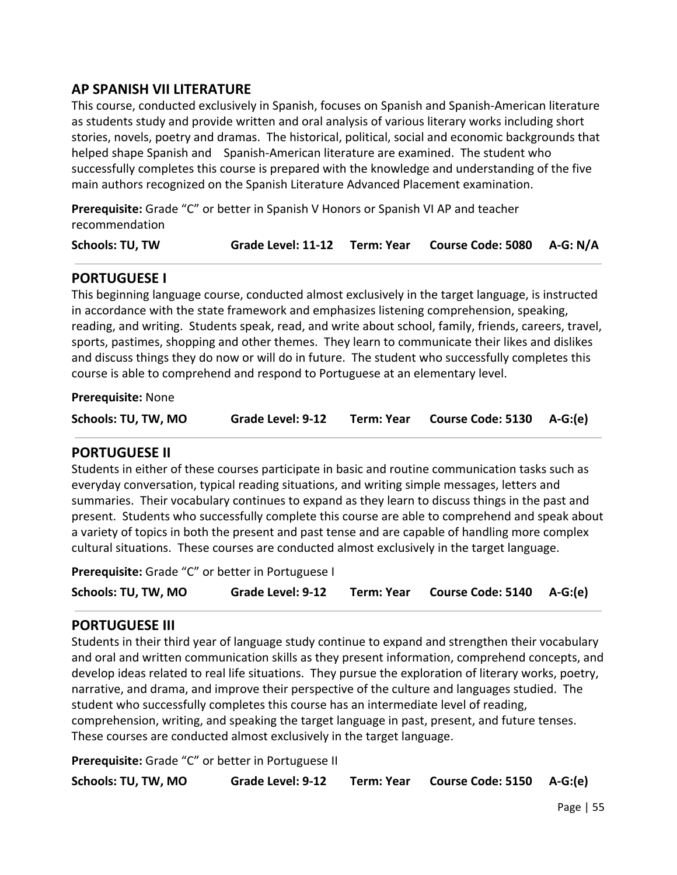# **AP SPANISH VII LITERATURE**

This course, conducted exclusively in Spanish, focuses on Spanish and Spanish-American literature as students study and provide written and oral analysis of various literary works including short stories, novels, poetry and dramas. The historical, political, social and economic backgrounds that helped shape Spanish and Spanish-American literature are examined. The student who successfully completes this course is prepared with the knowledge and understanding of the five main authors recognized on the Spanish Literature Advanced Placement examination.

**Prerequisite:** Grade "C" or better in Spanish V Honors or Spanish VI AP and teacher recommendation

| Schools: TU, TW |  | Grade Level: 11-12 Term: Year Course Code: 5080 A-G: N/A |  |
|-----------------|--|----------------------------------------------------------|--|
|                 |  |                                                          |  |

## **PORTUGUESE I**

This beginning language course, conducted almost exclusively in the target language, is instructed in accordance with the state framework and emphasizes listening comprehension, speaking, reading, and writing. Students speak, read, and write about school, family, friends, careers, travel, sports, pastimes, shopping and other themes. They learn to communicate their likes and dislikes and discuss things they do now or will do in future. The student who successfully completes this course is able to comprehend and respond to Portuguese at an elementary level.

**Prerequisite:** None

| Schools: TU, TW, MO | Grade Level: 9-12 | Term: Year | Course Code: 5130 A-G:(e) |  |
|---------------------|-------------------|------------|---------------------------|--|
|                     |                   |            |                           |  |

### **PORTUGUESE II**

Students in either of these courses participate in basic and routine communication tasks such as everyday conversation, typical reading situations, and writing simple messages, letters and summaries. Their vocabulary continues to expand as they learn to discuss things in the past and present. Students who successfully complete this course are able to comprehend and speak about a variety of topics in both the present and past tense and are capable of handling more complex cultural situations. These courses are conducted almost exclusively in the target language.

**Prerequisite:** Grade "C" or better in Portuguese I

| Schools: TU, TW, MO | Grade Level: 9-12 |  | Term: Year Course Code: 5140 A-G:(e) |  |
|---------------------|-------------------|--|--------------------------------------|--|
|---------------------|-------------------|--|--------------------------------------|--|

### **PORTUGUESE III**

Students in their third year of language study continue to expand and strengthen their vocabulary and oral and written communication skills as they present information, comprehend concepts, and develop ideas related to real life situations. They pursue the exploration of literary works, poetry, narrative, and drama, and improve their perspective of the culture and languages studied. The student who successfully completes this course has an intermediate level of reading, comprehension, writing, and speaking the target language in past, present, and future tenses. These courses are conducted almost exclusively in the target language.

**Prerequisite:** Grade "C" or better in Portuguese II

| Schools: TU, TW, MO | Grade Level: 9-12 |  | Term: Year Course Code: 5150 A-G:(e) |  |
|---------------------|-------------------|--|--------------------------------------|--|
|---------------------|-------------------|--|--------------------------------------|--|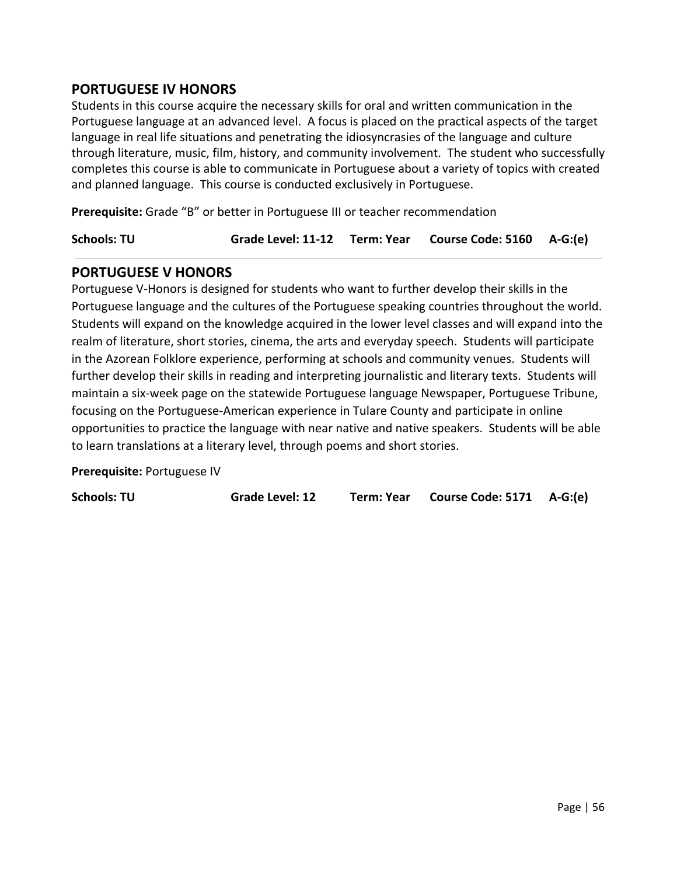# **PORTUGUESE IV HONORS**

Students in this course acquire the necessary skills for oral and written communication in the Portuguese language at an advanced level. A focus is placed on the practical aspects of the target language in real life situations and penetrating the idiosyncrasies of the language and culture through literature, music, film, history, and community involvement. The student who successfully completes this course is able to communicate in Portuguese about a variety of topics with created and planned language. This course is conducted exclusively in Portuguese.

**Prerequisite:** Grade "B" or better in Portuguese III or teacher recommendation

**Schools: TU Grade Level: 11-12 Term: Year Course Code: 5160 A-G:(e)**

## **PORTUGUESE V HONORS**

Portuguese V-Honors is designed for students who want to further develop their skills in the Portuguese language and the cultures of the Portuguese speaking countries throughout the world. Students will expand on the knowledge acquired in the lower level classes and will expand into the realm of literature, short stories, cinema, the arts and everyday speech. Students will participate in the Azorean Folklore experience, performing at schools and community venues. Students will further develop their skills in reading and interpreting journalistic and literary texts. Students will maintain a six-week page on the statewide Portuguese language Newspaper, Portuguese Tribune, focusing on the Portuguese-American experience in Tulare County and participate in online opportunities to practice the language with near native and native speakers. Students will be able to learn translations at a literary level, through poems and short stories.

**Prerequisite:** Portuguese IV

**Schools: TU Grade Level: 12 Term: Year Course Code: 5171 A-G:(e)**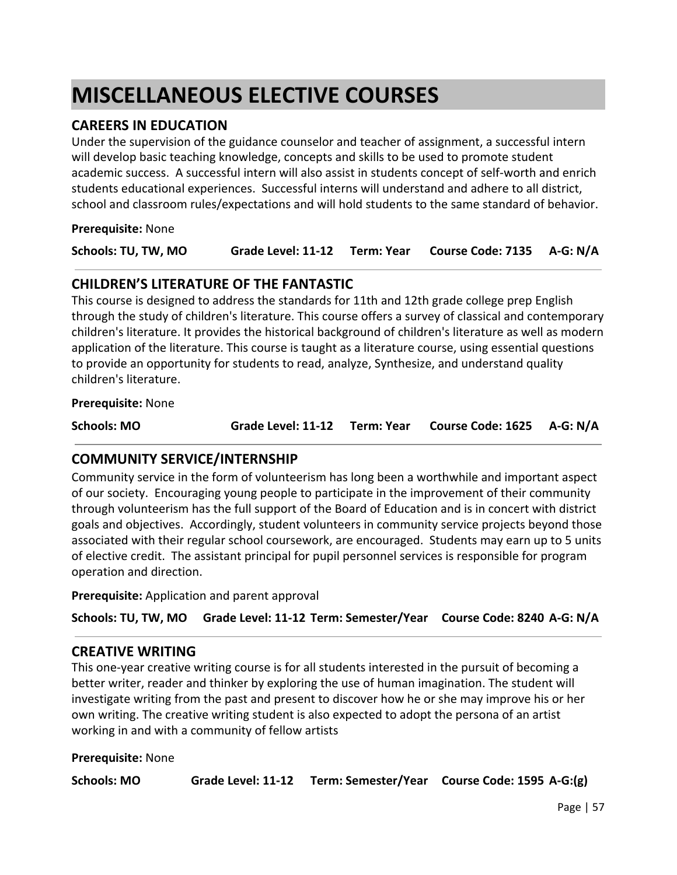# **MISCELLANEOUS ELECTIVE COURSES**

# **CAREERS IN EDUCATION**

Under the supervision of the guidance counselor and teacher of assignment, a successful intern will develop basic teaching knowledge, concepts and skills to be used to promote student academic success. A successful intern will also assist in students concept of self-worth and enrich students educational experiences. Successful interns will understand and adhere to all district, school and classroom rules/expectations and will hold students to the same standard of behavior.

**Prerequisite:** None

| Schools: TU, TW, MO |  | Grade Level: 11-12 Term: Year Course Code: 7135 A-G: N/A |  |
|---------------------|--|----------------------------------------------------------|--|
|                     |  |                                                          |  |

# **CHILDREN'S LITERATURE OF THE FANTASTIC**

This course is designed to address the standards for 11th and 12th grade college prep English through the study of children's literature. This course offers a survey of classical and contemporary children's literature. It provides the historical background of children's literature as well as modern application of the literature. This course is taught as a literature course, using essential questions to provide an opportunity for students to read, analyze, Synthesize, and understand quality children's literature.

**Prerequisite:** None

| Schools: MO |  | Grade Level: 11-12 Term: Year Course Code: 1625 A-G: N/A |  |
|-------------|--|----------------------------------------------------------|--|
|             |  |                                                          |  |

# **COMMUNITY SERVICE/INTERNSHIP**

Community service in the form of volunteerism has long been a worthwhile and important aspect of our society. Encouraging young people to participate in the improvement of their community through volunteerism has the full support of the Board of Education and is in concert with district goals and objectives. Accordingly, student volunteers in community service projects beyond those associated with their regular school coursework, are encouraged. Students may earn up to 5 units of elective credit. The assistant principal for pupil personnel services is responsible for program operation and direction.

**Prerequisite:** Application and parent approval

**Schools: TU, TW, MO Grade Level: 11-12 Term: Semester/Year Course Code: 8240 A-G: N/A**

# **CREATIVE WRITING**

This one-year creative writing course is for all students interested in the pursuit of becoming a better writer, reader and thinker by exploring the use of human imagination. The student will investigate writing from the past and present to discover how he or she may improve his or her own writing. The creative writing student is also expected to adopt the persona of an artist working in and with a community of fellow artists

### **Prerequisite:** None

**Schools: MO Grade Level: 11-12 Term: Semester/Year Course Code: 1595 A-G:(g)**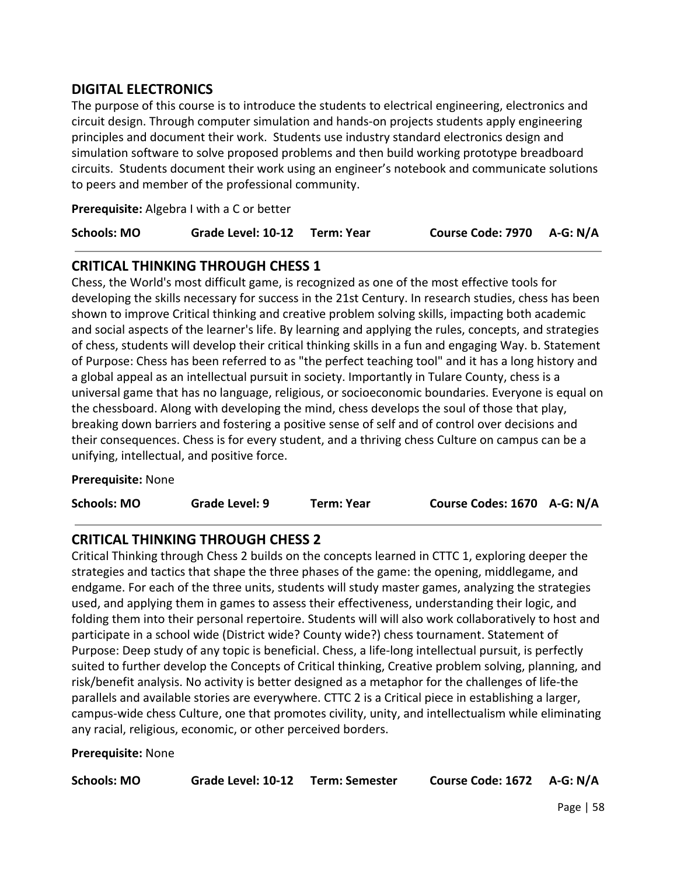# **DIGITAL ELECTRONICS**

The purpose of this course is to introduce the students to electrical engineering, electronics and circuit design. Through computer simulation and hands-on projects students apply engineering principles and document their work. Students use industry standard electronics design and simulation software to solve proposed problems and then build working prototype breadboard circuits. Students document their work using an engineer's notebook and communicate solutions to peers and member of the professional community.

**Prerequisite:** Algebra I with a C or better

| Course Code: 7970 A-G: N/A<br><b>Schools: MO</b><br>Grade Level: 10-12 Term: Year |  |
|-----------------------------------------------------------------------------------|--|
|-----------------------------------------------------------------------------------|--|

## **CRITICAL THINKING THROUGH CHESS 1**

Chess, the World's most difficult game, is recognized as one of the most effective tools for developing the skills necessary for success in the 21st Century. In research studies, chess has been shown to improve Critical thinking and creative problem solving skills, impacting both academic and social aspects of the learner's life. By learning and applying the rules, concepts, and strategies of chess, students will develop their critical thinking skills in a fun and engaging Way. b. Statement of Purpose: Chess has been referred to as "the perfect teaching tool" and it has a long history and a global appeal as an intellectual pursuit in society. Importantly in Tulare County, chess is a universal game that has no language, religious, or socioeconomic boundaries. Everyone is equal on the chessboard. Along with developing the mind, chess develops the soul of those that play, breaking down barriers and fostering a positive sense of self and of control over decisions and their consequences. Chess is for every student, and a thriving chess Culture on campus can be a unifying, intellectual, and positive force.

### **Prerequisite:** None

| Course Codes: 1670 A-G: N/A<br><b>Schools: MO</b><br>Grade Level: 9<br>Term: Year |  |
|-----------------------------------------------------------------------------------|--|
|-----------------------------------------------------------------------------------|--|

# **CRITICAL THINKING THROUGH CHESS 2**

Critical Thinking through Chess 2 builds on the concepts learned in CTTC 1, exploring deeper the strategies and tactics that shape the three phases of the game: the opening, middlegame, and endgame. For each of the three units, students will study master games, analyzing the strategies used, and applying them in games to assess their effectiveness, understanding their logic, and folding them into their personal repertoire. Students will will also work collaboratively to host and participate in a school wide (District wide? County wide?) chess tournament. Statement of Purpose: Deep study of any topic is beneficial. Chess, a life-long intellectual pursuit, is perfectly suited to further develop the Concepts of Critical thinking, Creative problem solving, planning, and risk/benefit analysis. No activity is better designed as a metaphor for the challenges of life-the parallels and available stories are everywhere. CTTC 2 is a Critical piece in establishing a larger, campus-wide chess Culture, one that promotes civility, unity, and intellectualism while eliminating any racial, religious, economic, or other perceived borders.

### **Prerequisite:** None

| Course Code: 1672 A-G: N/A<br><b>Schools: MO</b><br>Grade Level: 10-12 Term: Semester |
|---------------------------------------------------------------------------------------|
|---------------------------------------------------------------------------------------|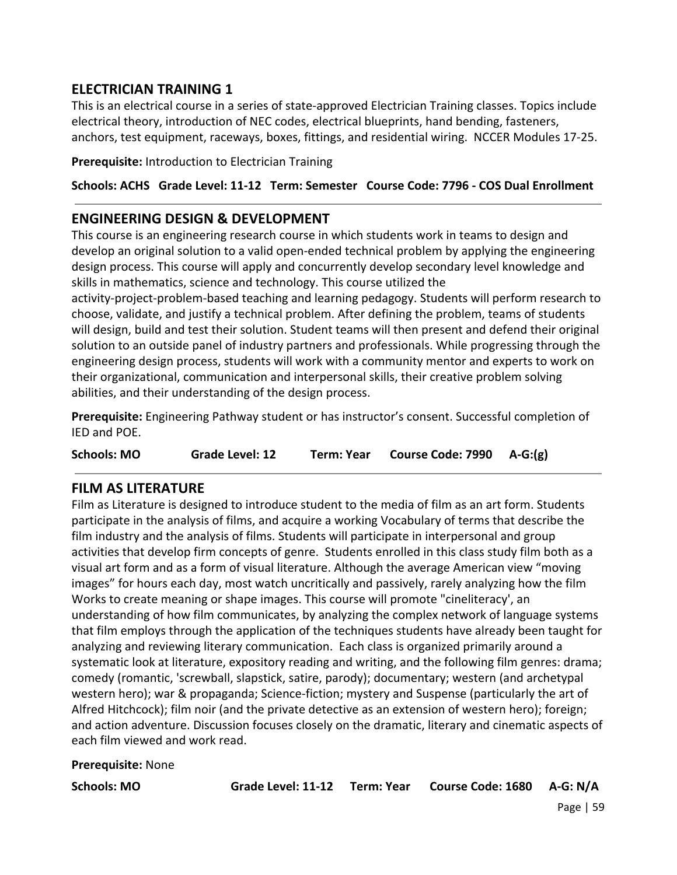# **ELECTRICIAN TRAINING 1**

This is an electrical course in a series of state-approved Electrician Training classes. Topics include electrical theory, introduction of NEC codes, electrical blueprints, hand bending, fasteners, anchors, test equipment, raceways, boxes, fittings, and residential wiring. NCCER Modules 17-25.

**Prerequisite:** Introduction to Electrician Training

## **Schools: ACHS Grade Level: 11-12 Term: Semester Course Code: 7796 - COS Dual Enrollment**

# **ENGINEERING DESIGN & DEVELOPMENT**

This course is an engineering research course in which students work in teams to design and develop an original solution to a valid open-ended technical problem by applying the engineering design process. This course will apply and concurrently develop secondary level knowledge and skills in mathematics, science and technology. This course utilized the

activity-project-problem-based teaching and learning pedagogy. Students will perform research to choose, validate, and justify a technical problem. After defining the problem, teams of students will design, build and test their solution. Student teams will then present and defend their original solution to an outside panel of industry partners and professionals. While progressing through the engineering design process, students will work with a community mentor and experts to work on their organizational, communication and interpersonal skills, their creative problem solving abilities, and their understanding of the design process.

**Prerequisite:** Engineering Pathway student or has instructor's consent. Successful completion of IED and POE.

**Schools: MO Grade Level: 12 Term: Year Course Code: 7990 A-G:(g)**

# **FILM AS LITERATURE**

Film as Literature is designed to introduce student to the media of film as an art form. Students participate in the analysis of films, and acquire a working Vocabulary of terms that describe the film industry and the analysis of films. Students will participate in interpersonal and group activities that develop firm concepts of genre. Students enrolled in this class study film both as a visual art form and as a form of visual literature. Although the average American view "moving images" for hours each day, most watch uncritically and passively, rarely analyzing how the film Works to create meaning or shape images. This course will promote "cineliteracy', an understanding of how film communicates, by analyzing the complex network of language systems that film employs through the application of the techniques students have already been taught for analyzing and reviewing literary communication. Each class is organized primarily around a systematic look at literature, expository reading and writing, and the following film genres: drama; comedy (romantic, 'screwball, slapstick, satire, parody); documentary; western (and archetypal western hero); war & propaganda; Science-fiction; mystery and Suspense (particularly the art of Alfred Hitchcock); film noir (and the private detective as an extension of western hero); foreign; and action adventure. Discussion focuses closely on the dramatic, literary and cinematic aspects of each film viewed and work read.

### **Prerequisite:** None

**Schools: MO Grade Level: 11-12 Term: Year Course Code: 1680 A-G: N/A**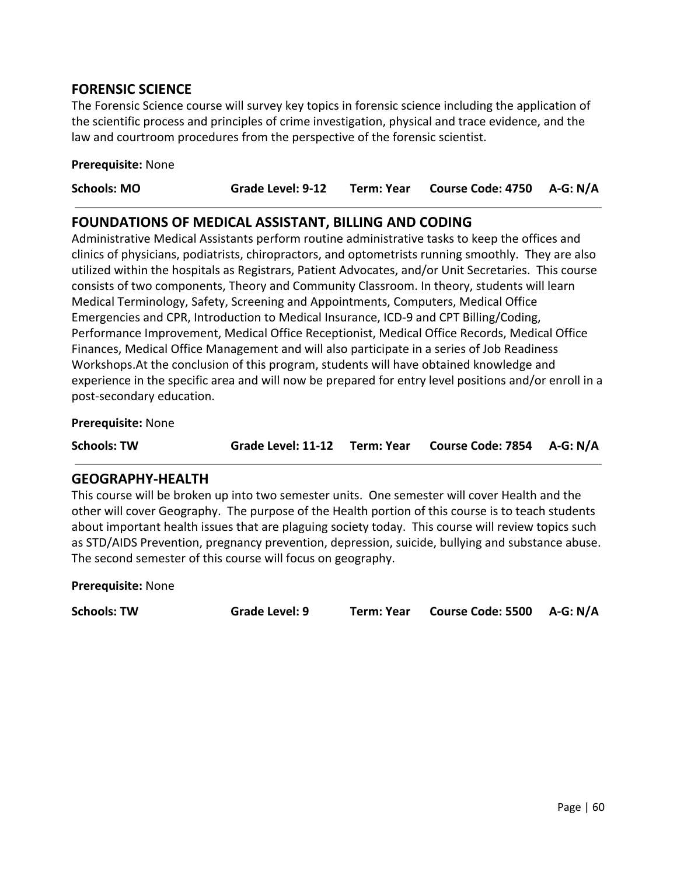## **FORENSIC SCIENCE**

The Forensic Science course will survey key topics in forensic science including the application of the scientific process and principles of crime investigation, physical and trace evidence, and the law and courtroom procedures from the perspective of the forensic scientist.

#### **Prerequisite:** None

### **FOUNDATIONS OF MEDICAL ASSISTANT, BILLING AND CODING**

Administrative Medical Assistants perform routine administrative tasks to keep the offices and clinics of physicians, podiatrists, chiropractors, and optometrists running smoothly. They are also utilized within the hospitals as Registrars, Patient Advocates, and/or Unit Secretaries. This course consists of two components, Theory and Community Classroom. In theory, students will learn Medical Terminology, Safety, Screening and Appointments, Computers, Medical Office Emergencies and CPR, Introduction to Medical Insurance, ICD-9 and CPT Billing/Coding, Performance Improvement, Medical Office Receptionist, Medical Office Records, Medical Office Finances, Medical Office Management and will also participate in a series of Job Readiness Workshops.At the conclusion of this program, students will have obtained knowledge and experience in the specific area and will now be prepared for entry level positions and/or enroll in a post-secondary education.

#### **Prerequisite:** None

**Schools: TW Grade Level: 11-12 Term: Year Course Code: 7854 A-G: N/A**

### **GEOGRAPHY-HEALTH**

This course will be broken up into two semester units. One semester will cover Health and the other will cover Geography. The purpose of the Health portion of this course is to teach students about important health issues that are plaguing society today. This course will review topics such as STD/AIDS Prevention, pregnancy prevention, depression, suicide, bullying and substance abuse. The second semester of this course will focus on geography.

**Prerequisite:** None

**Schools: TW Grade Level: 9 Term: Year Course Code: 5500 A-G: N/A**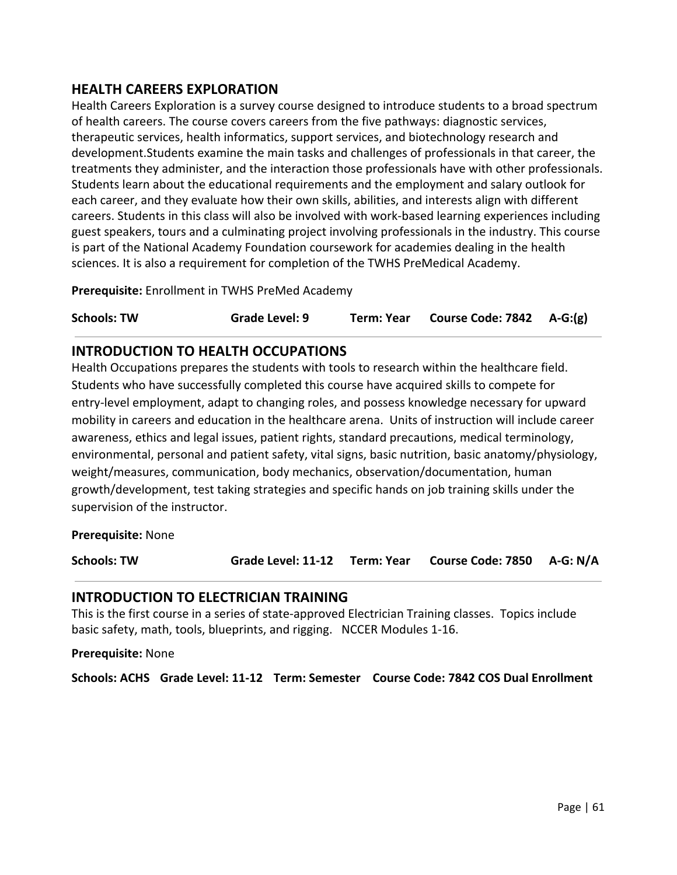# **HEALTH CAREERS EXPLORATION**

Health Careers Exploration is a survey course designed to introduce students to a broad spectrum of health careers. The course covers careers from the five pathways: diagnostic services, therapeutic services, health informatics, support services, and biotechnology research and development.Students examine the main tasks and challenges of professionals in that career, the treatments they administer, and the interaction those professionals have with other professionals. Students learn about the educational requirements and the employment and salary outlook for each career, and they evaluate how their own skills, abilities, and interests align with different careers. Students in this class will also be involved with work-based learning experiences including guest speakers, tours and a culminating project involving professionals in the industry. This course is part of the National Academy Foundation coursework for academies dealing in the health sciences. It is also a requirement for completion of the TWHS PreMedical Academy.

**Prerequisite:** Enrollment in TWHS PreMed Academy

**Schools: TW Grade Level: 9 Term: Year Course Code: 7842 A-G:(g)**

# **INTRODUCTION TO HEALTH OCCUPATIONS**

Health Occupations prepares the students with tools to research within the healthcare field. Students who have successfully completed this course have acquired skills to compete for entry-level employment, adapt to changing roles, and possess knowledge necessary for upward mobility in careers and education in the healthcare arena. Units of instruction will include career awareness, ethics and legal issues, patient rights, standard precautions, medical terminology, environmental, personal and patient safety, vital signs, basic nutrition, basic anatomy/physiology, weight/measures, communication, body mechanics, observation/documentation, human growth/development, test taking strategies and specific hands on job training skills under the supervision of the instructor.

**Prerequisite:** None

**Schools: TW Grade Level: 11-12 Term: Year Course Code: 7850 A-G: N/A**

### **INTRODUCTION TO ELECTRICIAN TRAINING**

This is the first course in a series of state-approved Electrician Training classes. Topics include basic safety, math, tools, blueprints, and rigging. NCCER Modules 1-16.

**Prerequisite:** None

**Schools: ACHS Grade Level: 11-12 Term: Semester Course Code: 7842 COS Dual Enrollment**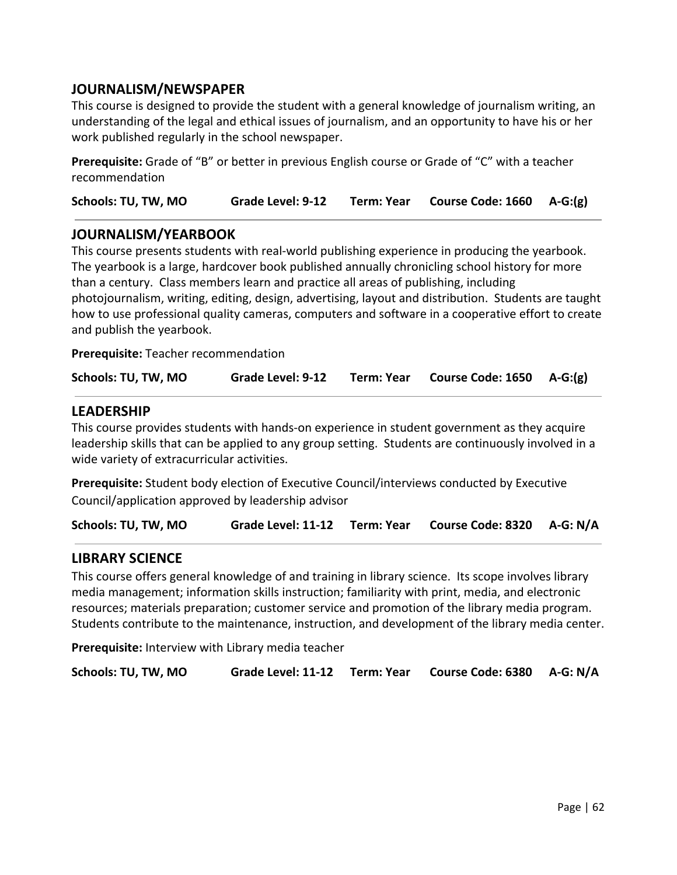# **JOURNALISM/NEWSPAPER**

This course is designed to provide the student with a general knowledge of journalism writing, an understanding of the legal and ethical issues of journalism, and an opportunity to have his or her work published regularly in the school newspaper.

**Prerequisite:** Grade of "B" or better in previous English course or Grade of "C" with a teacher recommendation

**Schools: TU, TW, MO Grade Level: 9-12 Term: Year Course Code: 1660 A-G:(g)**

### **JOURNALISM/YEARBOOK**

This course presents students with real-world publishing experience in producing the yearbook. The yearbook is a large, hardcover book published annually chronicling school history for more than a century. Class members learn and practice all areas of publishing, including photojournalism, writing, editing, design, advertising, layout and distribution. Students are taught how to use professional quality cameras, computers and software in a cooperative effort to create and publish the yearbook.

**Prerequisite:** Teacher recommendation

| Schools: TU, TW, MO | Grade Level: 9-12 | Term: Year | Course Code: 1650 A-G:(g) |  |
|---------------------|-------------------|------------|---------------------------|--|
|---------------------|-------------------|------------|---------------------------|--|

### **LEADERSHIP**

This course provides students with hands-on experience in student government as they acquire leadership skills that can be applied to any group setting. Students are continuously involved in a wide variety of extracurricular activities.

**Prerequisite:** Student body election of Executive Council/interviews conducted by Executive Council/application approved by leadership advisor

**Schools: TU, TW, MO Grade Level: 11-12 Term: Year Course Code: 8320 A-G: N/A**

### **LIBRARY SCIENCE**

This course offers general knowledge of and training in library science. Its scope involves library media management; information skills instruction; familiarity with print, media, and electronic resources; materials preparation; customer service and promotion of the library media program. Students contribute to the maintenance, instruction, and development of the library media center.

**Prerequisite:** Interview with Library media teacher

**Schools: TU, TW, MO Grade Level: 11-12 Term: Year Course Code: 6380 A-G: N/A**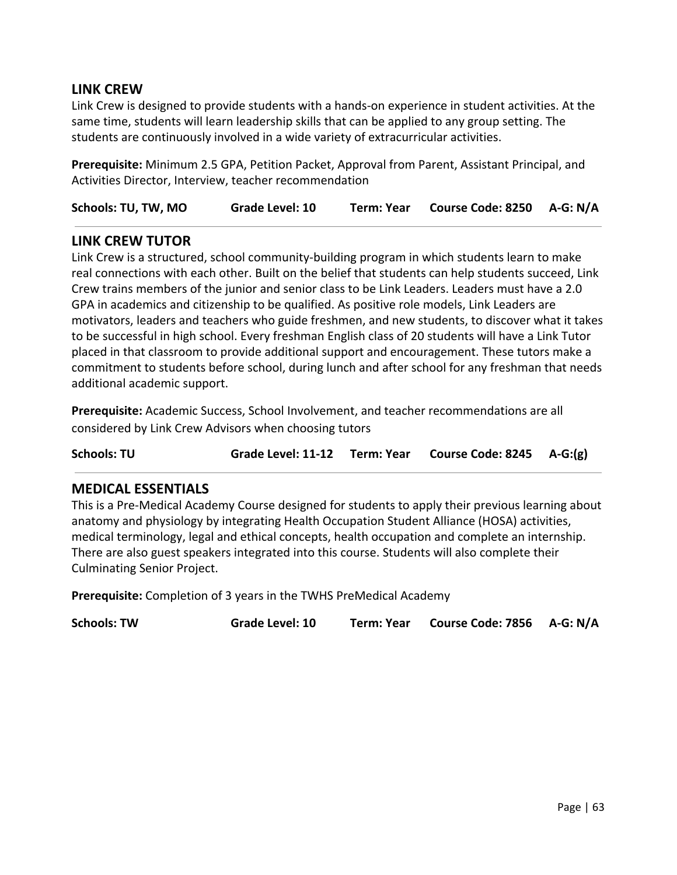## **LINK CREW**

Link Crew is designed to provide students with a hands-on experience in student activities. At the same time, students will learn leadership skills that can be applied to any group setting. The students are continuously involved in a wide variety of extracurricular activities.

**Prerequisite:** Minimum 2.5 GPA, Petition Packet, Approval from Parent, Assistant Principal, and Activities Director, Interview, teacher recommendation

**Schools: TU, TW, MO Grade Level: 10 Term: Year Course Code: 8250 A-G: N/A**

### **LINK CREW TUTOR**

Link Crew is a structured, school community-building program in which students learn to make real connections with each other. Built on the belief that students can help students succeed, Link Crew trains members of the junior and senior class to be Link Leaders. Leaders must have a 2.0 GPA in academics and citizenship to be qualified. As positive role models, Link Leaders are motivators, leaders and teachers who guide freshmen, and new students, to discover what it takes to be successful in high school. Every freshman English class of 20 students will have a Link Tutor placed in that classroom to provide additional support and encouragement. These tutors make a commitment to students before school, during lunch and after school for any freshman that needs additional academic support.

**Prerequisite:** Academic Success, School Involvement, and teacher recommendations are all considered by Link Crew Advisors when choosing tutors

**Schools: TU Grade Level: 11-12 Term: Year Course Code: 8245 A-G:(g)**

### **MEDICAL ESSENTIALS**

This is a Pre-Medical Academy Course designed for students to apply their previous learning about anatomy and physiology by integrating Health Occupation Student Alliance (HOSA) activities, medical terminology, legal and ethical concepts, health occupation and complete an internship. There are also guest speakers integrated into this course. Students will also complete their Culminating Senior Project.

**Prerequisite:** Completion of 3 years in the TWHS PreMedical Academy

**Schools: TW Grade Level: 10 Term: Year Course Code: 7856 A-G: N/A**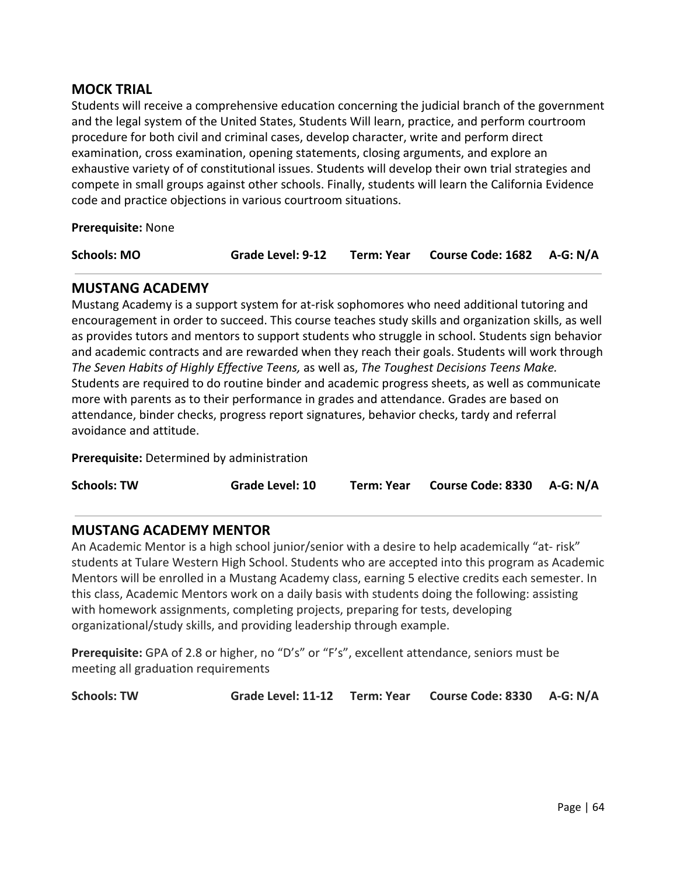## **MOCK TRIAL**

Students will receive a comprehensive education concerning the judicial branch of the government and the legal system of the United States, Students Will learn, practice, and perform courtroom procedure for both civil and criminal cases, develop character, write and perform direct examination, cross examination, opening statements, closing arguments, and explore an exhaustive variety of of constitutional issues. Students will develop their own trial strategies and compete in small groups against other schools. Finally, students will learn the California Evidence code and practice objections in various courtroom situations.

**Prerequisite:** None

| Term: Year Course Code: 1682 A-G: N/A<br><b>Schools: MO</b><br>Grade Level: 9-12 |
|----------------------------------------------------------------------------------|
|----------------------------------------------------------------------------------|

### **MUSTANG ACADEMY**

Mustang Academy is a support system for at-risk sophomores who need additional tutoring and encouragement in order to succeed. This course teaches study skills and organization skills, as well as provides tutors and mentors to support students who struggle in school. Students sign behavior and academic contracts and are rewarded when they reach their goals. Students will work through *The Seven Habits of Highly Effective Teens,* as well as, *The Toughest Decisions Teens Make.* Students are required to do routine binder and academic progress sheets, as well as communicate more with parents as to their performance in grades and attendance. Grades are based on attendance, binder checks, progress report signatures, behavior checks, tardy and referral avoidance and attitude.

**Prerequisite:** Determined by administration

**Schools: TW Grade Level: 10 Term: Year Course Code: 8330 A-G: N/A**

# **MUSTANG ACADEMY MENTOR**

An Academic Mentor is a high school junior/senior with a desire to help academically "at- risk" students at Tulare Western High School. Students who are accepted into this program as Academic Mentors will be enrolled in a Mustang Academy class, earning 5 elective credits each semester. In this class, Academic Mentors work on a daily basis with students doing the following: assisting with homework assignments, completing projects, preparing for tests, developing organizational/study skills, and providing leadership through example.

**Prerequisite:** GPA of 2.8 or higher, no "D's" or "F's", excellent attendance, seniors must be meeting all graduation requirements

**Schools: TW Grade Level: 11-12 Term: Year Course Code: 8330 A-G: N/A**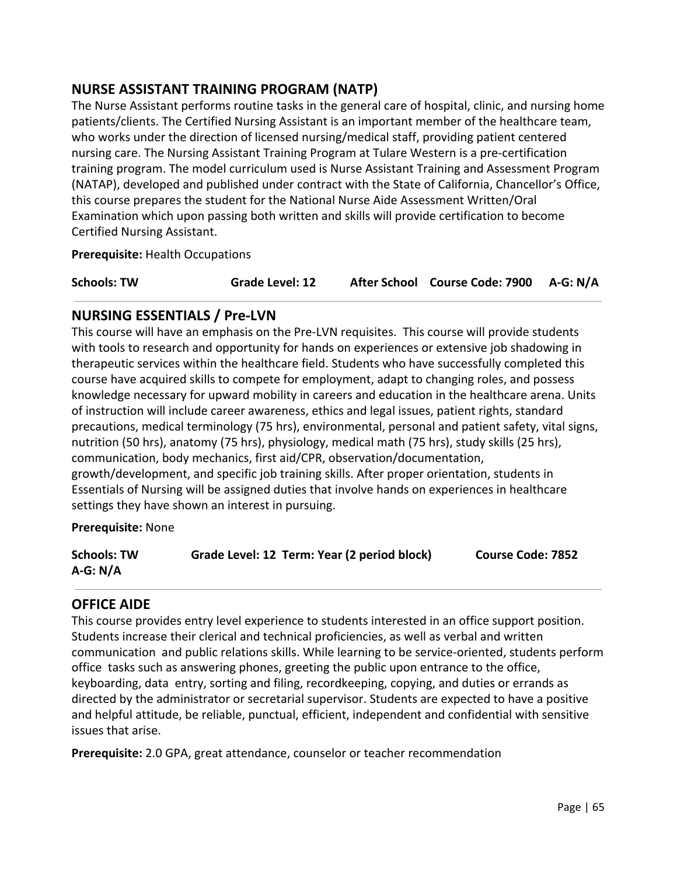# **NURSE ASSISTANT TRAINING PROGRAM (NATP)**

The Nurse Assistant performs routine tasks in the general care of hospital, clinic, and nursing home patients/clients. The Certified Nursing Assistant is an important member of the healthcare team, who works under the direction of licensed nursing/medical staff, providing patient centered nursing care. The Nursing Assistant Training Program at Tulare Western is a pre-certification training program. The model curriculum used is Nurse Assistant Training and Assessment Program (NATAP), developed and published under contract with the State of California, Chancellor's Office, this course prepares the student for the National Nurse Aide Assessment Written/Oral Examination which upon passing both written and skills will provide certification to become Certified Nursing Assistant.

**Prerequisite:** Health Occupations

| <b>Schools: TW</b> | <b>Grade Level: 12</b> | After School Course Code: 7900 A-G: N/A |  |
|--------------------|------------------------|-----------------------------------------|--|
|                    |                        |                                         |  |

## **NURSING ESSENTIALS / Pre-LVN**

This course will have an emphasis on the Pre-LVN requisites. This course will provide students with tools to research and opportunity for hands on experiences or extensive job shadowing in therapeutic services within the healthcare field. Students who have successfully completed this course have acquired skills to compete for employment, adapt to changing roles, and possess knowledge necessary for upward mobility in careers and education in the healthcare arena. Units of instruction will include career awareness, ethics and legal issues, patient rights, standard precautions, medical terminology (75 hrs), environmental, personal and patient safety, vital signs, nutrition (50 hrs), anatomy (75 hrs), physiology, medical math (75 hrs), study skills (25 hrs), communication, body mechanics, first aid/CPR, observation/documentation, growth/development, and specific job training skills. After proper orientation, students in Essentials of Nursing will be assigned duties that involve hands on experiences in healthcare settings they have shown an interest in pursuing.

**Prerequisite:** None

| <b>Schools: TW</b> | Grade Level: 12 Term: Year (2 period block) | <b>Course Code: 7852</b> |
|--------------------|---------------------------------------------|--------------------------|
| $A-G: N/A$         |                                             |                          |

### **OFFICE AIDE**

This course provides entry level experience to students interested in an office support position. Students increase their clerical and technical proficiencies, as well as verbal and written communication and public relations skills. While learning to be service-oriented, students perform office tasks such as answering phones, greeting the public upon entrance to the office, keyboarding, data entry, sorting and filing, recordkeeping, copying, and duties or errands as directed by the administrator or secretarial supervisor. Students are expected to have a positive and helpful attitude, be reliable, punctual, efficient, independent and confidential with sensitive issues that arise.

**Prerequisite:** 2.0 GPA, great attendance, counselor or teacher recommendation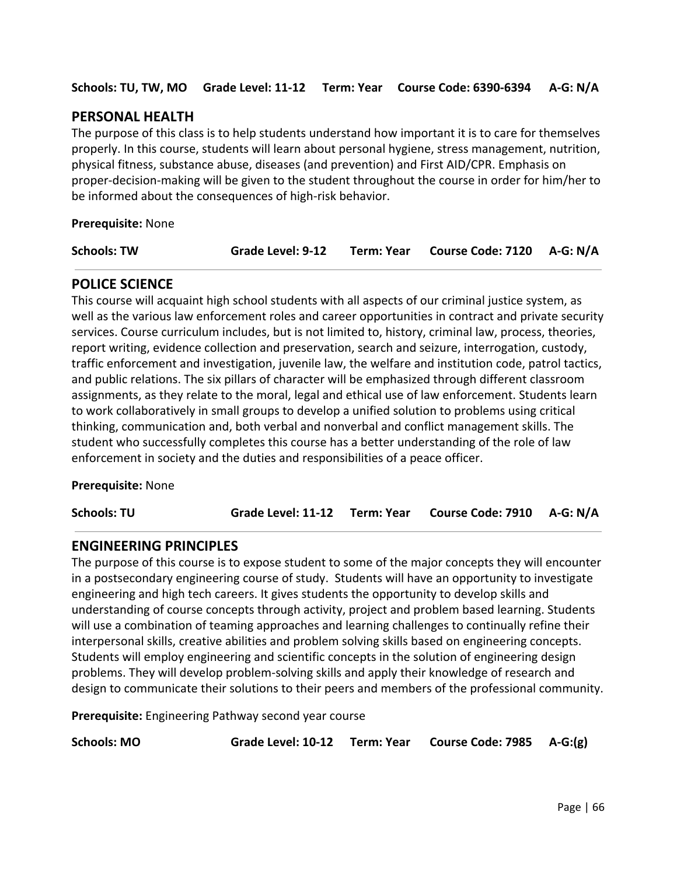**Schools: TU, TW, MO Grade Level: 11-12 Term: Year Course Code: 6390-6394 A-G: N/A**

# **PERSONAL HEALTH**

The purpose of this class is to help students understand how important it is to care for themselves properly. In this course, students will learn about personal hygiene, stress management, nutrition, physical fitness, substance abuse, diseases (and prevention) and First AID/CPR. Emphasis on proper-decision-making will be given to the student throughout the course in order for him/her to be informed about the consequences of high-risk behavior.

**Prerequisite:** None

**Schools: TW Grade Level: 9-12 Term: Year Course Code: 7120 A-G: N/A**

## **POLICE SCIENCE**

This course will acquaint high school students with all aspects of our criminal justice system, as well as the various law enforcement roles and career opportunities in contract and private security services. Course curriculum includes, but is not limited to, history, criminal law, process, theories, report writing, evidence collection and preservation, search and seizure, interrogation, custody, traffic enforcement and investigation, juvenile law, the welfare and institution code, patrol tactics, and public relations. The six pillars of character will be emphasized through different classroom assignments, as they relate to the moral, legal and ethical use of law enforcement. Students learn to work collaboratively in small groups to develop a unified solution to problems using critical thinking, communication and, both verbal and nonverbal and conflict management skills. The student who successfully completes this course has a better understanding of the role of law enforcement in society and the duties and responsibilities of a peace officer.

**Prerequisite:** None

**Schools: TU Grade Level: 11-12 Term: Year Course Code: 7910 A-G: N/A**

### **ENGINEERING PRINCIPLES**

The purpose of this course is to expose student to some of the major concepts they will encounter in a postsecondary engineering course of study. Students will have an opportunity to investigate engineering and high tech careers. It gives students the opportunity to develop skills and understanding of course concepts through activity, project and problem based learning. Students will use a combination of teaming approaches and learning challenges to continually refine their interpersonal skills, creative abilities and problem solving skills based on engineering concepts. Students will employ engineering and scientific concepts in the solution of engineering design problems. They will develop problem-solving skills and apply their knowledge of research and design to communicate their solutions to their peers and members of the professional community.

**Prerequisite:** Engineering Pathway second year course

**Schools: MO Grade Level: 10-12 Term: Year Course Code: 7985 A-G:(g)**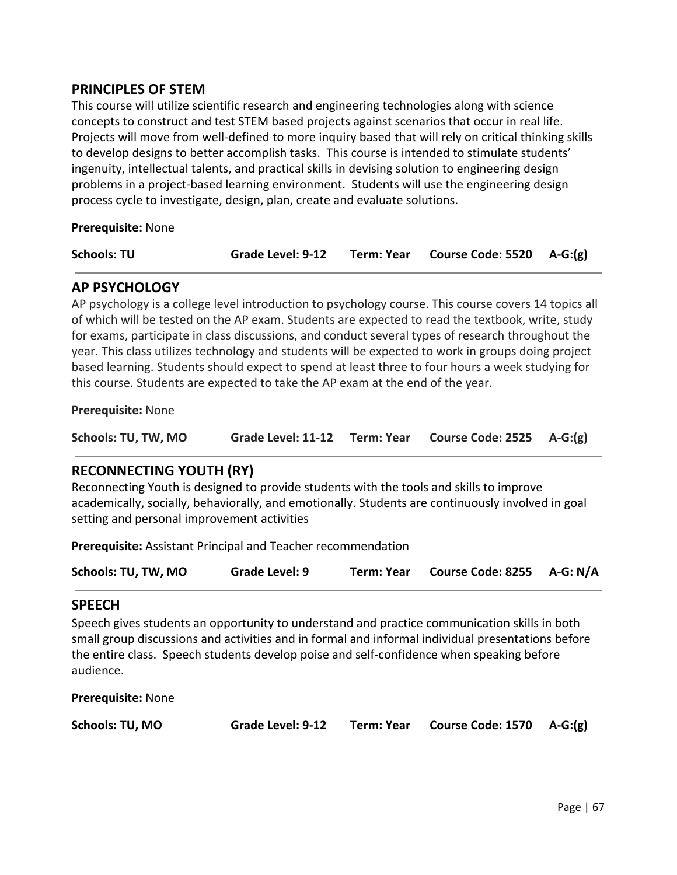## **PRINCIPLES OF STEM**

This course will utilize scientific research and engineering technologies along with science concepts to construct and test STEM based projects against scenarios that occur in real life. Projects will move from well-defined to more inquiry based that will rely on critical thinking skills to develop designs to better accomplish tasks. This course is intended to stimulate students' ingenuity, intellectual talents, and practical skills in devising solution to engineering design problems in a project-based learning environment. Students will use the engineering design process cycle to investigate, design, plan, create and evaluate solutions.

**Prerequisite:** None

| <b>Schools: TU</b> | <b>Grade Level: 9-12</b> | Term: Year Course Code: 5520 A-G:(g) |  |
|--------------------|--------------------------|--------------------------------------|--|
|                    |                          |                                      |  |

# **AP PSYCHOLOGY**

AP psychology is a college level introduction to psychology course. This course covers 14 topics all of which will be tested on the AP exam. Students are expected to read the textbook, write, study for exams, participate in class discussions, and conduct several types of research throughout the year. This class utilizes technology and students will be expected to work in groups doing project based learning. Students should expect to spend at least three to four hours a week studying for this course. Students are expected to take the AP exam at the end of the year.

**Prerequisite:** None

| Schools: TU, TW, MO | Grade Level: 11-12 Term: Year |  | Course Code: $2525$ A-G: $(g)$ |  |
|---------------------|-------------------------------|--|--------------------------------|--|
|---------------------|-------------------------------|--|--------------------------------|--|

# **RECONNECTING YOUTH (RY)**

Reconnecting Youth is designed to provide students with the tools and skills to improve academically, socially, behaviorally, and emotionally. Students are continuously involved in goal setting and personal improvement activities

**Prerequisite:** Assistant Principal and Teacher recommendation

| Schools: TU, TW, MO | Grade Level: 9 |  | Term: Year Course Code: 8255 A-G: N/A |  |
|---------------------|----------------|--|---------------------------------------|--|
|---------------------|----------------|--|---------------------------------------|--|

### **SPEECH**

Speech gives students an opportunity to understand and practice communication skills in both small group discussions and activities and in formal and informal individual presentations before the entire class. Speech students develop poise and self-confidence when speaking before audience.

**Prerequisite:** None

| Schools: TU, MO |  |
|-----------------|--|
|-----------------|--|

**Grade Level: 9-12 Term: Year Course Code: 1570 A-G:(g)**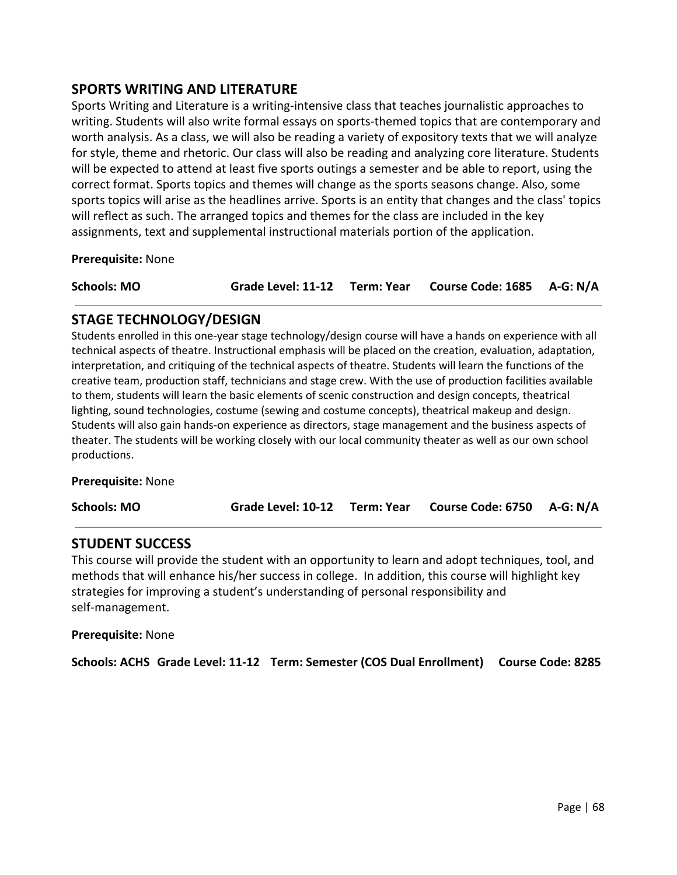## **SPORTS WRITING AND LITERATURE**

Sports Writing and Literature is a writing-intensive class that teaches journalistic approaches to writing. Students will also write formal essays on sports-themed topics that are contemporary and worth analysis. As a class, we will also be reading a variety of expository texts that we will analyze for style, theme and rhetoric. Our class will also be reading and analyzing core literature. Students will be expected to attend at least five sports outings a semester and be able to report, using the correct format. Sports topics and themes will change as the sports seasons change. Also, some sports topics will arise as the headlines arrive. Sports is an entity that changes and the class' topics will reflect as such. The arranged topics and themes for the class are included in the key assignments, text and supplemental instructional materials portion of the application.

**Prerequisite:** None

**Schools: MO Grade Level: 11-12 Term: Year Course Code: 1685 A-G: N/A**

### **STAGE TECHNOLOGY/DESIGN**

Students enrolled in this one-year stage technology/design course will have a hands on experience with all technical aspects of theatre. Instructional emphasis will be placed on the creation, evaluation, adaptation, interpretation, and critiquing of the technical aspects of theatre. Students will learn the functions of the creative team, production staff, technicians and stage crew. With the use of production facilities available to them, students will learn the basic elements of scenic construction and design concepts, theatrical lighting, sound technologies, costume (sewing and costume concepts), theatrical makeup and design. Students will also gain hands-on experience as directors, stage management and the business aspects of theater. The students will be working closely with our local community theater as well as our own school productions.

**Prerequisite:** None

**Schools: MO Grade Level: 10-12 Term: Year Course Code: 6750 A-G: N/A**

### **STUDENT SUCCESS**

This course will provide the student with an opportunity to learn and adopt techniques, tool, and methods that will enhance his/her success in college. In addition, this course will highlight key strategies for improving a student's understanding of personal responsibility and self-management.

**Prerequisite:** None

**Schools: ACHS Grade Level: 11-12 Term: Semester (COS Dual Enrollment) Course Code: 8285**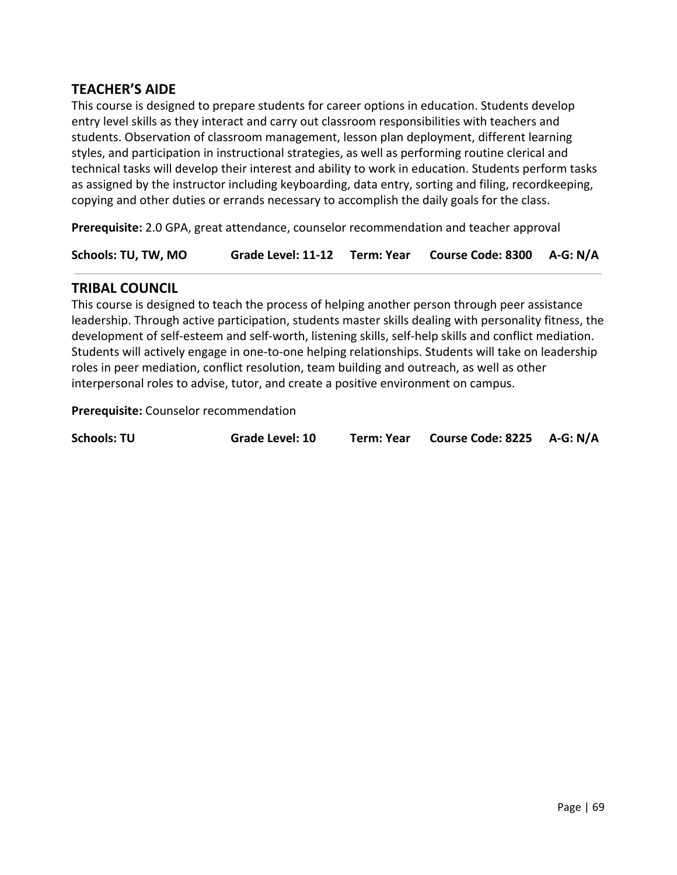# **TEACHER'S AIDE**

This course is designed to prepare students for career options in education. Students develop entry level skills as they interact and carry out classroom responsibilities with teachers and students. Observation of classroom management, lesson plan deployment, different learning styles, and participation in instructional strategies, as well as performing routine clerical and technical tasks will develop their interest and ability to work in education. Students perform tasks as assigned by the instructor including keyboarding, data entry, sorting and filing, recordkeeping, copying and other duties or errands necessary to accomplish the daily goals for the class.

**Prerequisite:** 2.0 GPA, great attendance, counselor recommendation and teacher approval

**Schools: TU, TW, MO Grade Level: 11-12 Term: Year Course Code: 8300 A-G: N/A**

## **TRIBAL COUNCIL**

This course is designed to teach the process of helping another person through peer assistance leadership. Through active participation, students master skills dealing with personality fitness, the development of self-esteem and self-worth, listening skills, self-help skills and conflict mediation. Students will actively engage in one-to-one helping relationships. Students will take on leadership roles in peer mediation, conflict resolution, team building and outreach, as well as other interpersonal roles to advise, tutor, and create a positive environment on campus.

**Prerequisite:** Counselor recommendation

| <b>Schools: TU</b><br><b>Grade Level: 10</b> | Term: Year Course Code: 8225 A-G: N/A |
|----------------------------------------------|---------------------------------------|
|----------------------------------------------|---------------------------------------|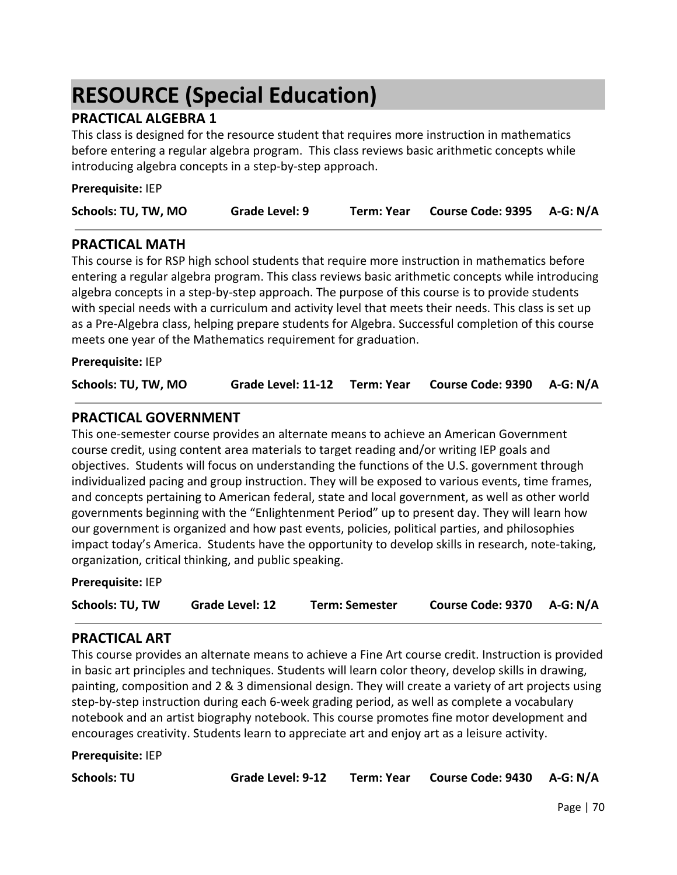# **RESOURCE (Special Education)**

# **PRACTICAL ALGEBRA 1**

This class is designed for the resource student that requires more instruction in mathematics before entering a regular algebra program. This class reviews basic arithmetic concepts while introducing algebra concepts in a step-by-step approach.

| Schools: TU, TW, MO | Grade Level: 9 | Term: Year | Course Code: 9395 A-G: N/A |  |
|---------------------|----------------|------------|----------------------------|--|

## **PRACTICAL MATH**

**Prerequisite:** IEP

This course is for RSP high school students that require more instruction in mathematics before entering a regular algebra program. This class reviews basic arithmetic concepts while introducing algebra concepts in a step-by-step approach. The purpose of this course is to provide students with special needs with a curriculum and activity level that meets their needs. This class is set up as a Pre-Algebra class, helping prepare students for Algebra. Successful completion of this course meets one year of the Mathematics requirement for graduation.

**Prerequisite:** IEP

| Schools: TU, TW, MO |  |  | Grade Level: 11-12 Term: Year Course Code: 9390 A-G: N/A |  |
|---------------------|--|--|----------------------------------------------------------|--|
|---------------------|--|--|----------------------------------------------------------|--|

## **PRACTICAL GOVERNMENT**

This one-semester course provides an alternate means to achieve an American Government course credit, using content area materials to target reading and/or writing IEP goals and objectives. Students will focus on understanding the functions of the U.S. government through individualized pacing and group instruction. They will be exposed to various events, time frames, and concepts pertaining to American federal, state and local government, as well as other world governments beginning with the "Enlightenment Period" up to present day. They will learn how our government is organized and how past events, policies, political parties, and philosophies impact today's America. Students have the opportunity to develop skills in research, note-taking, organization, critical thinking, and public speaking.

**Prerequisite:** IEP

| Course Code: 9370 A-G: N/A<br>Schools: TU, TW<br>Grade Level: 12<br><b>Term: Semester</b> |  |
|-------------------------------------------------------------------------------------------|--|
|-------------------------------------------------------------------------------------------|--|

### **PRACTICAL ART**

This course provides an alternate means to achieve a Fine Art course credit. Instruction is provided in basic art principles and techniques. Students will learn color theory, develop skills in drawing, painting, composition and 2 & 3 dimensional design. They will create a variety of art projects using step-by-step instruction during each 6-week grading period, as well as complete a vocabulary notebook and an artist biography notebook. This course promotes fine motor development and encourages creativity. Students learn to appreciate art and enjoy art as a leisure activity.

**Prerequisite:** IEP

**Schools: TU Grade Level: 9-12 Term: Year Course Code: 9430 A-G: N/A**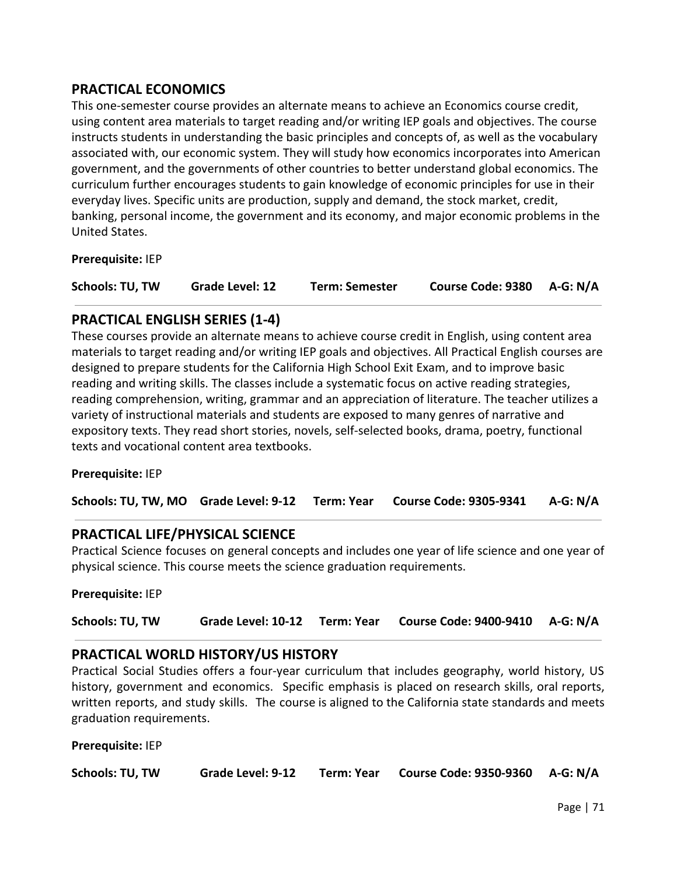# **PRACTICAL ECONOMICS**

This one-semester course provides an alternate means to achieve an Economics course credit, using content area materials to target reading and/or writing IEP goals and objectives. The course instructs students in understanding the basic principles and concepts of, as well as the vocabulary associated with, our economic system. They will study how economics incorporates into American government, and the governments of other countries to better understand global economics. The curriculum further encourages students to gain knowledge of economic principles for use in their everyday lives. Specific units are production, supply and demand, the stock market, credit, banking, personal income, the government and its economy, and major economic problems in the United States.

**Prerequisite:** IEP

| Schools: TU, TW | Grade Level: 12 | <b>Term: Semester</b> | Course Code: 9380 A-G: N/A |  |
|-----------------|-----------------|-----------------------|----------------------------|--|
|-----------------|-----------------|-----------------------|----------------------------|--|

### **PRACTICAL ENGLISH SERIES (1-4)**

These courses provide an alternate means to achieve course credit in English, using content area materials to target reading and/or writing IEP goals and objectives. All Practical English courses are designed to prepare students for the California High School Exit Exam, and to improve basic reading and writing skills. The classes include a systematic focus on active reading strategies, reading comprehension, writing, grammar and an appreciation of literature. The teacher utilizes a variety of instructional materials and students are exposed to many genres of narrative and expository texts. They read short stories, novels, self-selected books, drama, poetry, functional texts and vocational content area textbooks.

#### **Prerequisite:** IEP

|  |  |  | Schools: TU, TW, MO Grade Level: 9-12 Term: Year Course Code: 9305-9341 A-G: N/A |  |
|--|--|--|----------------------------------------------------------------------------------|--|
|--|--|--|----------------------------------------------------------------------------------|--|

### **PRACTICAL LIFE/PHYSICAL SCIENCE**

Practical Science focuses on general concepts and includes one year of life science and one year of physical science. This course meets the science graduation requirements.

#### **Prerequisite:** IEP

| Schools: TU, TW |  |  | Grade Level: 10-12 Term: Year Course Code: 9400-9410 A-G: N/A |  |
|-----------------|--|--|---------------------------------------------------------------|--|
|-----------------|--|--|---------------------------------------------------------------|--|

### **PRACTICAL WORLD HISTORY/US HISTORY**

Practical Social Studies offers a four-year curriculum that includes geography, world history, US history, government and economics. Specific emphasis is placed on research skills, oral reports, written reports, and study skills. The course is aligned to the California state standards and meets graduation requirements.

**Prerequisite:** IEP

| <b>Schools: TU, TW</b> | Grade Level: 9-12 |  | Term: Year Course Code: 9350-9360 A-G: N/A |  |
|------------------------|-------------------|--|--------------------------------------------|--|
|------------------------|-------------------|--|--------------------------------------------|--|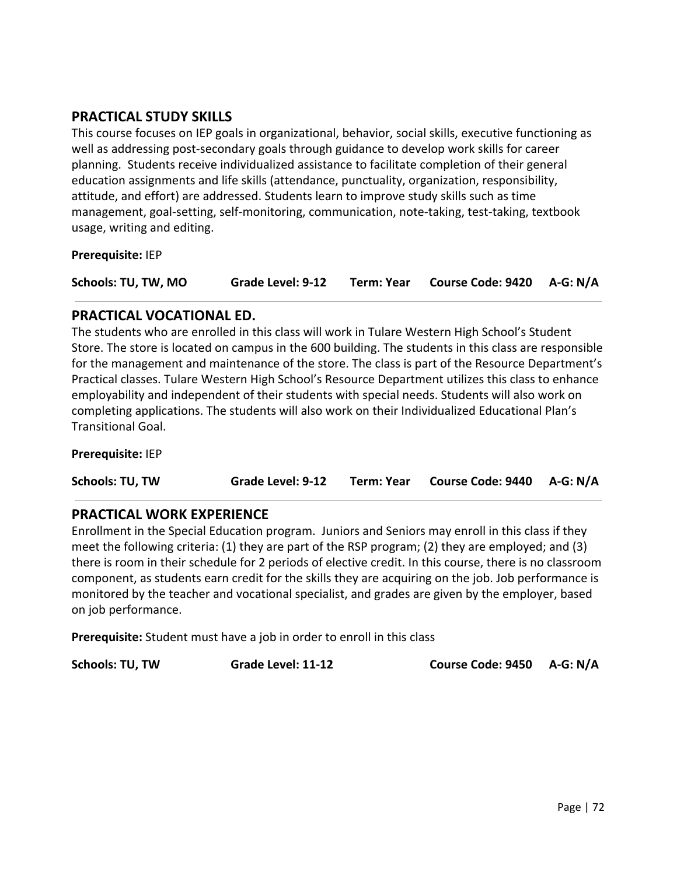# **PRACTICAL STUDY SKILLS**

This course focuses on IEP goals in organizational, behavior, social skills, executive functioning as well as addressing post-secondary goals through guidance to develop work skills for career planning. Students receive individualized assistance to facilitate completion of their general education assignments and life skills (attendance, punctuality, organization, responsibility, attitude, and effort) are addressed. Students learn to improve study skills such as time management, goal-setting, self-monitoring, communication, note-taking, test-taking, textbook usage, writing and editing.

**Prerequisite:** IEP

| Schools: TU, TW, MO |  |  | Grade Level: 9-12 Term: Year Course Code: 9420 A-G: N/A |  |
|---------------------|--|--|---------------------------------------------------------|--|
|---------------------|--|--|---------------------------------------------------------|--|

## **PRACTICAL VOCATIONAL ED.**

The students who are enrolled in this class will work in Tulare Western High School's Student Store. The store is located on campus in the 600 building. The students in this class are responsible for the management and maintenance of the store. The class is part of the Resource Department's Practical classes. Tulare Western High School's Resource Department utilizes this class to enhance employability and independent of their students with special needs. Students will also work on completing applications. The students will also work on their Individualized Educational Plan's Transitional Goal.

**Prerequisite:** IEP

**Schools: TU, TW Grade Level: 9-12 Term: Year Course Code: 9440 A-G: N/A**

# **PRACTICAL WORK EXPERIENCE**

Enrollment in the Special Education program. Juniors and Seniors may enroll in this class if they meet the following criteria: (1) they are part of the RSP program; (2) they are employed; and (3) there is room in their schedule for 2 periods of elective credit. In this course, there is no classroom component, as students earn credit for the skills they are acquiring on the job. Job performance is monitored by the teacher and vocational specialist, and grades are given by the employer, based on job performance.

**Prerequisite:** Student must have a job in order to enroll in this class

**Schools: TU, TW Grade Level: 11-12 Course Code: 9450 A-G: N/A**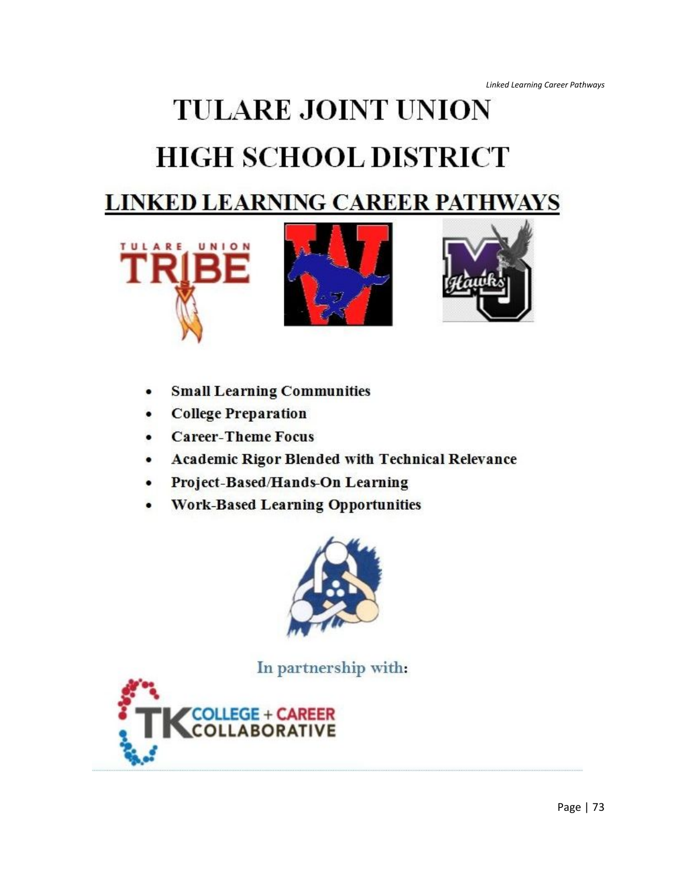# **TULARE JOINT UNION HIGH SCHOOL DISTRICT LINKED LEARNING CAREER PATHWAYS**







- **Small Learning Communities**  $\bullet$
- **College Preparation**
- **Career-Theme Focus**
- **Academic Rigor Blended with Technical Relevance**
- Project-Based/Hands-On Learning
- **Work-Based Learning Opportunities**



In partnership with:

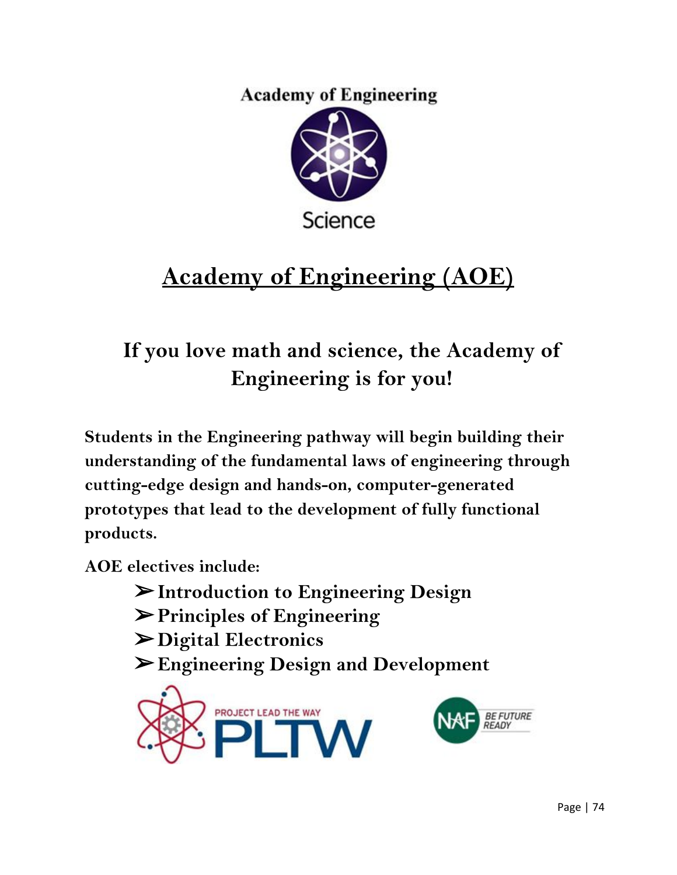**Academy of Engineering** 



# **Academy of Engineering (AOE)**

### **If you love math and science, the Academy of Engineering is for you!**

**Students in the Engineering pathway will begin building their understanding of the fundamental laws of engineering through cutting-edge design and hands-on, computer-generated prototypes that lead to the development of fully functional products.**

**AOE electives include:**

- ➢**Introduction to Engineering Design**
- ➢**Principles of Engineering**
- ➢**Digital Electronics**
- ➢**Engineering Design and Development**

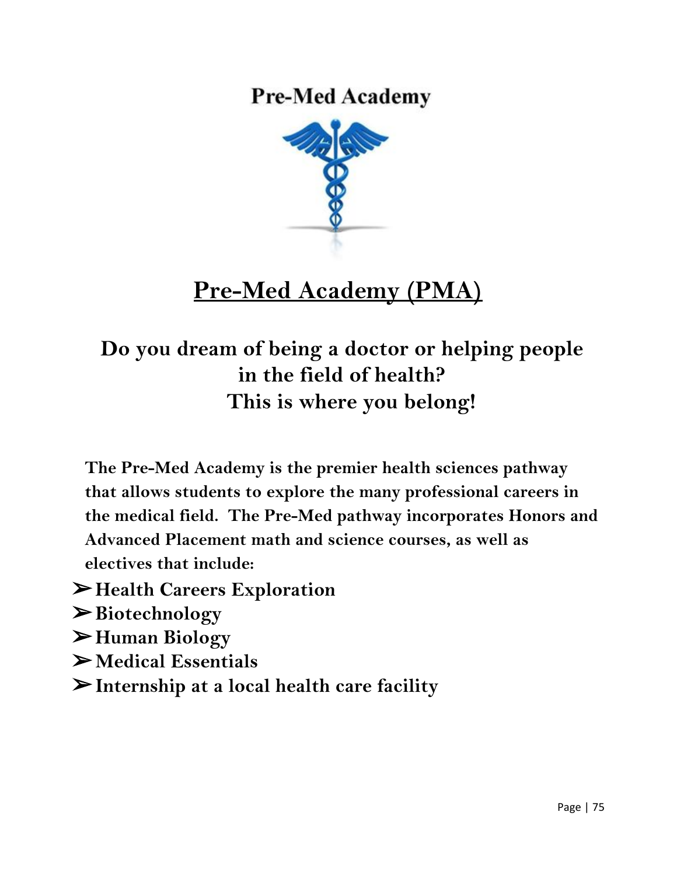**Pre-Med Academy** 



### **Pre-Med Academy (PMA)**

#### **Do you dream of being a doctor or helping people in the field of health? This is where you belong!**

- **The Pre-Med Academy is the premier health sciences pathway that allows students to explore the many professional careers in the medical field. The Pre-Med pathway incorporates Honors and Advanced Placement math and science courses, as well as electives that include:**
- ➢**Health Careers Exploration**
- ➢**Biotechnology**
- ➢**Human Biology**
- ➢**Medical Essentials**
- ➢**Internship at a local health care facility**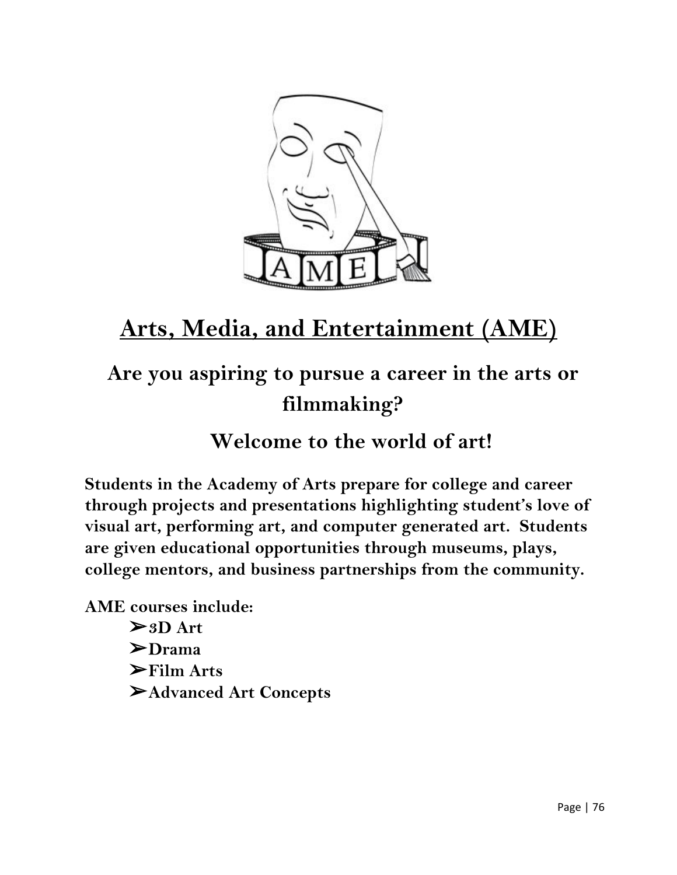

## **Arts, Media, and Entertainment (AME)**

### **Are you aspiring to pursue a career in the arts or filmmaking?**

**Welcome to the world of art!**

**Students in the Academy of Arts prepare for college and career through projects and presentations highlighting student's love of visual art, performing art, and computer generated art. Students are given educational opportunities through museums, plays, college mentors, and business partnerships from the community.**

**AME courses include:**

➢**3D Art** ➢**Drama** ➢**Film Arts** ➢**Advanced Art Concepts**